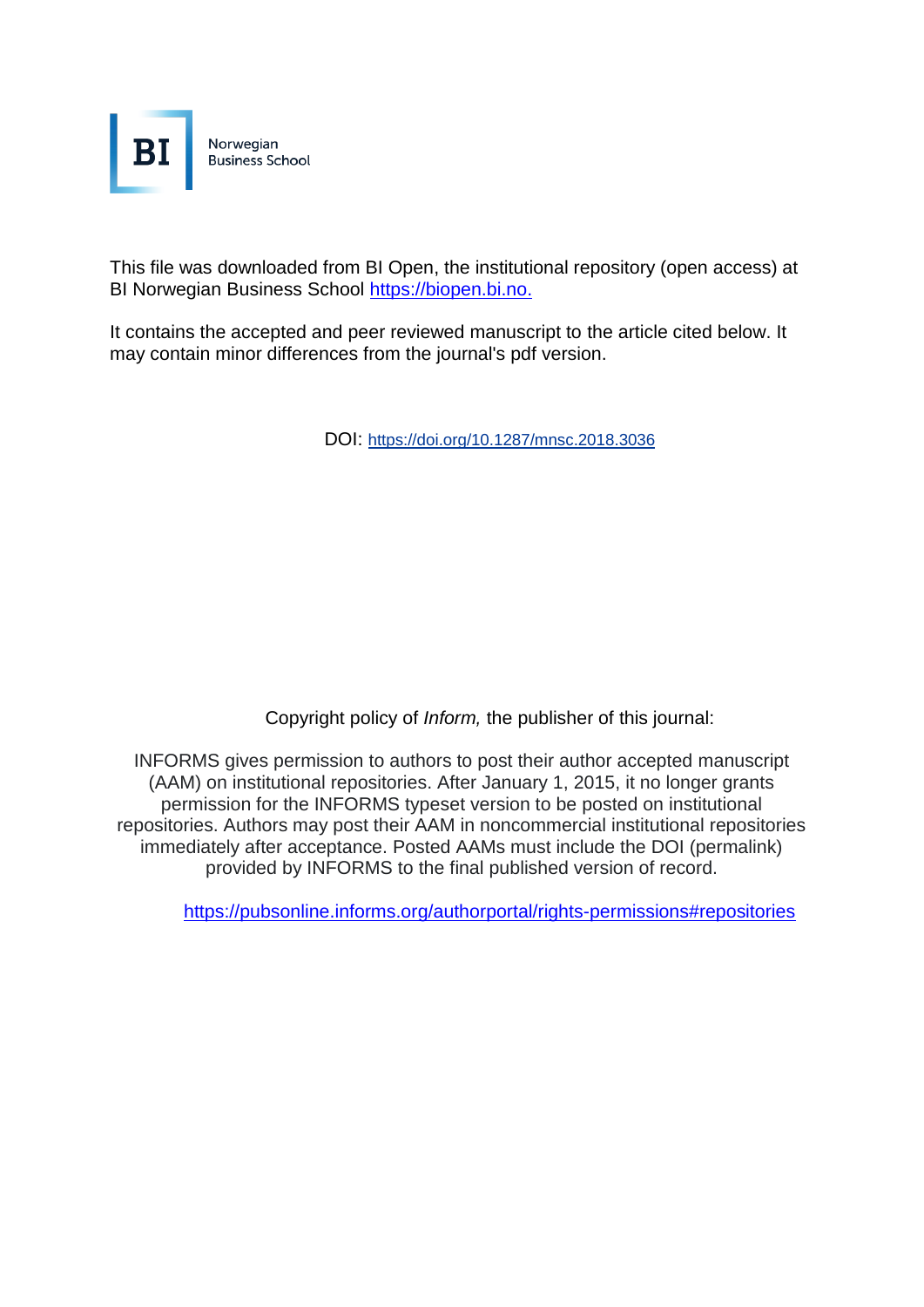

This file was downloaded from BI Open, the institutional repository (open access) at BI Norwegian Business School [https://biopen.bi.no.](https://biopen.bi.no/)

It contains the accepted and peer reviewed manuscript to the article cited below. It may contain minor differences from the journal's pdf version.

DOI: <https://doi.org/10.1287/mnsc.2018.3036>

Copyright policy of *Inform,* the publisher of this journal:

INFORMS gives permission to authors to post their author accepted manuscript (AAM) on institutional repositories. After January 1, 2015, it no longer grants permission for the INFORMS typeset version to be posted on institutional repositories. Authors may post their AAM in noncommercial institutional repositories immediately after acceptance. Posted AAMs must include the DOI (permalink) provided by INFORMS to the final published version of record.

<https://pubsonline.informs.org/authorportal/rights-permissions#repositories>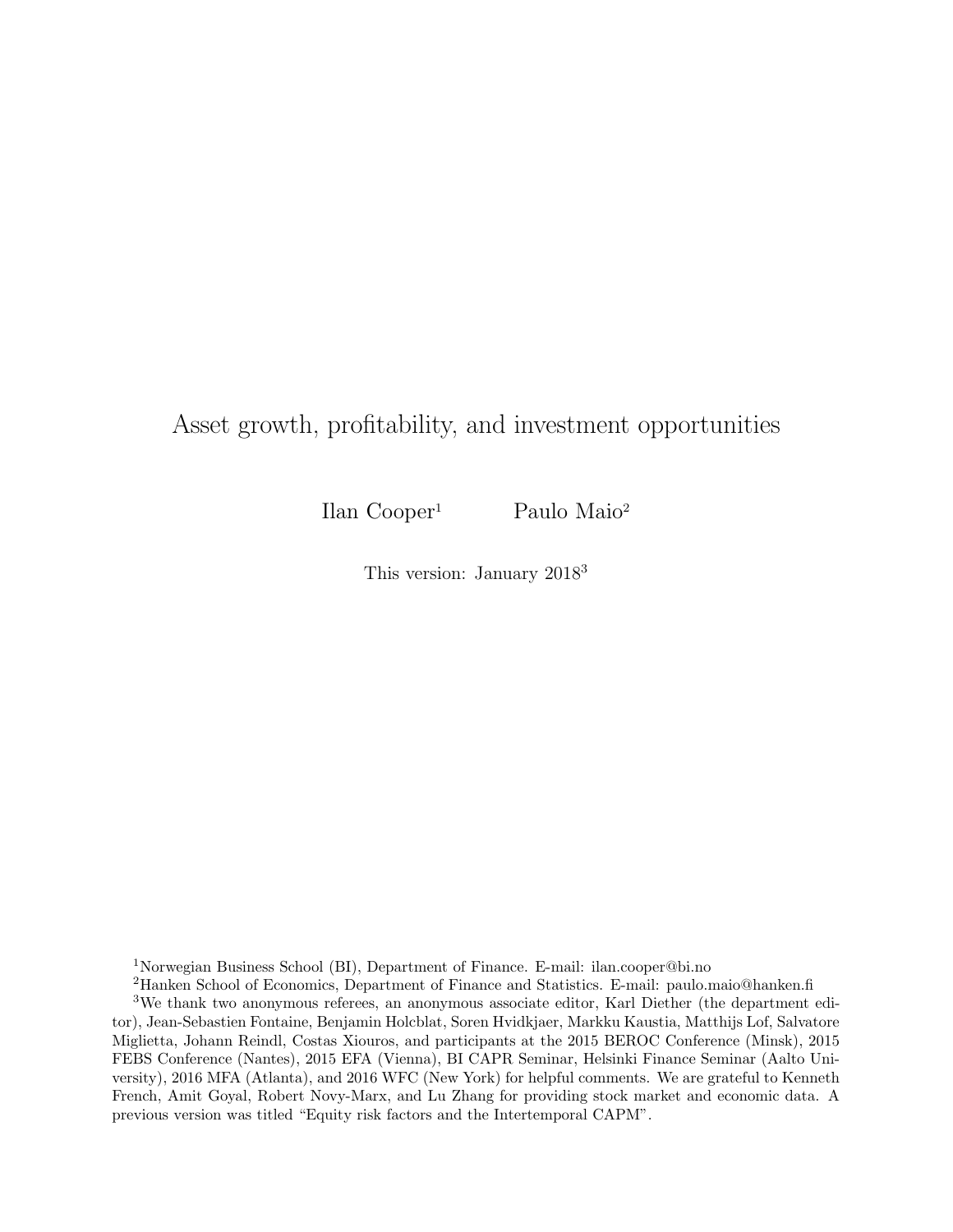# Asset growth, profitability, and investment opportunities

 $I$ lan Cooper<sup>1</sup> Paulo Maio<sup>2</sup>

This version: January 2018<sup>3</sup>

<sup>1</sup>Norwegian Business School (BI), Department of Finance. E-mail: ilan.cooper@bi.no

<sup>2</sup>Hanken School of Economics, Department of Finance and Statistics. E-mail: paulo.maio@hanken.fi

<sup>3</sup>We thank two anonymous referees, an anonymous associate editor, Karl Diether (the department editor), Jean-Sebastien Fontaine, Benjamin Holcblat, Soren Hvidkjaer, Markku Kaustia, Matthijs Lof, Salvatore Miglietta, Johann Reindl, Costas Xiouros, and participants at the 2015 BEROC Conference (Minsk), 2015 FEBS Conference (Nantes), 2015 EFA (Vienna), BI CAPR Seminar, Helsinki Finance Seminar (Aalto University), 2016 MFA (Atlanta), and 2016 WFC (New York) for helpful comments. We are grateful to Kenneth French, Amit Goyal, Robert Novy-Marx, and Lu Zhang for providing stock market and economic data. A previous version was titled "Equity risk factors and the Intertemporal CAPM".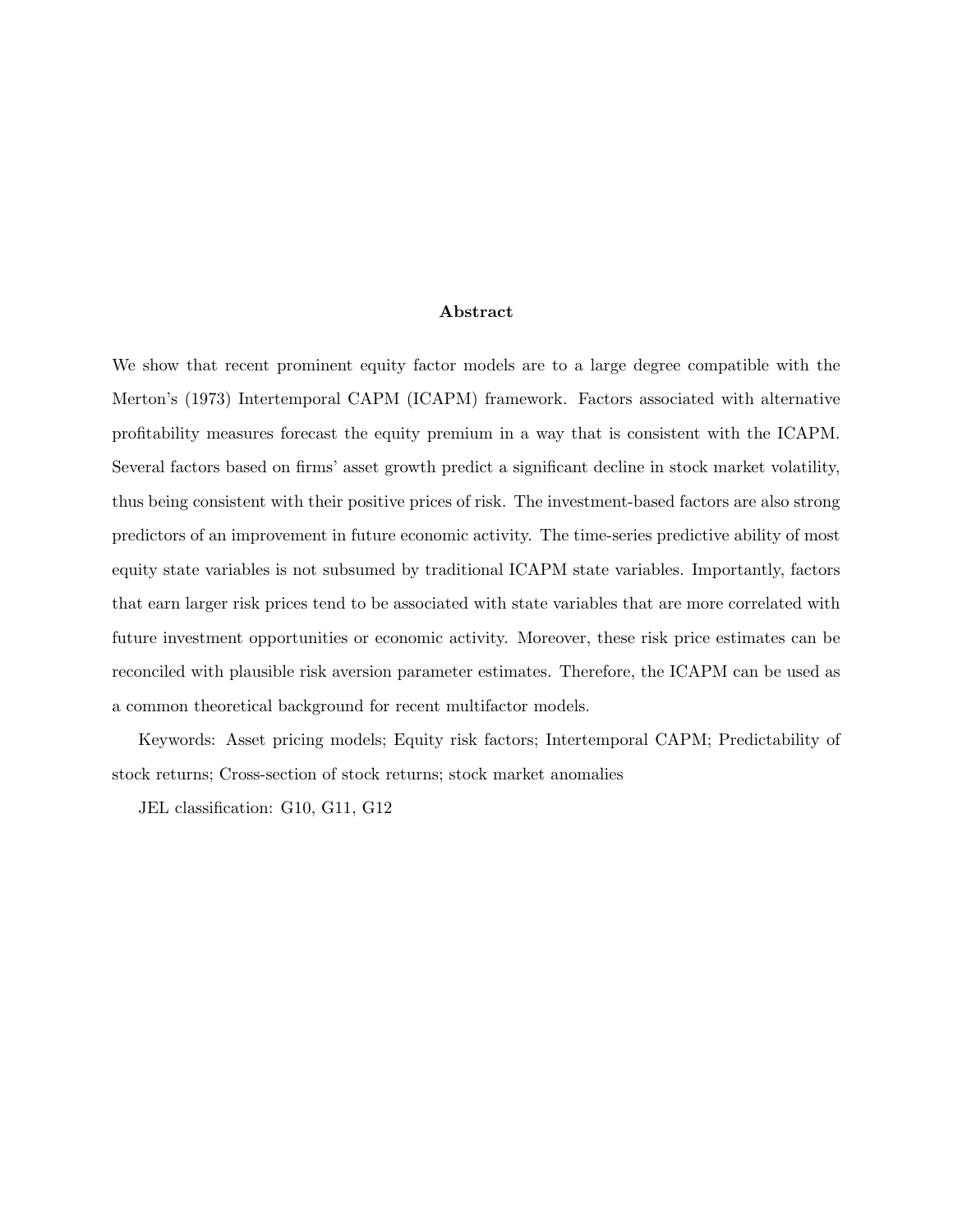#### Abstract

We show that recent prominent equity factor models are to a large degree compatible with the Merton's (1973) Intertemporal CAPM (ICAPM) framework. Factors associated with alternative profitability measures forecast the equity premium in a way that is consistent with the ICAPM. Several factors based on firms' asset growth predict a significant decline in stock market volatility, thus being consistent with their positive prices of risk. The investment-based factors are also strong predictors of an improvement in future economic activity. The time-series predictive ability of most equity state variables is not subsumed by traditional ICAPM state variables. Importantly, factors that earn larger risk prices tend to be associated with state variables that are more correlated with future investment opportunities or economic activity. Moreover, these risk price estimates can be reconciled with plausible risk aversion parameter estimates. Therefore, the ICAPM can be used as a common theoretical background for recent multifactor models.

Keywords: Asset pricing models; Equity risk factors; Intertemporal CAPM; Predictability of stock returns; Cross-section of stock returns; stock market anomalies

JEL classification: G10, G11, G12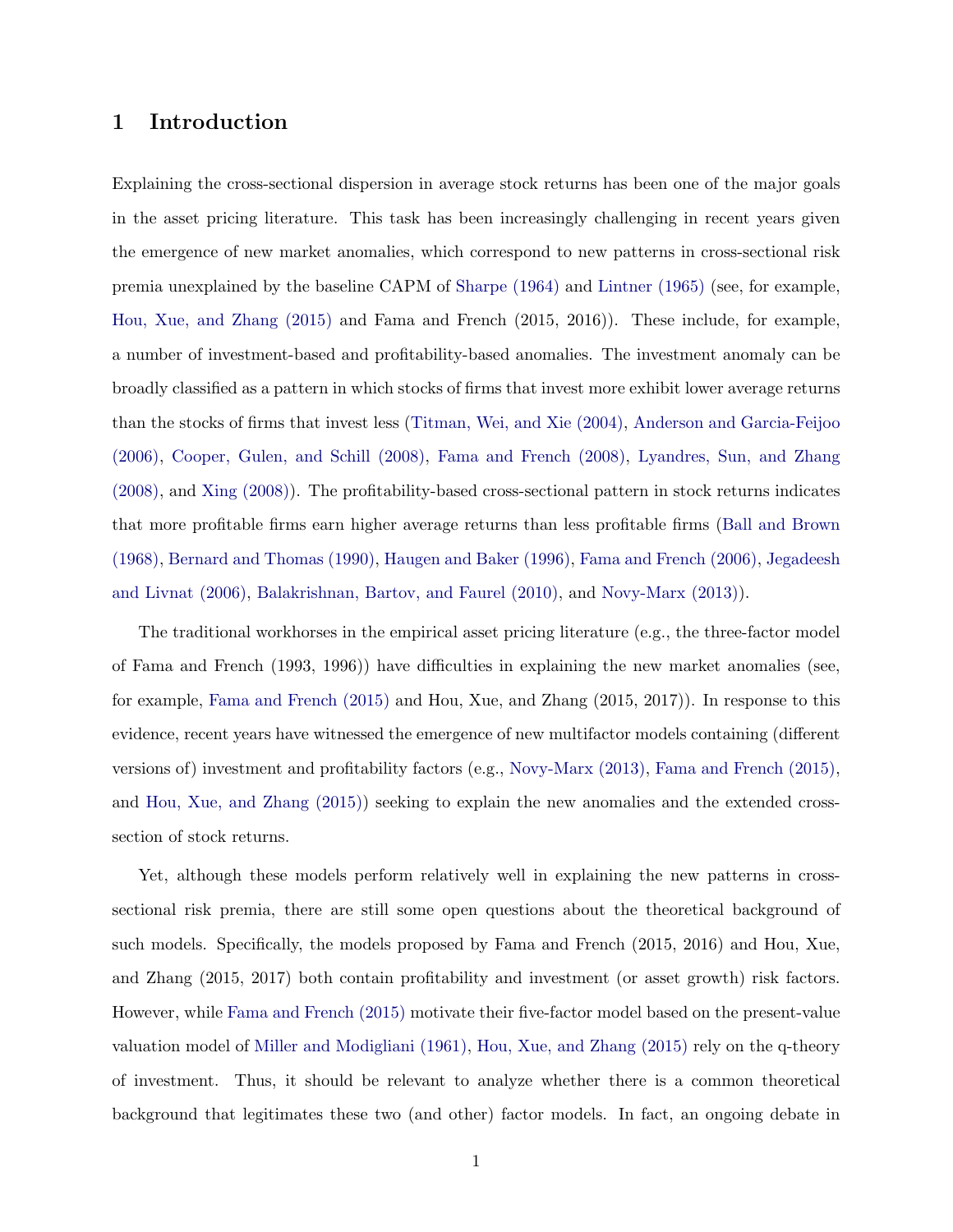### 1 Introduction

Explaining the cross-sectional dispersion in average stock returns has been one of the major goals in the asset pricing literature. This task has been increasingly challenging in recent years given the emergence of new market anomalies, which correspond to new patterns in cross-sectional risk premia unexplained by the baseline CAPM of [Sharpe \(1964\)](#page-41-0) and [Lintner \(1965\)](#page-39-0) (see, for example, [Hou, Xue, and Zhang \(2015\)](#page-38-0) and Fama and French (2015, 2016)). These include, for example, a number of investment-based and profitability-based anomalies. The investment anomaly can be broadly classified as a pattern in which stocks of firms that invest more exhibit lower average returns than the stocks of firms that invest less [\(Titman, Wei, and Xie \(2004\),](#page-41-1) [Anderson and Garcia-Feijoo](#page-36-0) [\(2006\),](#page-36-0) [Cooper, Gulen, and Schill \(2008\),](#page-37-0) [Fama and French \(2008\),](#page-38-1) [Lyandres, Sun, and Zhang](#page-39-1) [\(2008\),](#page-39-1) and [Xing \(2008\)\)](#page-41-2). The profitability-based cross-sectional pattern in stock returns indicates that more profitable firms earn higher average returns than less profitable firms [\(Ball and Brown](#page-36-1) [\(1968\),](#page-36-1) [Bernard and Thomas \(1990\),](#page-36-2) [Haugen and Baker \(1996\),](#page-38-2) [Fama and French \(2006\),](#page-38-3) [Jegadeesh](#page-39-2) [and Livnat \(2006\),](#page-39-2) [Balakrishnan, Bartov, and Faurel \(2010\),](#page-36-3) and [Novy-Marx \(2013\)\)](#page-40-0).

The traditional workhorses in the empirical asset pricing literature (e.g., the three-factor model of Fama and French (1993, 1996)) have difficulties in explaining the new market anomalies (see, for example, [Fama and French \(2015\)](#page-38-4) and Hou, Xue, and Zhang (2015, 2017)). In response to this evidence, recent years have witnessed the emergence of new multifactor models containing (different versions of) investment and profitability factors (e.g., [Novy-Marx \(2013\),](#page-40-0) [Fama and French \(2015\),](#page-38-4) and [Hou, Xue, and Zhang \(2015\)\)](#page-38-0) seeking to explain the new anomalies and the extended crosssection of stock returns.

Yet, although these models perform relatively well in explaining the new patterns in crosssectional risk premia, there are still some open questions about the theoretical background of such models. Specifically, the models proposed by Fama and French (2015, 2016) and Hou, Xue, and Zhang (2015, 2017) both contain profitability and investment (or asset growth) risk factors. However, while [Fama and French \(2015\)](#page-38-4) motivate their five-factor model based on the present-value valuation model of [Miller and Modigliani \(1961\),](#page-40-1) [Hou, Xue, and Zhang \(2015\)](#page-38-0) rely on the q-theory of investment. Thus, it should be relevant to analyze whether there is a common theoretical background that legitimates these two (and other) factor models. In fact, an ongoing debate in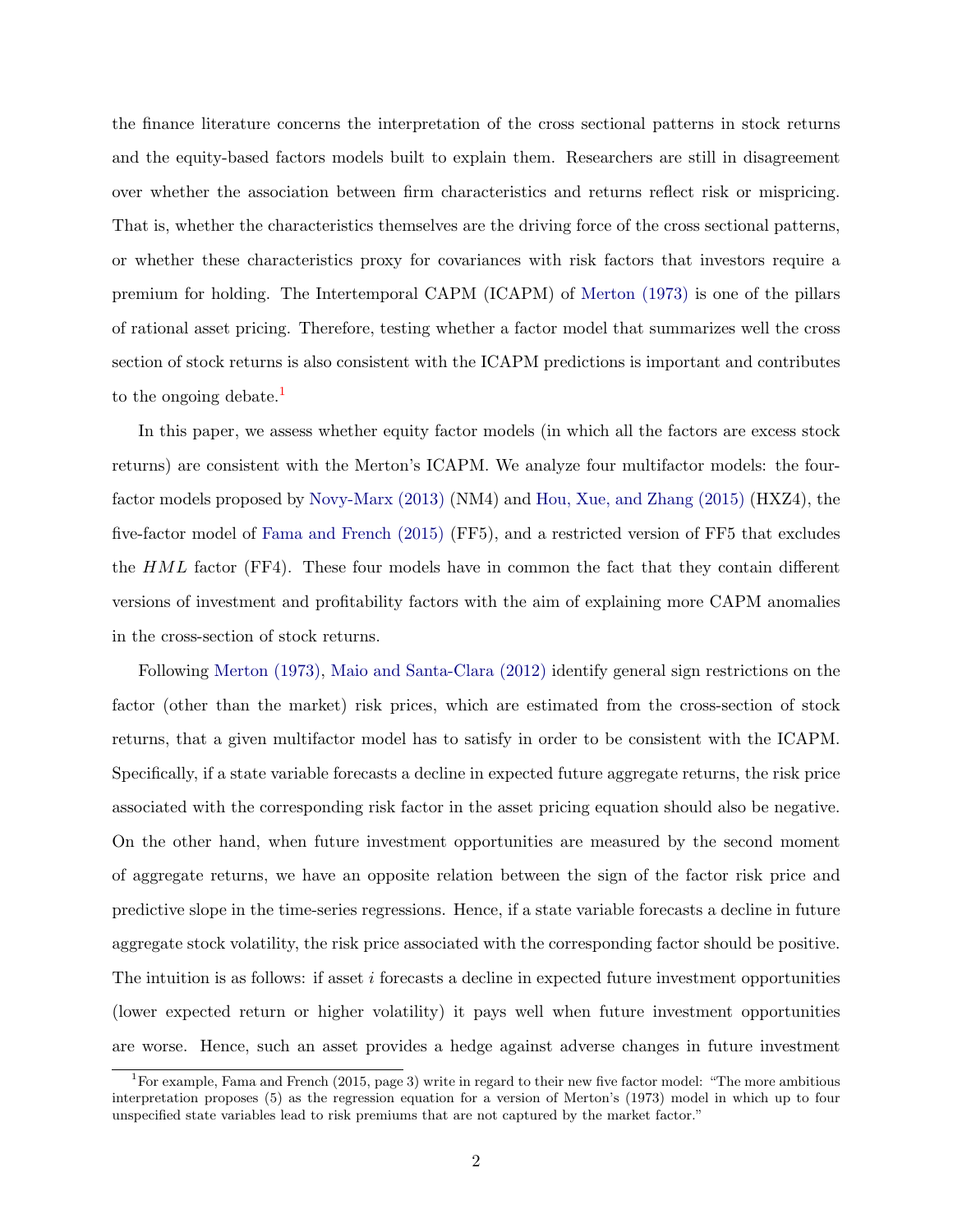the finance literature concerns the interpretation of the cross sectional patterns in stock returns and the equity-based factors models built to explain them. Researchers are still in disagreement over whether the association between firm characteristics and returns reflect risk or mispricing. That is, whether the characteristics themselves are the driving force of the cross sectional patterns, or whether these characteristics proxy for covariances with risk factors that investors require a premium for holding. The Intertemporal CAPM (ICAPM) of [Merton \(1973\)](#page-40-2) is one of the pillars of rational asset pricing. Therefore, testing whether a factor model that summarizes well the cross section of stock returns is also consistent with the ICAPM predictions is important and contributes to the ongoing debate.<sup>[1](#page-4-0)</sup>

In this paper, we assess whether equity factor models (in which all the factors are excess stock returns) are consistent with the Merton's ICAPM. We analyze four multifactor models: the fourfactor models proposed by [Novy-Marx \(2013\)](#page-40-0) (NM4) and [Hou, Xue, and Zhang \(2015\)](#page-38-0) (HXZ4), the five-factor model of [Fama and French \(2015\)](#page-38-4) (FF5), and a restricted version of FF5 that excludes the HML factor (FF4). These four models have in common the fact that they contain different versions of investment and profitability factors with the aim of explaining more CAPM anomalies in the cross-section of stock returns.

Following [Merton \(1973\),](#page-40-2) [Maio and Santa-Clara \(2012\)](#page-40-3) identify general sign restrictions on the factor (other than the market) risk prices, which are estimated from the cross-section of stock returns, that a given multifactor model has to satisfy in order to be consistent with the ICAPM. Specifically, if a state variable forecasts a decline in expected future aggregate returns, the risk price associated with the corresponding risk factor in the asset pricing equation should also be negative. On the other hand, when future investment opportunities are measured by the second moment of aggregate returns, we have an opposite relation between the sign of the factor risk price and predictive slope in the time-series regressions. Hence, if a state variable forecasts a decline in future aggregate stock volatility, the risk price associated with the corresponding factor should be positive. The intuition is as follows: if asset  $i$  forecasts a decline in expected future investment opportunities (lower expected return or higher volatility) it pays well when future investment opportunities are worse. Hence, such an asset provides a hedge against adverse changes in future investment

<span id="page-4-0"></span><sup>&</sup>lt;sup>1</sup>For example, Fama and French (2015, page 3) write in regard to their new five factor model: "The more ambitious interpretation proposes (5) as the regression equation for a version of Merton's (1973) model in which up to four unspecified state variables lead to risk premiums that are not captured by the market factor."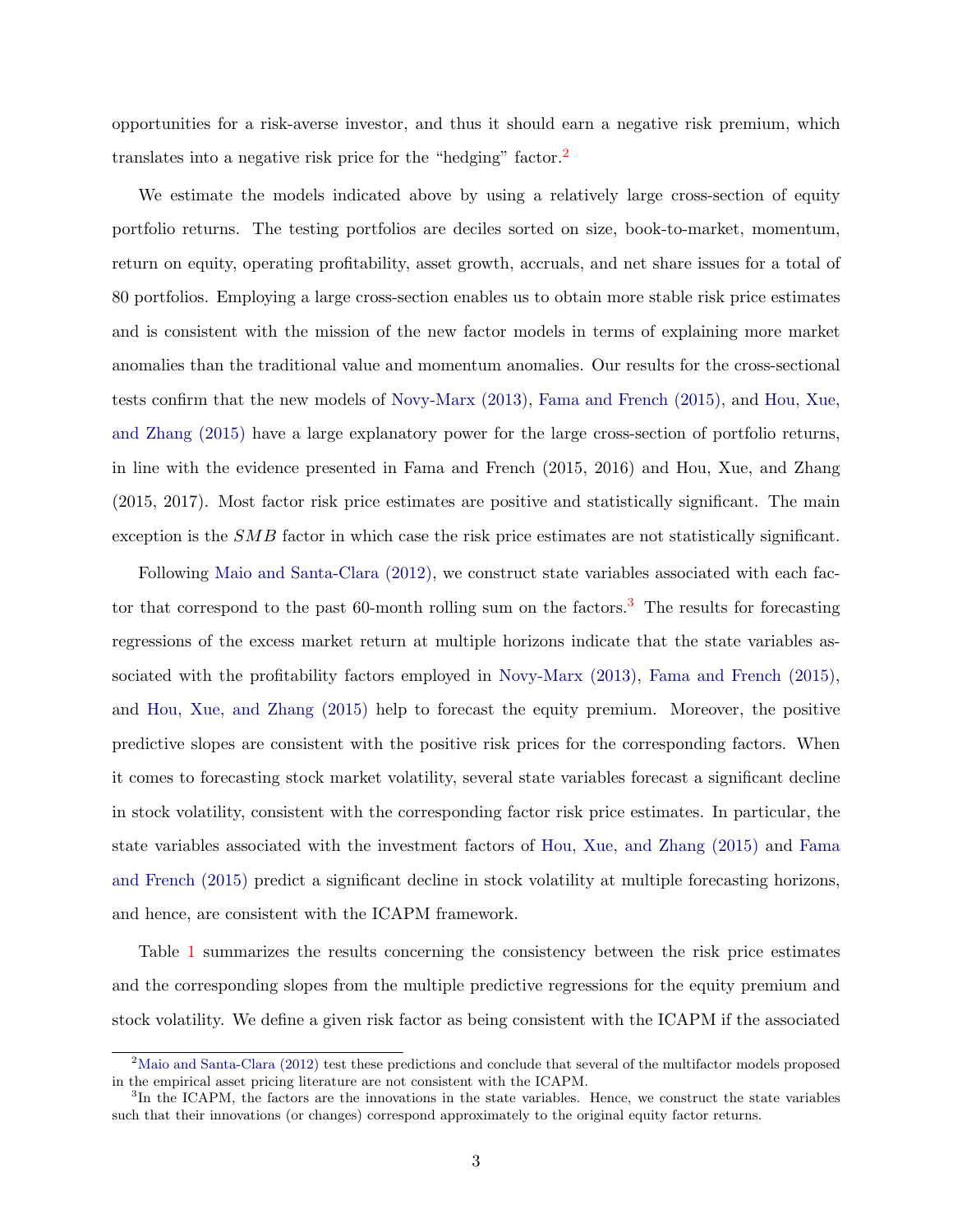opportunities for a risk-averse investor, and thus it should earn a negative risk premium, which translates into a negative risk price for the "hedging" factor.[2](#page-5-0)

We estimate the models indicated above by using a relatively large cross-section of equity portfolio returns. The testing portfolios are deciles sorted on size, book-to-market, momentum, return on equity, operating profitability, asset growth, accruals, and net share issues for a total of 80 portfolios. Employing a large cross-section enables us to obtain more stable risk price estimates and is consistent with the mission of the new factor models in terms of explaining more market anomalies than the traditional value and momentum anomalies. Our results for the cross-sectional tests confirm that the new models of [Novy-Marx \(2013\),](#page-40-0) [Fama and French \(2015\),](#page-38-4) and [Hou, Xue,](#page-38-0) [and Zhang \(2015\)](#page-38-0) have a large explanatory power for the large cross-section of portfolio returns, in line with the evidence presented in Fama and French (2015, 2016) and Hou, Xue, and Zhang (2015, 2017). Most factor risk price estimates are positive and statistically significant. The main exception is the SMB factor in which case the risk price estimates are not statistically significant.

Following [Maio and Santa-Clara \(2012\),](#page-40-3) we construct state variables associated with each fac-tor that correspond to the past 60-month rolling sum on the factors.<sup>[3](#page-5-1)</sup> The results for forecasting regressions of the excess market return at multiple horizons indicate that the state variables associated with the profitability factors employed in [Novy-Marx \(2013\),](#page-40-0) [Fama and French \(2015\),](#page-38-4) and [Hou, Xue, and Zhang \(2015\)](#page-38-0) help to forecast the equity premium. Moreover, the positive predictive slopes are consistent with the positive risk prices for the corresponding factors. When it comes to forecasting stock market volatility, several state variables forecast a significant decline in stock volatility, consistent with the corresponding factor risk price estimates. In particular, the state variables associated with the investment factors of [Hou, Xue, and Zhang \(2015\)](#page-38-0) and [Fama](#page-38-4) [and French \(2015\)](#page-38-4) predict a significant decline in stock volatility at multiple forecasting horizons, and hence, are consistent with the ICAPM framework.

Table [1](#page-42-0) summarizes the results concerning the consistency between the risk price estimates and the corresponding slopes from the multiple predictive regressions for the equity premium and stock volatility. We define a given risk factor as being consistent with the ICAPM if the associated

<span id="page-5-0"></span><sup>&</sup>lt;sup>2</sup>[Maio and Santa-Clara \(2012\)](#page-40-3) test these predictions and conclude that several of the multifactor models proposed in the empirical asset pricing literature are not consistent with the ICAPM.

<span id="page-5-1"></span><sup>&</sup>lt;sup>3</sup>In the ICAPM, the factors are the innovations in the state variables. Hence, we construct the state variables such that their innovations (or changes) correspond approximately to the original equity factor returns.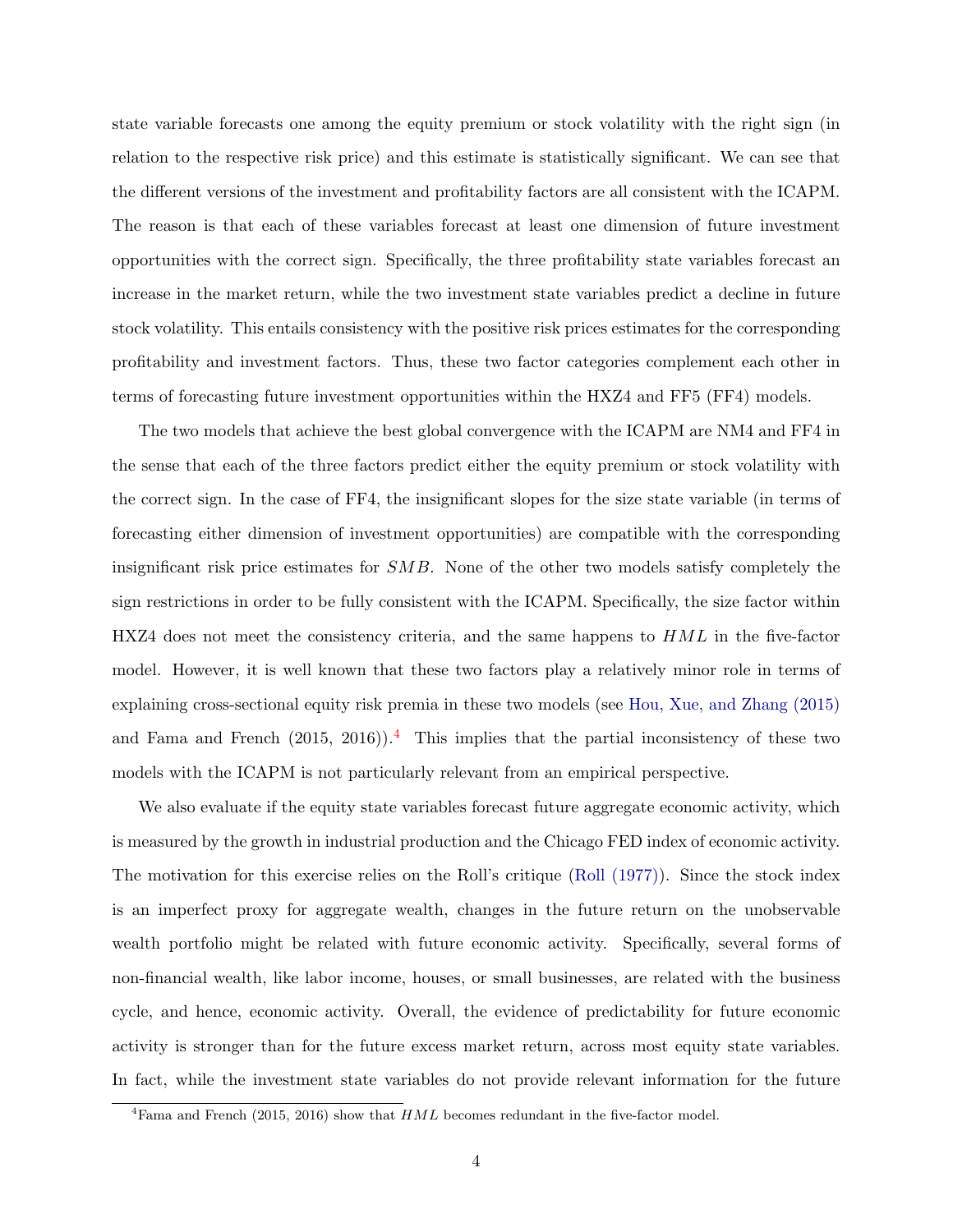state variable forecasts one among the equity premium or stock volatility with the right sign (in relation to the respective risk price) and this estimate is statistically significant. We can see that the different versions of the investment and profitability factors are all consistent with the ICAPM. The reason is that each of these variables forecast at least one dimension of future investment opportunities with the correct sign. Specifically, the three profitability state variables forecast an increase in the market return, while the two investment state variables predict a decline in future stock volatility. This entails consistency with the positive risk prices estimates for the corresponding profitability and investment factors. Thus, these two factor categories complement each other in terms of forecasting future investment opportunities within the HXZ4 and FF5 (FF4) models.

The two models that achieve the best global convergence with the ICAPM are NM4 and FF4 in the sense that each of the three factors predict either the equity premium or stock volatility with the correct sign. In the case of FF4, the insignificant slopes for the size state variable (in terms of forecasting either dimension of investment opportunities) are compatible with the corresponding insignificant risk price estimates for SMB. None of the other two models satisfy completely the sign restrictions in order to be fully consistent with the ICAPM. Specifically, the size factor within  $HXZ4$  does not meet the consistency criteria, and the same happens to  $HML$  in the five-factor model. However, it is well known that these two factors play a relatively minor role in terms of explaining cross-sectional equity risk premia in these two models (see [Hou, Xue, and Zhang \(2015\)](#page-38-0) and French (2015, 2016)).<sup>[4](#page-6-0)</sup> This implies that the partial inconsistency of these two models with the ICAPM is not particularly relevant from an empirical perspective.

We also evaluate if the equity state variables forecast future aggregate economic activity, which is measured by the growth in industrial production and the Chicago FED index of economic activity. The motivation for this exercise relies on the Roll's critique [\(Roll \(1977\)\)](#page-41-3). Since the stock index is an imperfect proxy for aggregate wealth, changes in the future return on the unobservable wealth portfolio might be related with future economic activity. Specifically, several forms of non-financial wealth, like labor income, houses, or small businesses, are related with the business cycle, and hence, economic activity. Overall, the evidence of predictability for future economic activity is stronger than for the future excess market return, across most equity state variables. In fact, while the investment state variables do not provide relevant information for the future

<span id="page-6-0"></span><sup>&</sup>lt;sup>4</sup>Fama and French (2015, 2016) show that  $HML$  becomes redundant in the five-factor model.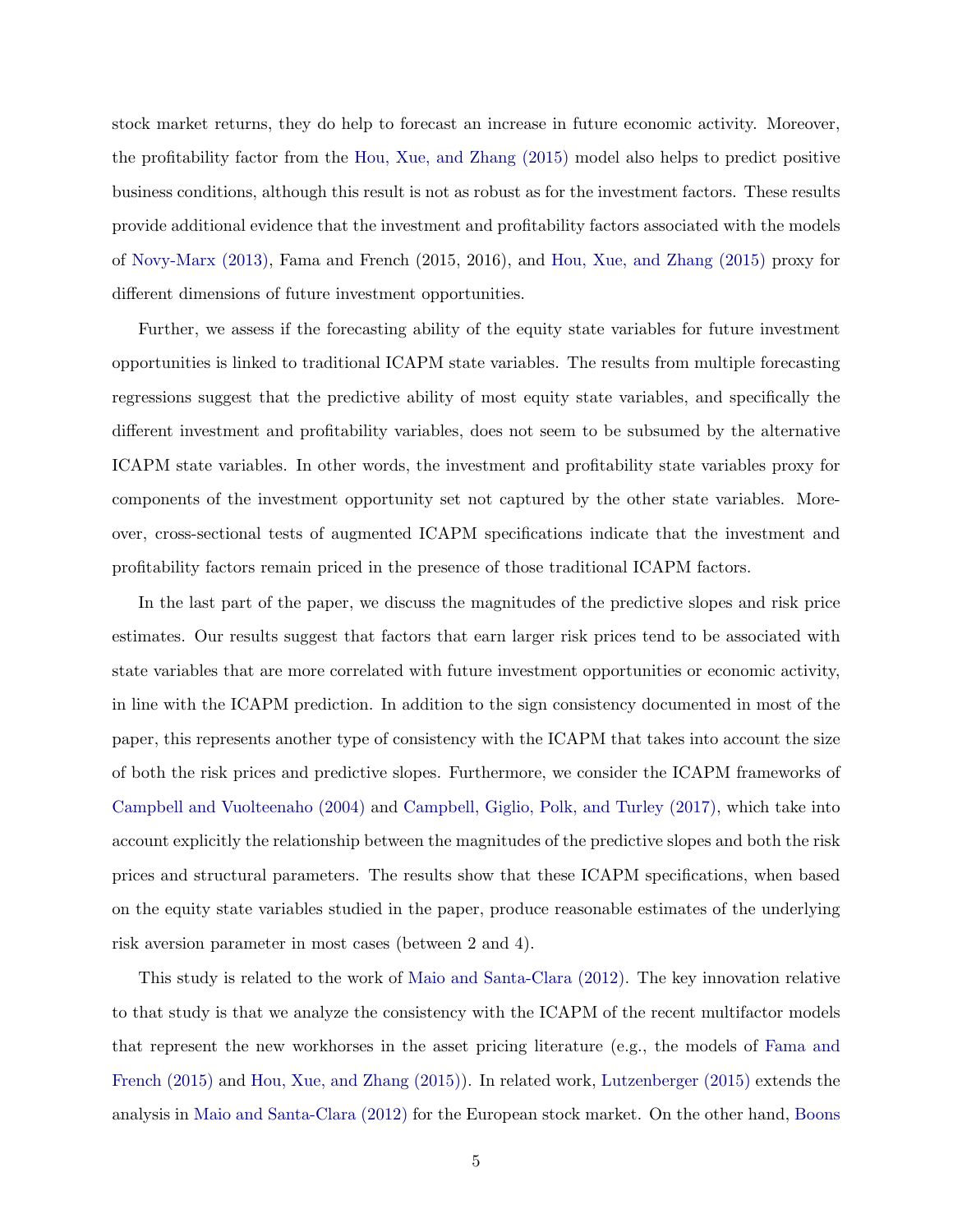stock market returns, they do help to forecast an increase in future economic activity. Moreover, the profitability factor from the [Hou, Xue, and Zhang \(2015\)](#page-38-0) model also helps to predict positive business conditions, although this result is not as robust as for the investment factors. These results provide additional evidence that the investment and profitability factors associated with the models of [Novy-Marx \(2013\),](#page-40-0) Fama and French (2015, 2016), and [Hou, Xue, and Zhang \(2015\)](#page-38-0) proxy for different dimensions of future investment opportunities.

Further, we assess if the forecasting ability of the equity state variables for future investment opportunities is linked to traditional ICAPM state variables. The results from multiple forecasting regressions suggest that the predictive ability of most equity state variables, and specifically the different investment and profitability variables, does not seem to be subsumed by the alternative ICAPM state variables. In other words, the investment and profitability state variables proxy for components of the investment opportunity set not captured by the other state variables. Moreover, cross-sectional tests of augmented ICAPM specifications indicate that the investment and profitability factors remain priced in the presence of those traditional ICAPM factors.

In the last part of the paper, we discuss the magnitudes of the predictive slopes and risk price estimates. Our results suggest that factors that earn larger risk prices tend to be associated with state variables that are more correlated with future investment opportunities or economic activity, in line with the ICAPM prediction. In addition to the sign consistency documented in most of the paper, this represents another type of consistency with the ICAPM that takes into account the size of both the risk prices and predictive slopes. Furthermore, we consider the ICAPM frameworks of [Campbell and Vuolteenaho \(2004\)](#page-37-1) and [Campbell, Giglio, Polk, and Turley \(2017\),](#page-37-2) which take into account explicitly the relationship between the magnitudes of the predictive slopes and both the risk prices and structural parameters. The results show that these ICAPM specifications, when based on the equity state variables studied in the paper, produce reasonable estimates of the underlying risk aversion parameter in most cases (between 2 and 4).

This study is related to the work of [Maio and Santa-Clara \(2012\).](#page-40-3) The key innovation relative to that study is that we analyze the consistency with the ICAPM of the recent multifactor models that represent the new workhorses in the asset pricing literature (e.g., the models of [Fama and](#page-38-4) [French \(2015\)](#page-38-4) and [Hou, Xue, and Zhang \(2015\)\)](#page-38-0). In related work, [Lutzenberger \(2015\)](#page-39-3) extends the analysis in [Maio and Santa-Clara \(2012\)](#page-40-3) for the European stock market. On the other hand, [Boons](#page-36-4)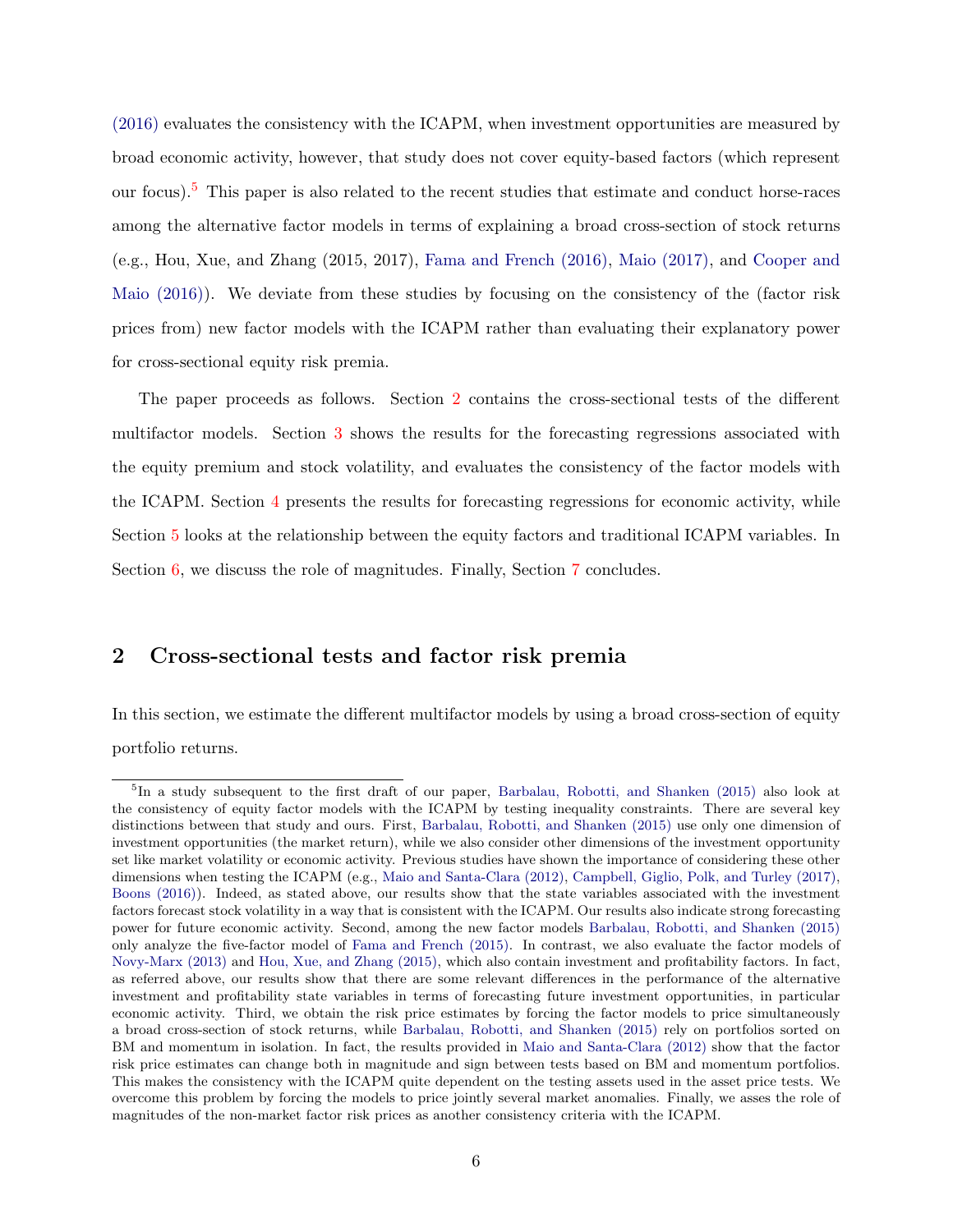[\(2016\)](#page-36-4) evaluates the consistency with the ICAPM, when investment opportunities are measured by broad economic activity, however, that study does not cover equity-based factors (which represent our focus).[5](#page-8-0) This paper is also related to the recent studies that estimate and conduct horse-races among the alternative factor models in terms of explaining a broad cross-section of stock returns (e.g., Hou, Xue, and Zhang (2015, 2017), [Fama and French \(2016\),](#page-38-5) [Maio \(2017\),](#page-40-4) and [Cooper and](#page-37-3) [Maio \(2016\)\)](#page-37-3). We deviate from these studies by focusing on the consistency of the (factor risk prices from) new factor models with the ICAPM rather than evaluating their explanatory power for cross-sectional equity risk premia.

The paper proceeds as follows. Section [2](#page-8-1) contains the cross-sectional tests of the different multifactor models. Section [3](#page-17-0) shows the results for the forecasting regressions associated with the equity premium and stock volatility, and evaluates the consistency of the factor models with the ICAPM. Section [4](#page-24-0) presents the results for forecasting regressions for economic activity, while Section [5](#page-28-0) looks at the relationship between the equity factors and traditional ICAPM variables. In Section [6,](#page-31-0) we discuss the role of magnitudes. Finally, Section [7](#page-34-0) concludes.

### <span id="page-8-1"></span>2 Cross-sectional tests and factor risk premia

In this section, we estimate the different multifactor models by using a broad cross-section of equity portfolio returns.

<span id="page-8-0"></span><sup>&</sup>lt;sup>5</sup>In a study subsequent to the first draft of our paper, [Barbalau, Robotti, and Shanken \(2015\)](#page-36-5) also look at the consistency of equity factor models with the ICAPM by testing inequality constraints. There are several key distinctions between that study and ours. First, [Barbalau, Robotti, and Shanken \(2015\)](#page-36-5) use only one dimension of investment opportunities (the market return), while we also consider other dimensions of the investment opportunity set like market volatility or economic activity. Previous studies have shown the importance of considering these other dimensions when testing the ICAPM (e.g., [Maio and Santa-Clara \(2012\),](#page-40-3) [Campbell, Giglio, Polk, and Turley \(2017\),](#page-37-2) [Boons \(2016\)\)](#page-36-4). Indeed, as stated above, our results show that the state variables associated with the investment factors forecast stock volatility in a way that is consistent with the ICAPM. Our results also indicate strong forecasting power for future economic activity. Second, among the new factor models [Barbalau, Robotti, and Shanken \(2015\)](#page-36-5) only analyze the five-factor model of [Fama and French \(2015\).](#page-38-4) In contrast, we also evaluate the factor models of [Novy-Marx \(2013\)](#page-40-0) and [Hou, Xue, and Zhang \(2015\),](#page-38-0) which also contain investment and profitability factors. In fact, as referred above, our results show that there are some relevant differences in the performance of the alternative investment and profitability state variables in terms of forecasting future investment opportunities, in particular economic activity. Third, we obtain the risk price estimates by forcing the factor models to price simultaneously a broad cross-section of stock returns, while [Barbalau, Robotti, and Shanken \(2015\)](#page-36-5) rely on portfolios sorted on BM and momentum in isolation. In fact, the results provided in [Maio and Santa-Clara \(2012\)](#page-40-3) show that the factor risk price estimates can change both in magnitude and sign between tests based on BM and momentum portfolios. This makes the consistency with the ICAPM quite dependent on the testing assets used in the asset price tests. We overcome this problem by forcing the models to price jointly several market anomalies. Finally, we asses the role of magnitudes of the non-market factor risk prices as another consistency criteria with the ICAPM.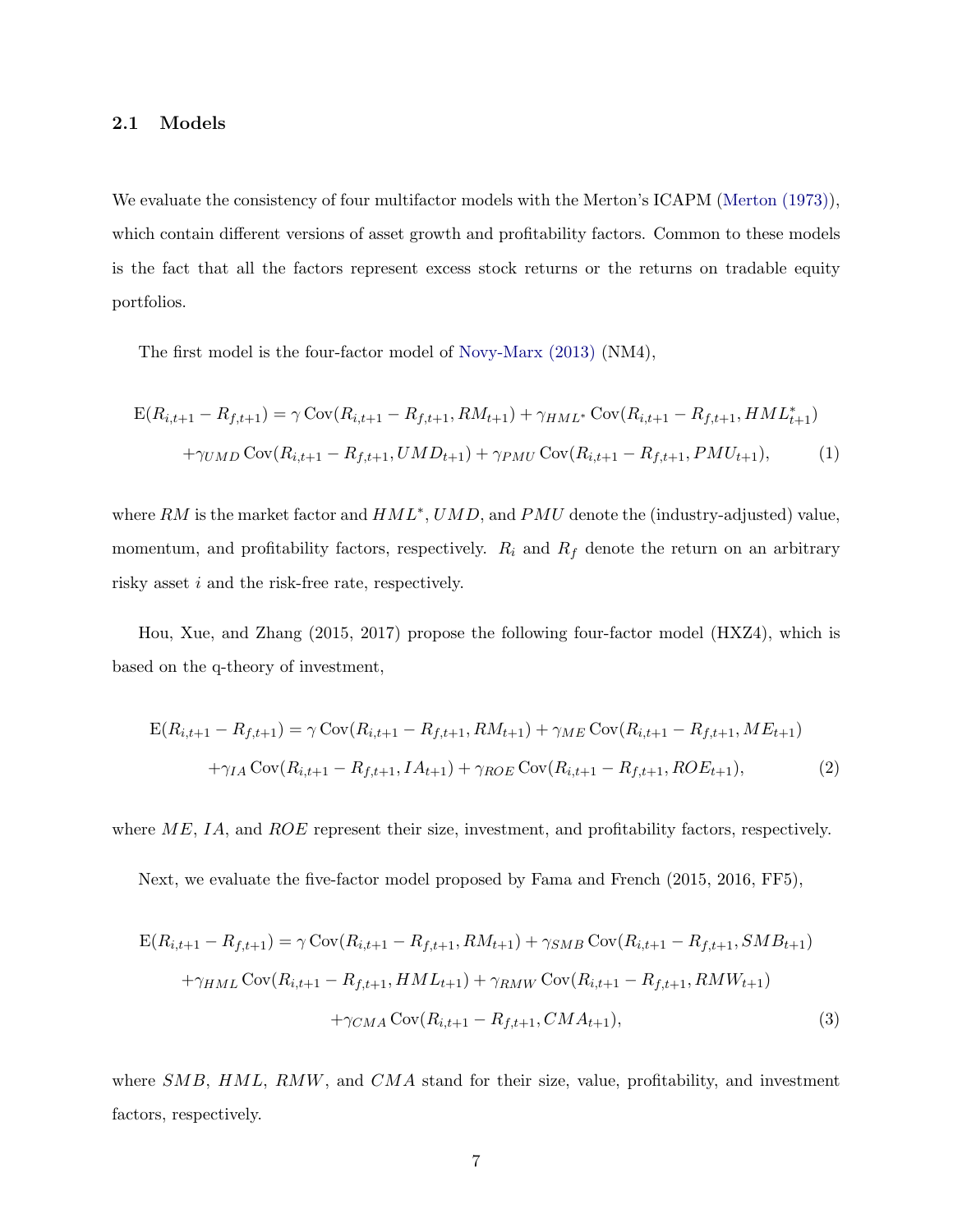#### 2.1 Models

We evaluate the consistency of four multifactor models with the Merton's ICAPM [\(Merton \(1973\)\)](#page-40-2), which contain different versions of asset growth and profitability factors. Common to these models is the fact that all the factors represent excess stock returns or the returns on tradable equity portfolios.

The first model is the four-factor model of [Novy-Marx \(2013\)](#page-40-0) (NM4),

$$
E(R_{i,t+1} - R_{f,t+1}) = \gamma \text{Cov}(R_{i,t+1} - R_{f,t+1}, RM_{t+1}) + \gamma_{HML^*} \text{Cov}(R_{i,t+1} - R_{f,t+1}, HML_{t+1}^*)
$$

$$
+ \gamma_{UMD} \text{Cov}(R_{i,t+1} - R_{f,t+1}, UMD_{t+1}) + \gamma_{PMU} \text{Cov}(R_{i,t+1} - R_{f,t+1}, PMU_{t+1}), \tag{1}
$$

where RM is the market factor and  $HML^*$ ,  $UMD$ , and  $PMU$  denote the (industry-adjusted) value, momentum, and profitability factors, respectively.  $R_i$  and  $R_f$  denote the return on an arbitrary risky asset i and the risk-free rate, respectively.

Hou, Xue, and Zhang (2015, 2017) propose the following four-factor model (HXZ4), which is based on the q-theory of investment,

$$
E(R_{i,t+1} - R_{f,t+1}) = \gamma \text{Cov}(R_{i,t+1} - R_{f,t+1}, RM_{t+1}) + \gamma_{ME} \text{Cov}(R_{i,t+1} - R_{f,t+1}, ME_{t+1})
$$

$$
+ \gamma_{IA} \text{Cov}(R_{i,t+1} - R_{f,t+1}, IA_{t+1}) + \gamma_{ROE} \text{Cov}(R_{i,t+1} - R_{f,t+1}, ROE_{t+1}), \tag{2}
$$

where ME, IA, and ROE represent their size, investment, and profitability factors, respectively.

Next, we evaluate the five-factor model proposed by Fama and French (2015, 2016, FF5),

$$
E(R_{i,t+1} - R_{f,t+1}) = \gamma \text{Cov}(R_{i,t+1} - R_{f,t+1}, RM_{t+1}) + \gamma_{SMB} \text{Cov}(R_{i,t+1} - R_{f,t+1}, SMB_{t+1})
$$

$$
+ \gamma_{HML} \text{Cov}(R_{i,t+1} - R_{f,t+1}, HML_{t+1}) + \gamma_{RMW} \text{Cov}(R_{i,t+1} - R_{f,t+1}, RMW_{t+1})
$$

$$
+ \gamma_{CMA} \text{Cov}(R_{i,t+1} - R_{f,t+1}, CMA_{t+1}), \tag{3}
$$

where  $SMB$ ,  $HML$ ,  $RMW$ , and  $CMA$  stand for their size, value, profitability, and investment factors, respectively.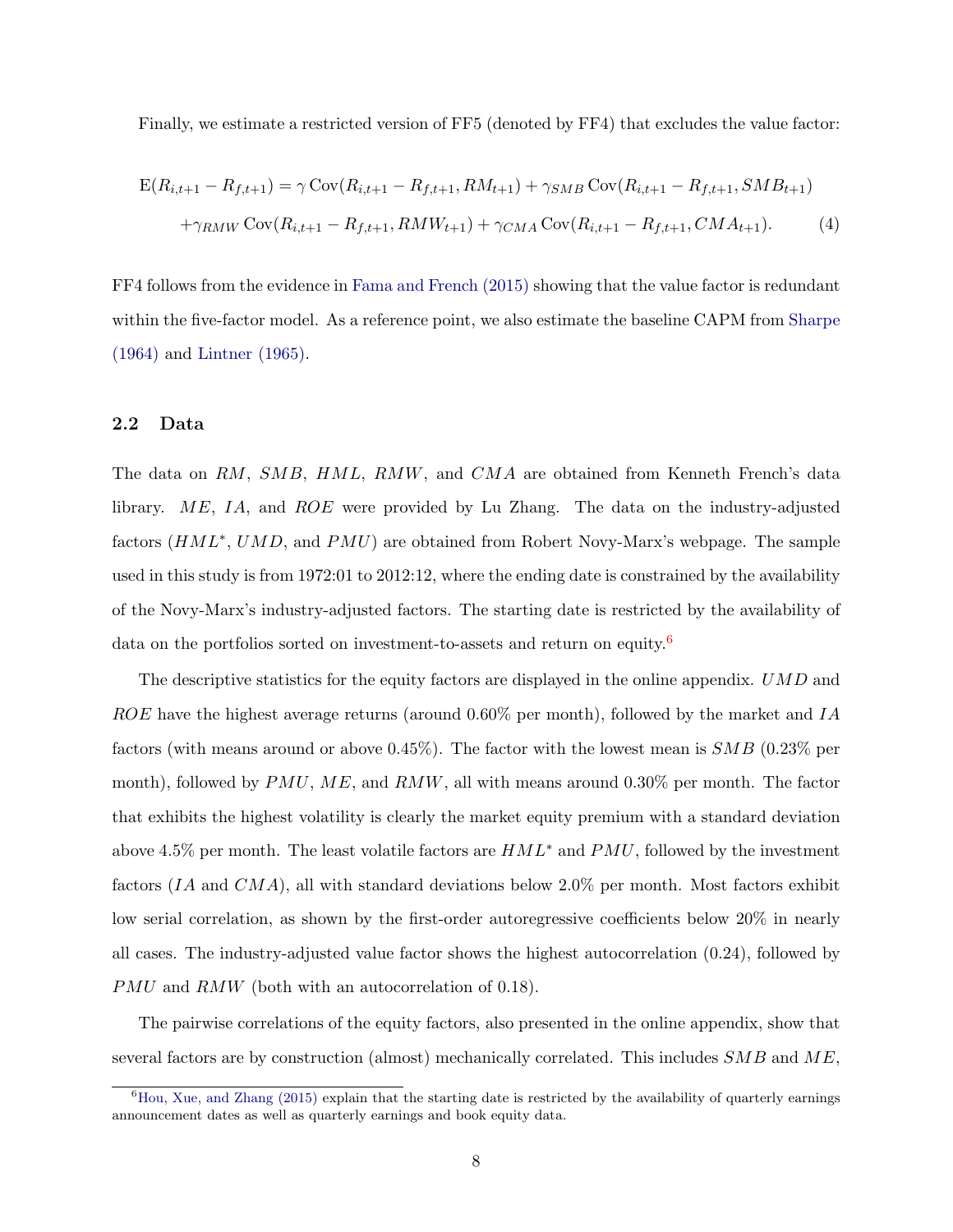Finally, we estimate a restricted version of FF5 (denoted by FF4) that excludes the value factor:

$$
E(R_{i,t+1} - R_{f,t+1}) = \gamma \text{Cov}(R_{i,t+1} - R_{f,t+1}, RM_{t+1}) + \gamma_{SMB} \text{Cov}(R_{i,t+1} - R_{f,t+1}, SMB_{t+1})
$$

$$
+ \gamma_{RMW} \text{Cov}(R_{i,t+1} - R_{f,t+1}, RMW_{t+1}) + \gamma_{CMA} \text{Cov}(R_{i,t+1} - R_{f,t+1}, CMA_{t+1}). \tag{4}
$$

FF4 follows from the evidence in [Fama and French \(2015\)](#page-38-4) showing that the value factor is redundant within the five-factor model. As a reference point, we also estimate the baseline CAPM from [Sharpe](#page-41-0) [\(1964\)](#page-41-0) and [Lintner \(1965\).](#page-39-0)

#### 2.2 Data

The data on RM, SMB, HML, RMW, and CMA are obtained from Kenneth French's data library. ME, IA, and ROE were provided by Lu Zhang. The data on the industry-adjusted factors  $(HML^*, UMD,$  and  $PMU)$  are obtained from Robert Novy-Marx's webpage. The sample used in this study is from 1972:01 to 2012:12, where the ending date is constrained by the availability of the Novy-Marx's industry-adjusted factors. The starting date is restricted by the availability of data on the portfolios sorted on investment-to-assets and return on equity.<sup>[6](#page-10-0)</sup>

The descriptive statistics for the equity factors are displayed in the online appendix. UMD and ROE have the highest average returns (around  $0.60\%$  per month), followed by the market and IA factors (with means around or above 0.45%). The factor with the lowest mean is  $SMB$  (0.23% per month), followed by  $PMU$ ,  $ME$ , and  $RMW$ , all with means around 0.30% per month. The factor that exhibits the highest volatility is clearly the market equity premium with a standard deviation above 4.5% per month. The least volatile factors are  $HML^*$  and  $PMU$ , followed by the investment factors  $(IA \text{ and } CMA)$ , all with standard deviations below 2.0% per month. Most factors exhibit low serial correlation, as shown by the first-order autoregressive coefficients below 20% in nearly all cases. The industry-adjusted value factor shows the highest autocorrelation (0.24), followed by PMU and RMW (both with an autocorrelation of 0.18).

The pairwise correlations of the equity factors, also presented in the online appendix, show that several factors are by construction (almost) mechanically correlated. This includes  $SMB$  and  $ME$ ,

<span id="page-10-0"></span> $6$ [Hou, Xue, and Zhang \(2015\)](#page-38-0) explain that the starting date is restricted by the availability of quarterly earnings announcement dates as well as quarterly earnings and book equity data.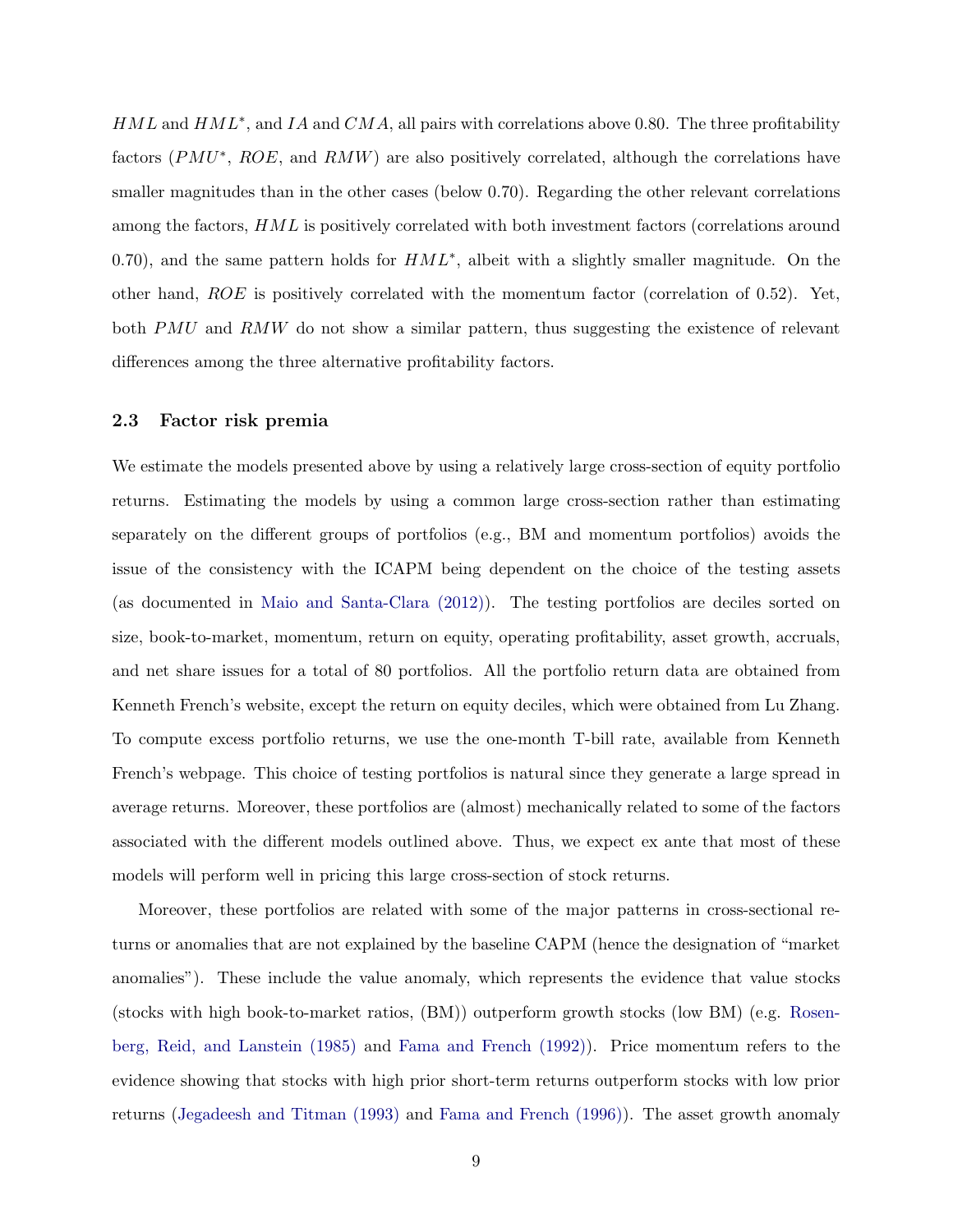$HML$  and  $HML^*$ , and IA and  $CMA$ , all pairs with correlations above 0.80. The three profitability factors  $(PMU^*, ROE, \text{ and } RMW)$  are also positively correlated, although the correlations have smaller magnitudes than in the other cases (below 0.70). Regarding the other relevant correlations among the factors, HML is positively correlated with both investment factors (correlations around 0.70), and the same pattern holds for  $HML^*$ , albeit with a slightly smaller magnitude. On the other hand,  $ROE$  is positively correlated with the momentum factor (correlation of 0.52). Yet, both PMU and RMW do not show a similar pattern, thus suggesting the existence of relevant differences among the three alternative profitability factors.

#### 2.3 Factor risk premia

We estimate the models presented above by using a relatively large cross-section of equity portfolio returns. Estimating the models by using a common large cross-section rather than estimating separately on the different groups of portfolios (e.g., BM and momentum portfolios) avoids the issue of the consistency with the ICAPM being dependent on the choice of the testing assets (as documented in [Maio and Santa-Clara \(2012\)\)](#page-40-3). The testing portfolios are deciles sorted on size, book-to-market, momentum, return on equity, operating profitability, asset growth, accruals, and net share issues for a total of 80 portfolios. All the portfolio return data are obtained from Kenneth French's website, except the return on equity deciles, which were obtained from Lu Zhang. To compute excess portfolio returns, we use the one-month T-bill rate, available from Kenneth French's webpage. This choice of testing portfolios is natural since they generate a large spread in average returns. Moreover, these portfolios are (almost) mechanically related to some of the factors associated with the different models outlined above. Thus, we expect ex ante that most of these models will perform well in pricing this large cross-section of stock returns.

Moreover, these portfolios are related with some of the major patterns in cross-sectional returns or anomalies that are not explained by the baseline CAPM (hence the designation of "market anomalies"). These include the value anomaly, which represents the evidence that value stocks (stocks with high book-to-market ratios, (BM)) outperform growth stocks (low BM) (e.g. [Rosen](#page-41-4)[berg, Reid, and Lanstein \(1985\)](#page-41-4) and [Fama and French \(1992\)\)](#page-37-4). Price momentum refers to the evidence showing that stocks with high prior short-term returns outperform stocks with low prior returns [\(Jegadeesh and Titman \(1993\)](#page-39-4) and [Fama and French \(1996\)\)](#page-38-6). The asset growth anomaly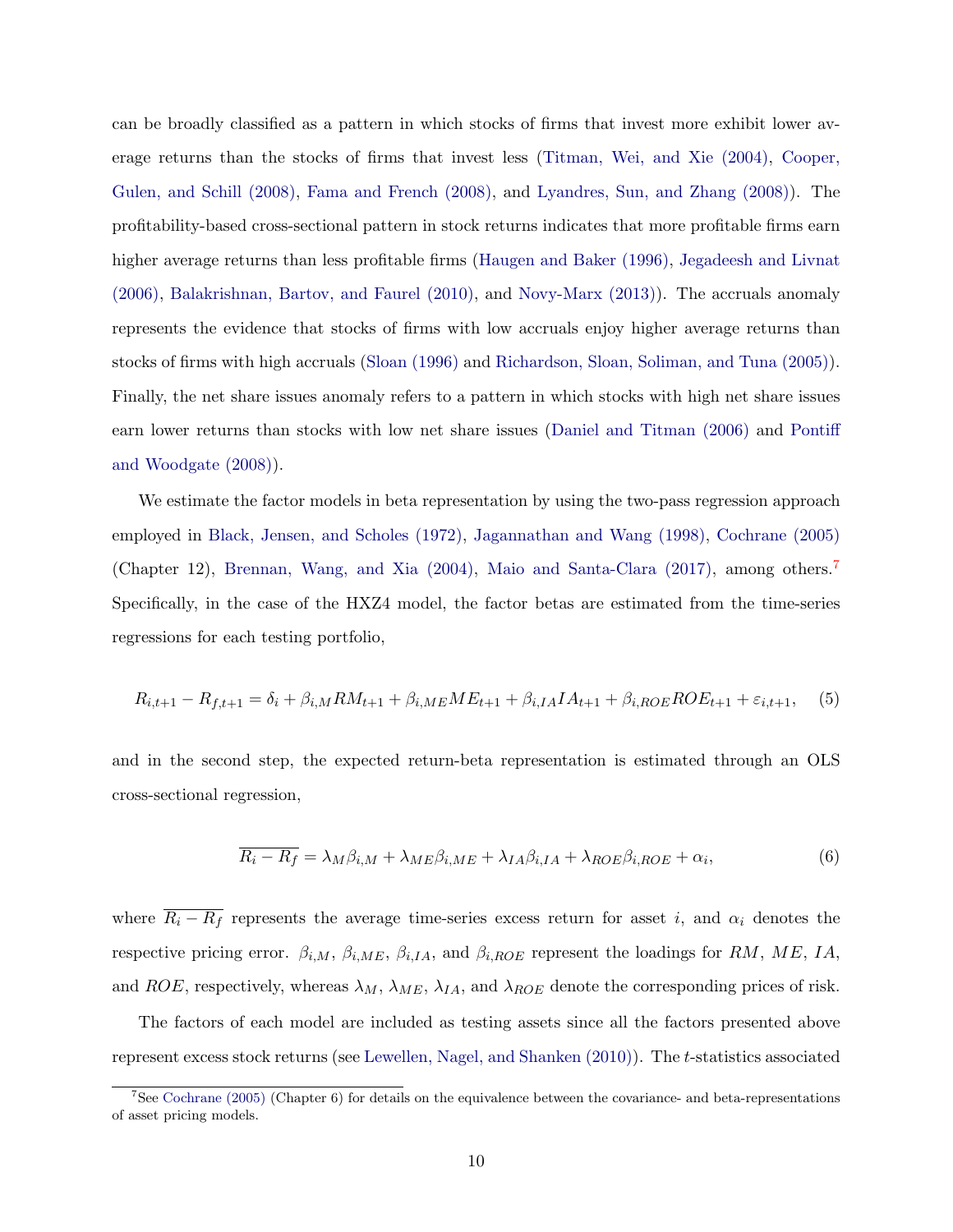can be broadly classified as a pattern in which stocks of firms that invest more exhibit lower average returns than the stocks of firms that invest less [\(Titman, Wei, and Xie \(2004\),](#page-41-1) [Cooper,](#page-37-0) [Gulen, and Schill \(2008\),](#page-37-0) [Fama and French \(2008\),](#page-38-1) and [Lyandres, Sun, and Zhang \(2008\)\)](#page-39-1). The profitability-based cross-sectional pattern in stock returns indicates that more profitable firms earn higher average returns than less profitable firms [\(Haugen and Baker \(1996\),](#page-38-2) [Jegadeesh and Livnat](#page-39-2) [\(2006\),](#page-39-2) [Balakrishnan, Bartov, and Faurel \(2010\),](#page-36-3) and [Novy-Marx \(2013\)\)](#page-40-0). The accruals anomaly represents the evidence that stocks of firms with low accruals enjoy higher average returns than stocks of firms with high accruals [\(Sloan \(1996\)](#page-41-5) and [Richardson, Sloan, Soliman, and Tuna \(2005\)\)](#page-41-6). Finally, the net share issues anomaly refers to a pattern in which stocks with high net share issues earn lower returns than stocks with low net share issues [\(Daniel and Titman \(2006\)](#page-37-5) and [Pontiff](#page-41-7) [and Woodgate \(2008\)\)](#page-41-7).

We estimate the factor models in beta representation by using the two-pass regression approach employed in [Black, Jensen, and Scholes \(1972\),](#page-36-6) [Jagannathan and Wang \(1998\),](#page-39-5) [Cochrane \(2005\)](#page-37-6) (Chapter 12), [Brennan, Wang, and Xia \(2004\),](#page-37-7) [Maio and Santa-Clara \(2017\),](#page-40-5) among others.[7](#page-12-0) Specifically, in the case of the HXZ4 model, the factor betas are estimated from the time-series regressions for each testing portfolio,

$$
R_{i,t+1} - R_{f,t+1} = \delta_i + \beta_{i,M} RM_{t+1} + \beta_{i,M} L_{t+1} + \beta_{i,IA} IA_{t+1} + \beta_{i,ROE} ROE_{t+1} + \varepsilon_{i,t+1}, \quad (5)
$$

and in the second step, the expected return-beta representation is estimated through an OLS cross-sectional regression,

$$
\overline{R_i - R_f} = \lambda_M \beta_{i,M} + \lambda_{ME} \beta_{i,ME} + \lambda_{IA} \beta_{i,IA} + \lambda_{ROE} \beta_{i,ROE} + \alpha_i,
$$
\n(6)

where  $\overline{R_i - R_f}$  represents the average time-series excess return for asset i, and  $\alpha_i$  denotes the respective pricing error.  $\beta_{i,M}, \beta_{i,ME}, \beta_{i,IA},$  and  $\beta_{i,ROE}$  represent the loadings for RM, ME, IA, and ROE, respectively, whereas  $\lambda_M$ ,  $\lambda_{ME}$ ,  $\lambda_{IA}$ , and  $\lambda_{ROE}$  denote the corresponding prices of risk.

The factors of each model are included as testing assets since all the factors presented above represent excess stock returns (see Lewellen, Nagel, and Shanken  $(2010)$ ). The t-statistics associated

<span id="page-12-0"></span><sup>&</sup>lt;sup>7</sup>See [Cochrane \(2005\)](#page-37-6) (Chapter 6) for details on the equivalence between the covariance- and beta-representations of asset pricing models.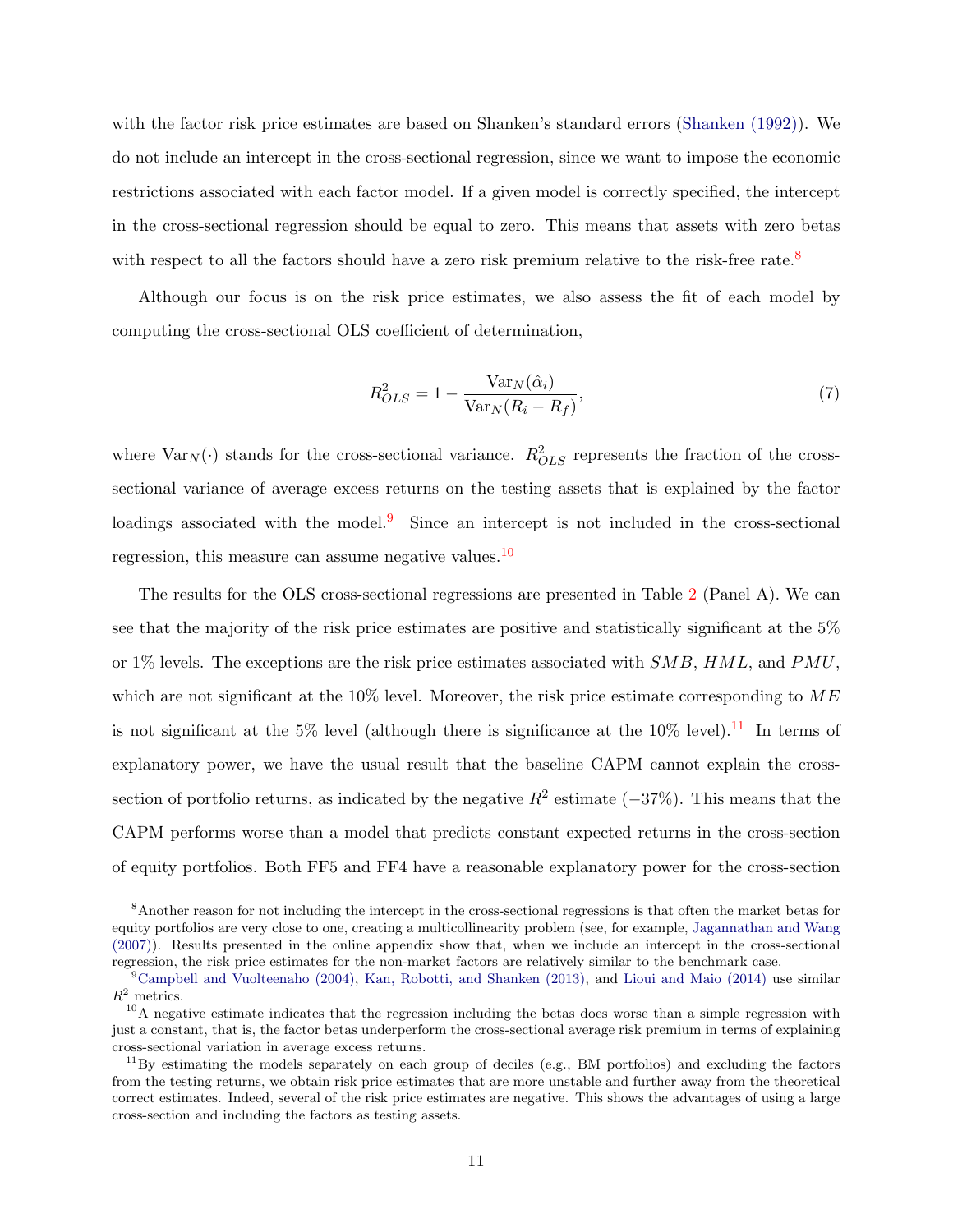with the factor risk price estimates are based on Shanken's standard errors [\(Shanken \(1992\)\)](#page-41-8). We do not include an intercept in the cross-sectional regression, since we want to impose the economic restrictions associated with each factor model. If a given model is correctly specified, the intercept in the cross-sectional regression should be equal to zero. This means that assets with zero betas with respect to all the factors should have a zero risk premium relative to the risk-free rate.<sup>[8](#page-13-0)</sup>

Although our focus is on the risk price estimates, we also assess the fit of each model by computing the cross-sectional OLS coefficient of determination,

$$
R_{OLS}^2 = 1 - \frac{\text{Var}_N(\hat{\alpha}_i)}{\text{Var}_N(\overline{R_i - R_f})},\tag{7}
$$

where  $Var_N(\cdot)$  stands for the cross-sectional variance.  $R_{OLS}^2$  represents the fraction of the crosssectional variance of average excess returns on the testing assets that is explained by the factor loadings associated with the model. $9$  Since an intercept is not included in the cross-sectional regression, this measure can assume negative values.[10](#page-13-2)

The results for the OLS cross-sectional regressions are presented in Table [2](#page-43-0) (Panel A). We can see that the majority of the risk price estimates are positive and statistically significant at the 5% or 1% levels. The exceptions are the risk price estimates associated with  $SMB$ ,  $HML$ , and  $PMU$ . which are not significant at the  $10\%$  level. Moreover, the risk price estimate corresponding to  $ME$ is not significant at the 5% level (although there is significance at the  $10\%$  level).<sup>[11](#page-13-3)</sup> In terms of explanatory power, we have the usual result that the baseline CAPM cannot explain the crosssection of portfolio returns, as indicated by the negative  $R^2$  estimate (-37%). This means that the CAPM performs worse than a model that predicts constant expected returns in the cross-section of equity portfolios. Both FF5 and FF4 have a reasonable explanatory power for the cross-section

<span id="page-13-0"></span><sup>8</sup>Another reason for not including the intercept in the cross-sectional regressions is that often the market betas for equity portfolios are very close to one, creating a multicollinearity problem (see, for example, [Jagannathan and Wang](#page-39-7) [\(2007\)\)](#page-39-7). Results presented in the online appendix show that, when we include an intercept in the cross-sectional regression, the risk price estimates for the non-market factors are relatively similar to the benchmark case.

<span id="page-13-1"></span><sup>9</sup>[Campbell and Vuolteenaho \(2004\),](#page-37-1) [Kan, Robotti, and Shanken \(2013\),](#page-39-8) and [Lioui and Maio \(2014\)](#page-39-9) use similar  $R^2$  metrics.

<span id="page-13-2"></span> $10$ A negative estimate indicates that the regression including the betas does worse than a simple regression with just a constant, that is, the factor betas underperform the cross-sectional average risk premium in terms of explaining cross-sectional variation in average excess returns.

<span id="page-13-3"></span> $11\,\text{By estimating the models separately on each group of deciles (e.g., BM portfolios) and excluding the factors.}$ from the testing returns, we obtain risk price estimates that are more unstable and further away from the theoretical correct estimates. Indeed, several of the risk price estimates are negative. This shows the advantages of using a large cross-section and including the factors as testing assets.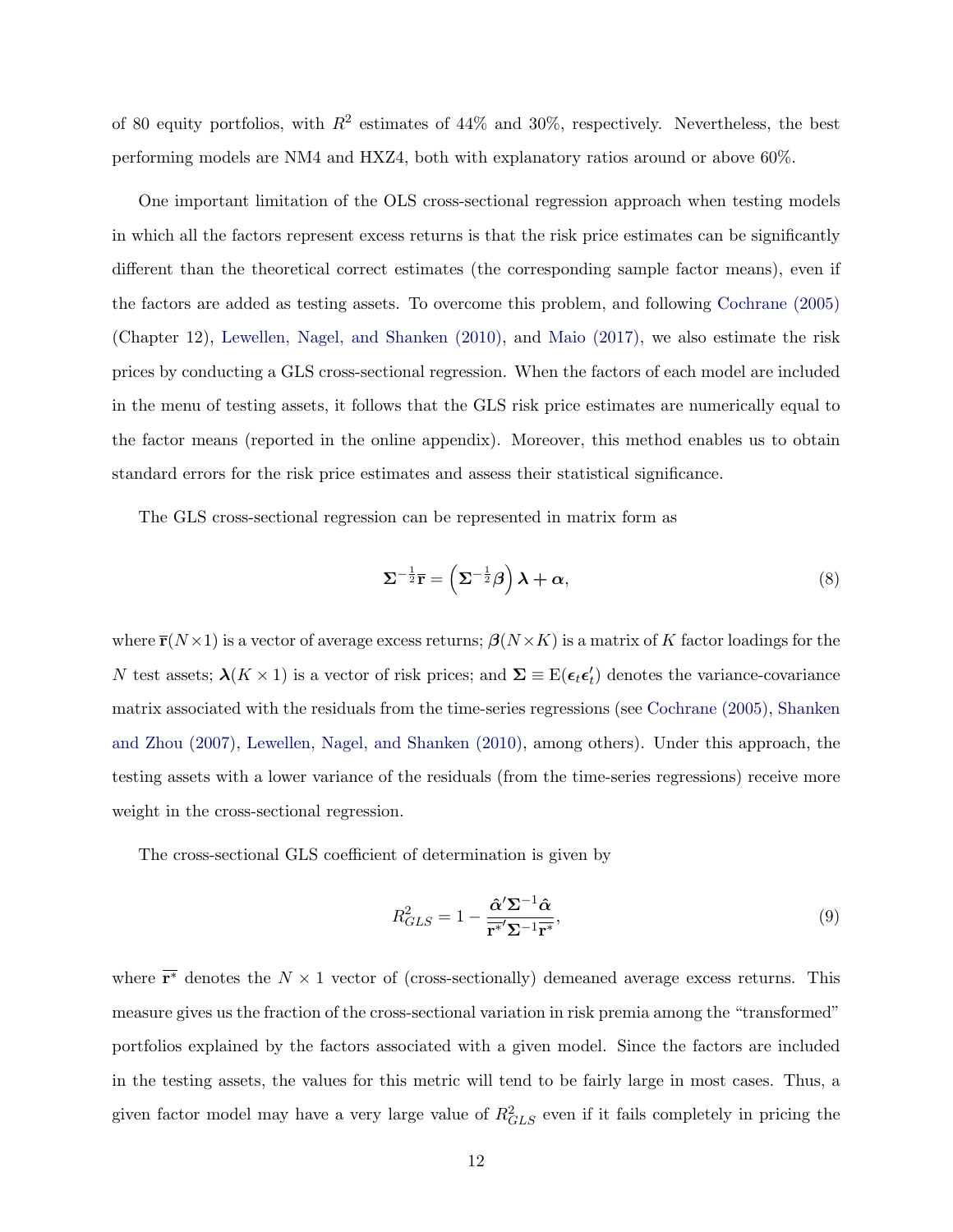of 80 equity portfolios, with  $R^2$  estimates of 44% and 30%, respectively. Nevertheless, the best performing models are NM4 and HXZ4, both with explanatory ratios around or above 60%.

One important limitation of the OLS cross-sectional regression approach when testing models in which all the factors represent excess returns is that the risk price estimates can be significantly different than the theoretical correct estimates (the corresponding sample factor means), even if the factors are added as testing assets. To overcome this problem, and following [Cochrane \(2005\)](#page-37-6) (Chapter 12), [Lewellen, Nagel, and Shanken \(2010\),](#page-39-6) and [Maio \(2017\),](#page-40-4) we also estimate the risk prices by conducting a GLS cross-sectional regression. When the factors of each model are included in the menu of testing assets, it follows that the GLS risk price estimates are numerically equal to the factor means (reported in the online appendix). Moreover, this method enables us to obtain standard errors for the risk price estimates and assess their statistical significance.

The GLS cross-sectional regression can be represented in matrix form as

$$
\Sigma^{-\frac{1}{2}}\bar{\mathbf{r}} = \left(\Sigma^{-\frac{1}{2}}\beta\right)\lambda + \alpha,\tag{8}
$$

where  $\bar{\mathbf{r}}(N \times 1)$  is a vector of average excess returns;  $\beta(N \times K)$  is a matrix of K factor loadings for the N test assets;  $\lambda(K \times 1)$  is a vector of risk prices; and  $\Sigma = E(\epsilon_t \epsilon'_t)$  denotes the variance-covariance matrix associated with the residuals from the time-series regressions (see [Cochrane \(2005\),](#page-37-6) [Shanken](#page-41-9) [and Zhou \(2007\),](#page-41-9) [Lewellen, Nagel, and Shanken \(2010\),](#page-39-6) among others). Under this approach, the testing assets with a lower variance of the residuals (from the time-series regressions) receive more weight in the cross-sectional regression.

The cross-sectional GLS coefficient of determination is given by

$$
R_{GLS}^2 = 1 - \frac{\hat{\alpha}' \Sigma^{-1} \hat{\alpha}}{\mathbf{r}^* \Sigma^{-1} \mathbf{r}^*},\tag{9}
$$

where  $\overline{r^*}$  denotes the  $N \times 1$  vector of (cross-sectionally) demeaned average excess returns. This measure gives us the fraction of the cross-sectional variation in risk premia among the "transformed" portfolios explained by the factors associated with a given model. Since the factors are included in the testing assets, the values for this metric will tend to be fairly large in most cases. Thus, a given factor model may have a very large value of  $R_{GLS}^2$  even if it fails completely in pricing the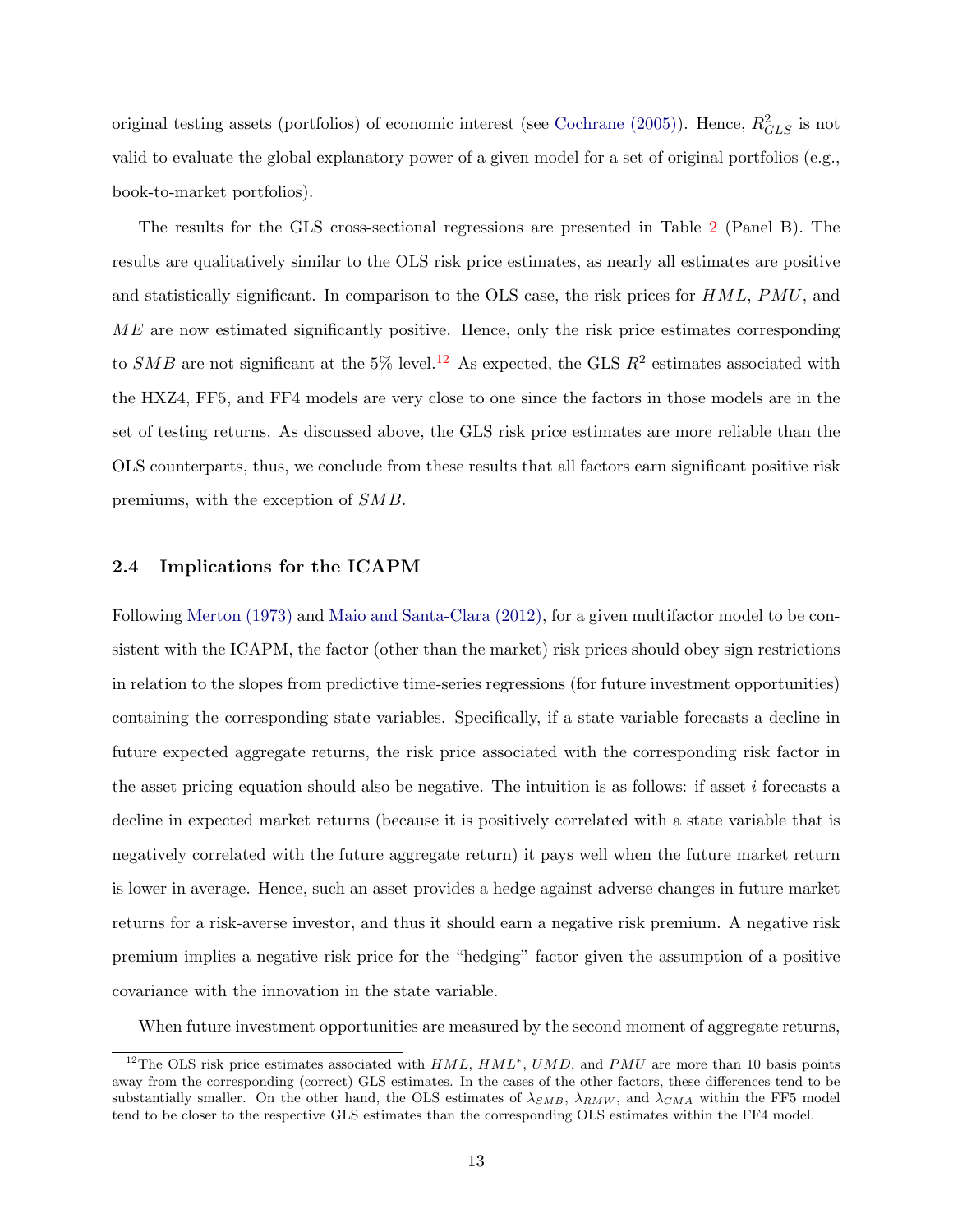original testing assets (portfolios) of economic interest (see [Cochrane \(2005\)\)](#page-37-6). Hence,  $R_{GLS}^2$  is not valid to evaluate the global explanatory power of a given model for a set of original portfolios (e.g., book-to-market portfolios).

The results for the GLS cross-sectional regressions are presented in Table [2](#page-43-0) (Panel B). The results are qualitatively similar to the OLS risk price estimates, as nearly all estimates are positive and statistically significant. In comparison to the OLS case, the risk prices for  $HML$ ,  $PMU$ , and ME are now estimated significantly positive. Hence, only the risk price estimates corresponding to SMB are not significant at the 5% level.<sup>[12](#page-15-0)</sup> As expected, the GLS  $R^2$  estimates associated with the HXZ4, FF5, and FF4 models are very close to one since the factors in those models are in the set of testing returns. As discussed above, the GLS risk price estimates are more reliable than the OLS counterparts, thus, we conclude from these results that all factors earn significant positive risk premiums, with the exception of SMB.

#### 2.4 Implications for the ICAPM

Following [Merton \(1973\)](#page-40-2) and [Maio and Santa-Clara \(2012\),](#page-40-3) for a given multifactor model to be consistent with the ICAPM, the factor (other than the market) risk prices should obey sign restrictions in relation to the slopes from predictive time-series regressions (for future investment opportunities) containing the corresponding state variables. Specifically, if a state variable forecasts a decline in future expected aggregate returns, the risk price associated with the corresponding risk factor in the asset pricing equation should also be negative. The intuition is as follows: if asset  $i$  forecasts a decline in expected market returns (because it is positively correlated with a state variable that is negatively correlated with the future aggregate return) it pays well when the future market return is lower in average. Hence, such an asset provides a hedge against adverse changes in future market returns for a risk-averse investor, and thus it should earn a negative risk premium. A negative risk premium implies a negative risk price for the "hedging" factor given the assumption of a positive covariance with the innovation in the state variable.

When future investment opportunities are measured by the second moment of aggregate returns,

<span id="page-15-0"></span><sup>&</sup>lt;sup>12</sup>The OLS risk price estimates associated with  $HML$ ,  $HML^*$ ,  $UMD$ , and  $PMU$  are more than 10 basis points away from the corresponding (correct) GLS estimates. In the cases of the other factors, these differences tend to be substantially smaller. On the other hand, the OLS estimates of  $\lambda_{SMB}$ ,  $\lambda_{RMW}$ , and  $\lambda_{CMA}$  within the FF5 model tend to be closer to the respective GLS estimates than the corresponding OLS estimates within the FF4 model.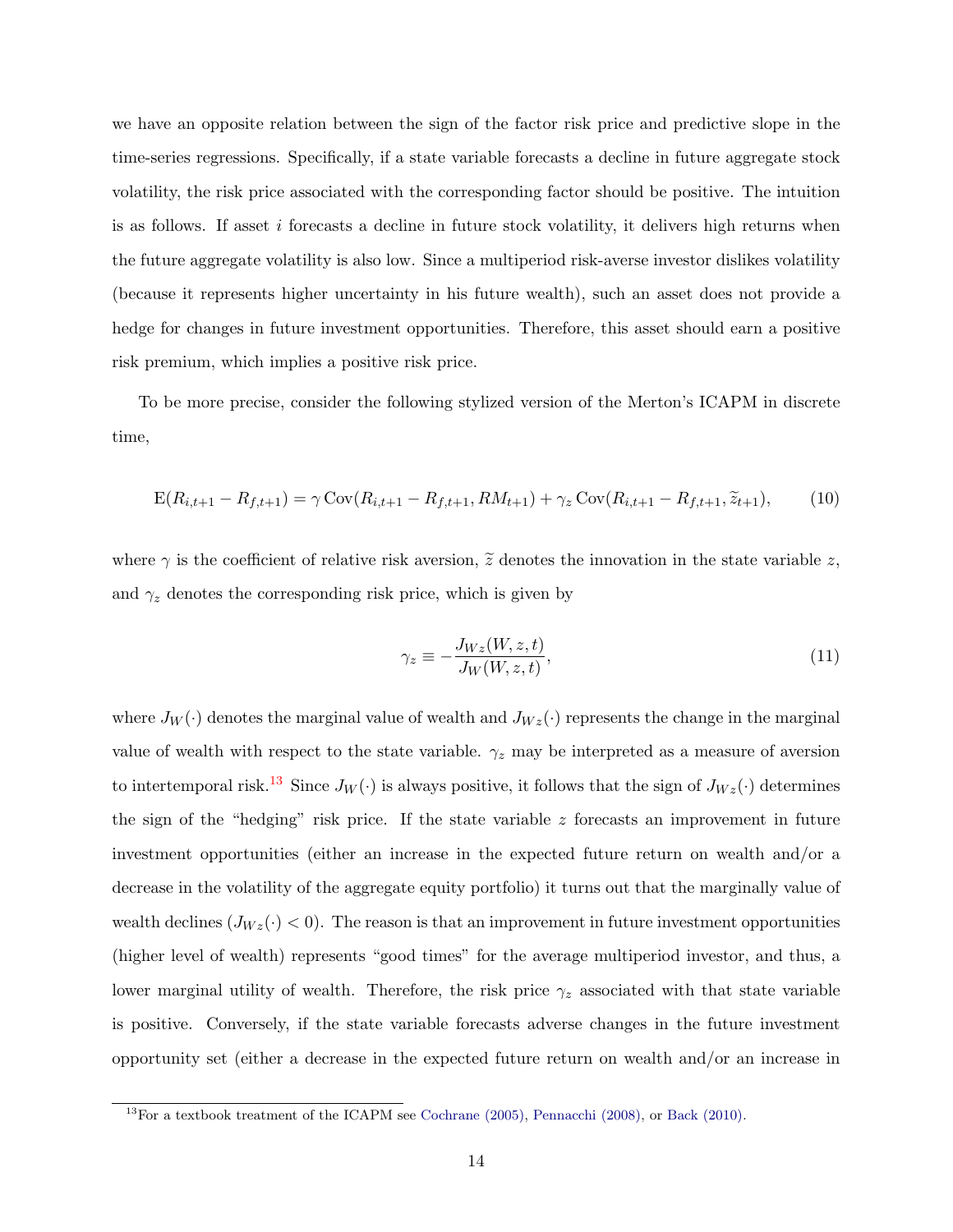we have an opposite relation between the sign of the factor risk price and predictive slope in the time-series regressions. Specifically, if a state variable forecasts a decline in future aggregate stock volatility, the risk price associated with the corresponding factor should be positive. The intuition is as follows. If asset  $i$  forecasts a decline in future stock volatility, it delivers high returns when the future aggregate volatility is also low. Since a multiperiod risk-averse investor dislikes volatility (because it represents higher uncertainty in his future wealth), such an asset does not provide a hedge for changes in future investment opportunities. Therefore, this asset should earn a positive risk premium, which implies a positive risk price.

To be more precise, consider the following stylized version of the Merton's ICAPM in discrete time,

$$
E(R_{i,t+1} - R_{f,t+1}) = \gamma \text{Cov}(R_{i,t+1} - R_{f,t+1}, RM_{t+1}) + \gamma_z \text{Cov}(R_{i,t+1} - R_{f,t+1}, \tilde{z}_{t+1}),
$$
(10)

where  $\gamma$  is the coefficient of relative risk aversion,  $\tilde{z}$  denotes the innovation in the state variable z, and  $\gamma_z$  denotes the corresponding risk price, which is given by

$$
\gamma_z \equiv -\frac{J_{Wz}(W, z, t)}{J_W(W, z, t)},\tag{11}
$$

where  $J_W(\cdot)$  denotes the marginal value of wealth and  $J_{Wz}(\cdot)$  represents the change in the marginal value of wealth with respect to the state variable.  $\gamma_z$  may be interpreted as a measure of aversion to intertemporal risk.<sup>[13](#page-16-0)</sup> Since  $J_W(\cdot)$  is always positive, it follows that the sign of  $J_{Wz}(\cdot)$  determines the sign of the "hedging" risk price. If the state variable  $z$  forecasts an improvement in future investment opportunities (either an increase in the expected future return on wealth and/or a decrease in the volatility of the aggregate equity portfolio) it turns out that the marginally value of wealth declines  $(J_{Wz}(\cdot) < 0)$ . The reason is that an improvement in future investment opportunities (higher level of wealth) represents "good times" for the average multiperiod investor, and thus, a lower marginal utility of wealth. Therefore, the risk price  $\gamma_z$  associated with that state variable is positive. Conversely, if the state variable forecasts adverse changes in the future investment opportunity set (either a decrease in the expected future return on wealth and/or an increase in

<span id="page-16-0"></span><sup>&</sup>lt;sup>13</sup>For a textbook treatment of the ICAPM see [Cochrane \(2005\),](#page-37-6) [Pennacchi \(2008\),](#page-40-6) or [Back \(2010\).](#page-36-7)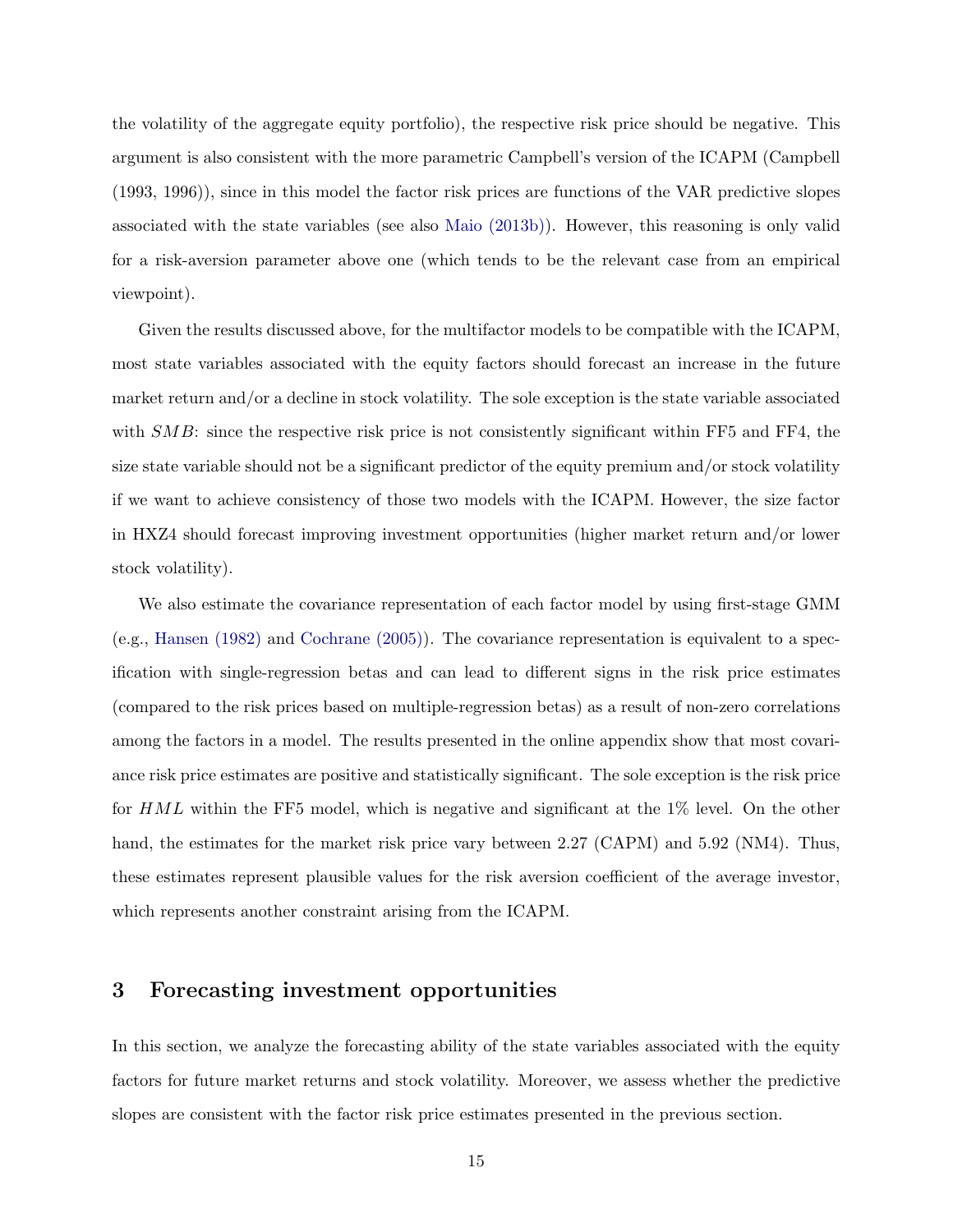the volatility of the aggregate equity portfolio), the respective risk price should be negative. This argument is also consistent with the more parametric Campbell's version of the ICAPM (Campbell (1993, 1996)), since in this model the factor risk prices are functions of the VAR predictive slopes associated with the state variables (see also [Maio \(2013b\)\)](#page-40-7). However, this reasoning is only valid for a risk-aversion parameter above one (which tends to be the relevant case from an empirical viewpoint).

Given the results discussed above, for the multifactor models to be compatible with the ICAPM, most state variables associated with the equity factors should forecast an increase in the future market return and/or a decline in stock volatility. The sole exception is the state variable associated with  $SMB$ : since the respective risk price is not consistently significant within FF5 and FF4, the size state variable should not be a significant predictor of the equity premium and/or stock volatility if we want to achieve consistency of those two models with the ICAPM. However, the size factor in HXZ4 should forecast improving investment opportunities (higher market return and/or lower stock volatility).

We also estimate the covariance representation of each factor model by using first-stage GMM (e.g., [Hansen \(1982\)](#page-38-7) and [Cochrane \(2005\)\)](#page-37-6). The covariance representation is equivalent to a specification with single-regression betas and can lead to different signs in the risk price estimates (compared to the risk prices based on multiple-regression betas) as a result of non-zero correlations among the factors in a model. The results presented in the online appendix show that most covariance risk price estimates are positive and statistically significant. The sole exception is the risk price for HML within the FF5 model, which is negative and significant at the 1% level. On the other hand, the estimates for the market risk price vary between 2.27 (CAPM) and 5.92 (NM4). Thus, these estimates represent plausible values for the risk aversion coefficient of the average investor, which represents another constraint arising from the ICAPM.

### <span id="page-17-0"></span>3 Forecasting investment opportunities

In this section, we analyze the forecasting ability of the state variables associated with the equity factors for future market returns and stock volatility. Moreover, we assess whether the predictive slopes are consistent with the factor risk price estimates presented in the previous section.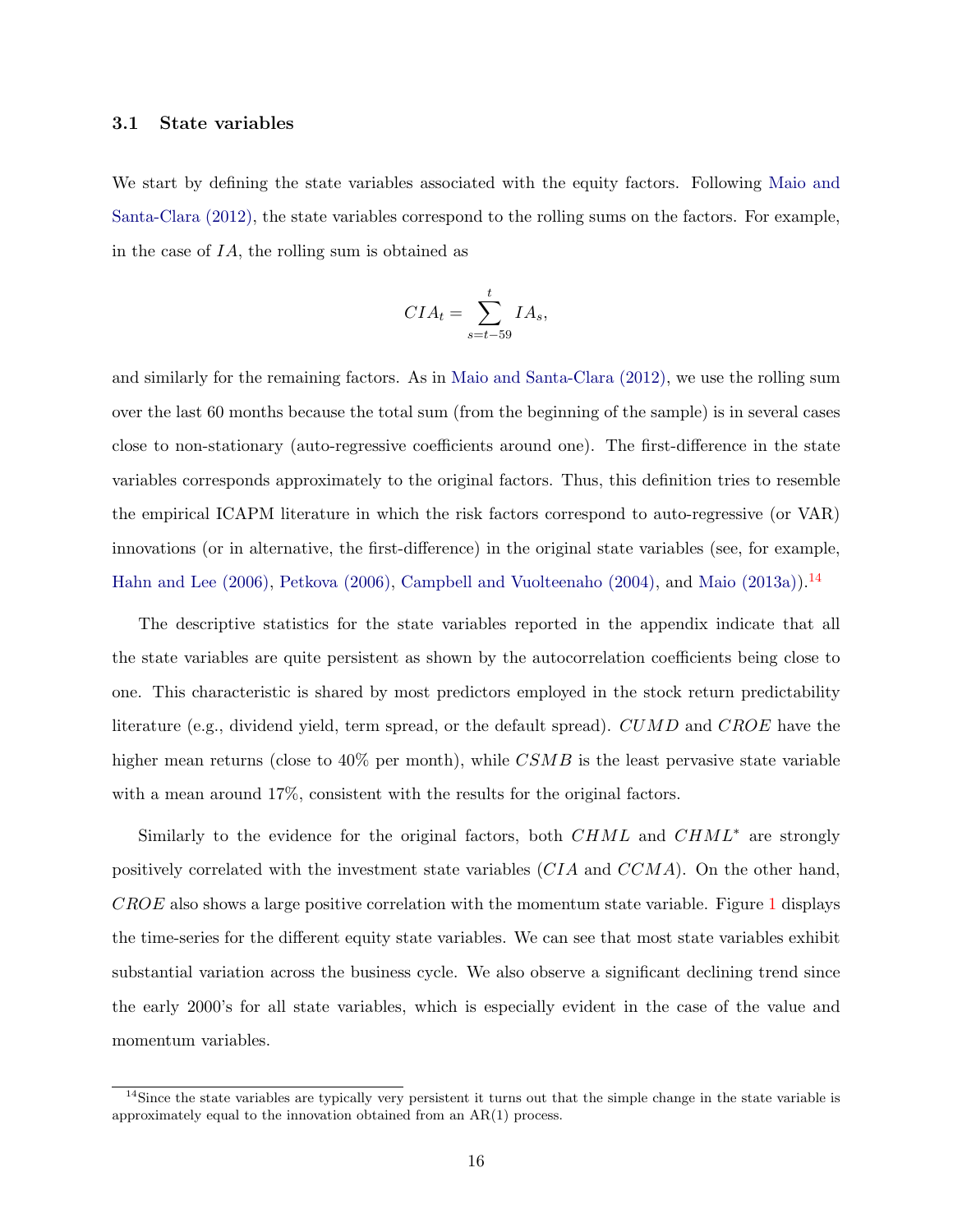#### 3.1 State variables

We start by defining the state variables associated with the equity factors. Following [Maio and](#page-40-3) [Santa-Clara \(2012\),](#page-40-3) the state variables correspond to the rolling sums on the factors. For example, in the case of IA, the rolling sum is obtained as

$$
CIA_t = \sum_{s=t-59}^{t} IA_s,
$$

and similarly for the remaining factors. As in [Maio and Santa-Clara \(2012\),](#page-40-3) we use the rolling sum over the last 60 months because the total sum (from the beginning of the sample) is in several cases close to non-stationary (auto-regressive coefficients around one). The first-difference in the state variables corresponds approximately to the original factors. Thus, this definition tries to resemble the empirical ICAPM literature in which the risk factors correspond to auto-regressive (or VAR) innovations (or in alternative, the first-difference) in the original state variables (see, for example, Hahn and Lee  $(2006)$ , Petkova  $(2006)$ , Campbell and Vuolteenaho  $(2004)$ , and Maio  $(2013a)$ .<sup>[14](#page-18-0)</sup>

The descriptive statistics for the state variables reported in the appendix indicate that all the state variables are quite persistent as shown by the autocorrelation coefficients being close to one. This characteristic is shared by most predictors employed in the stock return predictability literature (e.g., dividend yield, term spread, or the default spread). CUMD and CROE have the higher mean returns (close to  $40\%$  per month), while CSMB is the least pervasive state variable with a mean around  $17\%$ , consistent with the results for the original factors.

Similarly to the evidence for the original factors, both  $CHML$  and  $CHML^*$  are strongly positively correlated with the investment state variables  $(CIA$  and  $CCMA)$ . On the other hand, CROE also shows a large positive correlation with the momentum state variable. Figure [1](#page-49-0) displays the time-series for the different equity state variables. We can see that most state variables exhibit substantial variation across the business cycle. We also observe a significant declining trend since the early 2000's for all state variables, which is especially evident in the case of the value and momentum variables.

<span id="page-18-0"></span> $14$ Since the state variables are typically very persistent it turns out that the simple change in the state variable is approximately equal to the innovation obtained from an AR(1) process.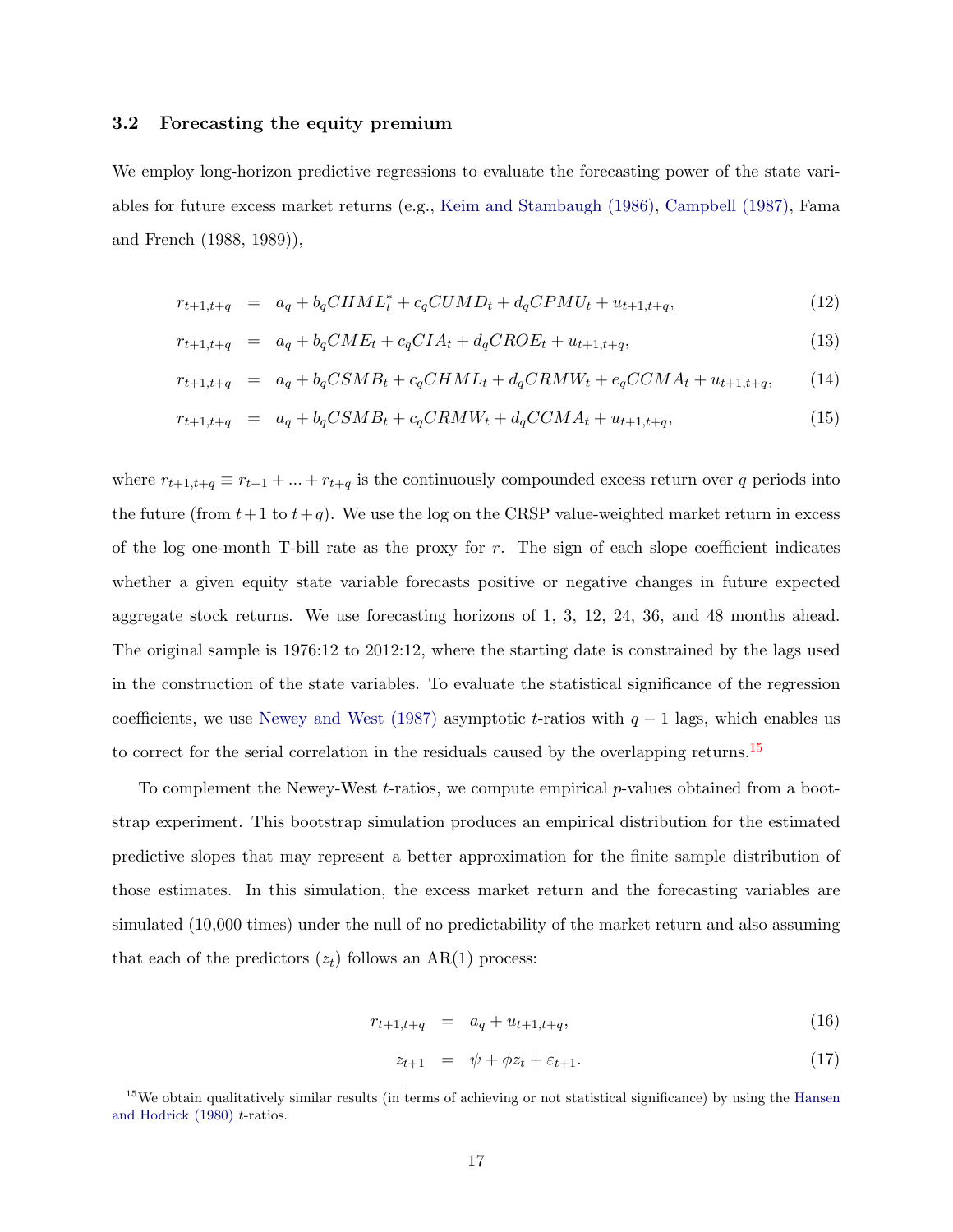#### 3.2 Forecasting the equity premium

We employ long-horizon predictive regressions to evaluate the forecasting power of the state variables for future excess market returns (e.g., [Keim and Stambaugh \(1986\),](#page-39-10) [Campbell \(1987\),](#page-37-8) Fama and French (1988, 1989)),

$$
r_{t+1,t+q} = a_q + b_q CHML_t^* + c_q CUMD_t + d_q CPMU_t + u_{t+1,t+q},
$$
\n(12)

$$
r_{t+1,t+q} = a_q + b_q C M E_t + c_q C I A_t + d_q C R O E_t + u_{t+1,t+q},
$$
\n(13)

$$
r_{t+1,t+q} = a_q + b_q C S M B_t + c_q C H M L_t + d_q C R M W_t + e_q C C M A_t + u_{t+1,t+q}, \qquad (14)
$$

$$
r_{t+1,t+q} = a_q + b_q C S M B_t + c_q C R M W_t + d_q C C M A_t + u_{t+1,t+q},
$$
\n(15)

where  $r_{t+1,t+q} \equiv r_{t+1} + ... + r_{t+q}$  is the continuously compounded excess return over q periods into the future (from  $t+1$  to  $t+q$ ). We use the log on the CRSP value-weighted market return in excess of the log one-month T-bill rate as the proxy for  $r$ . The sign of each slope coefficient indicates whether a given equity state variable forecasts positive or negative changes in future expected aggregate stock returns. We use forecasting horizons of 1, 3, 12, 24, 36, and 48 months ahead. The original sample is 1976:12 to 2012:12, where the starting date is constrained by the lags used in the construction of the state variables. To evaluate the statistical significance of the regression coefficients, we use [Newey and West \(1987\)](#page-40-10) asymptotic t-ratios with  $q - 1$  lags, which enables us to correct for the serial correlation in the residuals caused by the overlapping returns.<sup>[15](#page-19-0)</sup>

To complement the Newey-West  $t$ -ratios, we compute empirical  $p$ -values obtained from a bootstrap experiment. This bootstrap simulation produces an empirical distribution for the estimated predictive slopes that may represent a better approximation for the finite sample distribution of those estimates. In this simulation, the excess market return and the forecasting variables are simulated (10,000 times) under the null of no predictability of the market return and also assuming that each of the predictors  $(z_t)$  follows an AR(1) process:

$$
r_{t+1,t+q} = a_q + u_{t+1,t+q}, \tag{16}
$$

$$
z_{t+1} = \psi + \phi z_t + \varepsilon_{t+1}.\tag{17}
$$

<span id="page-19-0"></span> $15$ We obtain qualitatively similar results (in terms of achieving or not statistical significance) by using the [Hansen](#page-38-9) [and Hodrick \(1980\)](#page-38-9) t-ratios.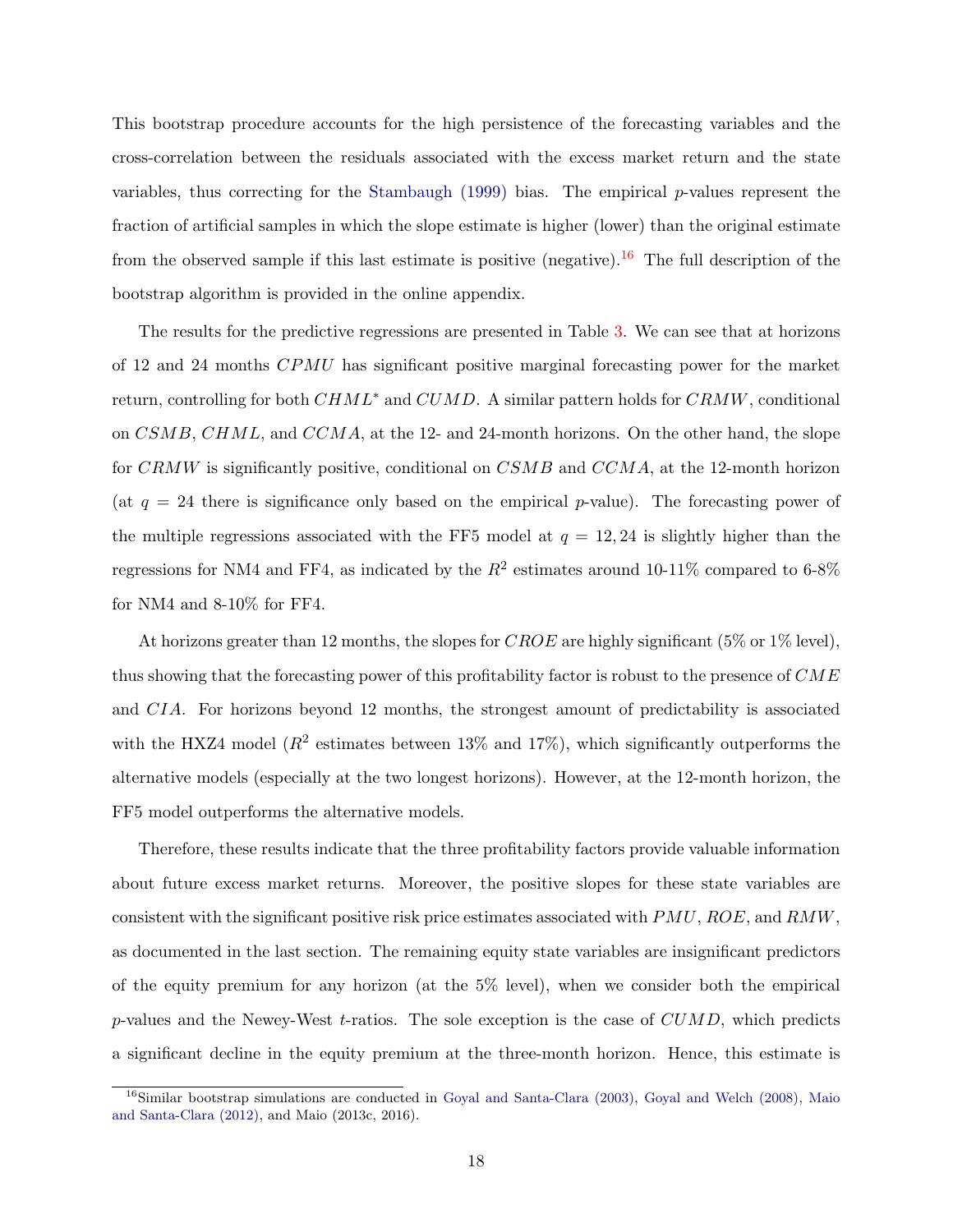This bootstrap procedure accounts for the high persistence of the forecasting variables and the cross-correlation between the residuals associated with the excess market return and the state variables, thus correcting for the [Stambaugh \(1999\)](#page-41-10) bias. The empirical p-values represent the fraction of artificial samples in which the slope estimate is higher (lower) than the original estimate from the observed sample if this last estimate is positive (negative).<sup>[16](#page-20-0)</sup> The full description of the bootstrap algorithm is provided in the online appendix.

The results for the predictive regressions are presented in Table [3.](#page-44-0) We can see that at horizons of 12 and 24 months CPMU has significant positive marginal forecasting power for the market return, controlling for both  $CHML^*$  and  $CUMD$ . A similar pattern holds for  $CRMW$ , conditional on CSMB, CHML, and CCMA, at the 12- and 24-month horizons. On the other hand, the slope for CRMW is significantly positive, conditional on CSMB and CCMA, at the 12-month horizon (at  $q = 24$  there is significance only based on the empirical p-value). The forecasting power of the multiple regressions associated with the FF5 model at  $q = 12, 24$  is slightly higher than the regressions for NM4 and FF4, as indicated by the  $R^2$  estimates around 10-11% compared to 6-8% for NM4 and 8-10% for FF4.

At horizons greater than 12 months, the slopes for CROE are highly significant (5% or 1% level), thus showing that the forecasting power of this profitability factor is robust to the presence of CME and CIA. For horizons beyond 12 months, the strongest amount of predictability is associated with the HXZ4 model ( $R^2$  estimates between 13% and 17%), which significantly outperforms the alternative models (especially at the two longest horizons). However, at the 12-month horizon, the FF5 model outperforms the alternative models.

Therefore, these results indicate that the three profitability factors provide valuable information about future excess market returns. Moreover, the positive slopes for these state variables are consistent with the significant positive risk price estimates associated with  $PMU$ ,  $ROE$ , and  $RMW$ , as documented in the last section. The remaining equity state variables are insignificant predictors of the equity premium for any horizon (at the 5% level), when we consider both the empirical p-values and the Newey-West t-ratios. The sole exception is the case of  $CUMD$ , which predicts a significant decline in the equity premium at the three-month horizon. Hence, this estimate is

<span id="page-20-0"></span><sup>&</sup>lt;sup>16</sup>Similar bootstrap simulations are conducted in [Goyal and Santa-Clara \(2003\),](#page-38-10) [Goyal and Welch \(2008\),](#page-38-11) [Maio](#page-40-3) [and Santa-Clara \(2012\),](#page-40-3) and Maio (2013c, 2016).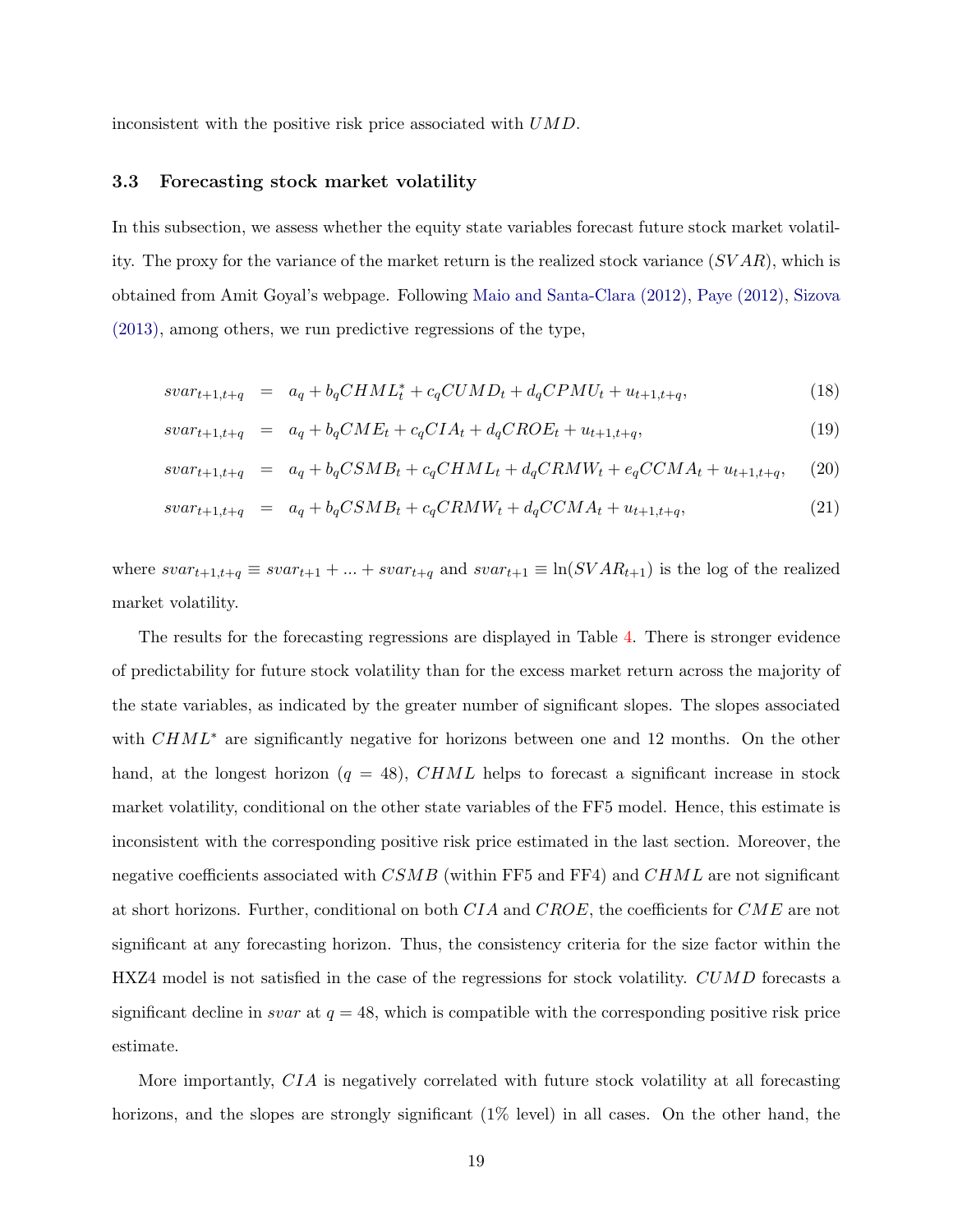inconsistent with the positive risk price associated with UMD.

#### 3.3 Forecasting stock market volatility

In this subsection, we assess whether the equity state variables forecast future stock market volatility. The proxy for the variance of the market return is the realized stock variance  $(SVAR)$ , which is obtained from Amit Goyal's webpage. Following [Maio and Santa-Clara \(2012\),](#page-40-3) [Paye \(2012\),](#page-40-11) [Sizova](#page-41-11) [\(2013\),](#page-41-11) among others, we run predictive regressions of the type,

$$
svar_{t+1,t+q} = a_q + b_q CHML_t^* + c_q CUMD_t + d_q CPMU_t + u_{t+1,t+q},
$$
\n(18)

$$
svar_{t+1,t+q} = a_q + b_q C M E_t + c_q C I A_t + d_q C R O E_t + u_{t+1,t+q},
$$
\n(19)

$$
svar_{t+1,t+q} = a_q + b_q C S M B_t + c_q C H M L_t + d_q C R M W_t + e_q C C M A_t + u_{t+1,t+q}, \quad (20)
$$

$$
svar_{t+1,t+q} = a_q + b_q CSMB_t + c_q CRMW_t + d_q CCMA_t + u_{t+1,t+q}, \qquad (21)
$$

where  $svar_{t+1,t+q} \equiv svar_{t+1} + ... + svar_{t+q}$  and  $svar_{t+1} \equiv \ln(SVAR_{t+1})$  is the log of the realized market volatility.

The results for the forecasting regressions are displayed in Table [4.](#page-46-0) There is stronger evidence of predictability for future stock volatility than for the excess market return across the majority of the state variables, as indicated by the greater number of significant slopes. The slopes associated with  $CHML^*$  are significantly negative for horizons between one and 12 months. On the other hand, at the longest horizon  $(q = 48)$ , CHML helps to forecast a significant increase in stock market volatility, conditional on the other state variables of the FF5 model. Hence, this estimate is inconsistent with the corresponding positive risk price estimated in the last section. Moreover, the negative coefficients associated with  $CSMB$  (within FF5 and FF4) and  $CHML$  are not significant at short horizons. Further, conditional on both  $CIA$  and  $CROE$ , the coefficients for  $CME$  are not significant at any forecasting horizon. Thus, the consistency criteria for the size factor within the HXZ4 model is not satisfied in the case of the regressions for stock volatility. CUMD forecasts a significant decline in svar at  $q = 48$ , which is compatible with the corresponding positive risk price estimate.

More importantly, CIA is negatively correlated with future stock volatility at all forecasting horizons, and the slopes are strongly significant  $(1\%$  level) in all cases. On the other hand, the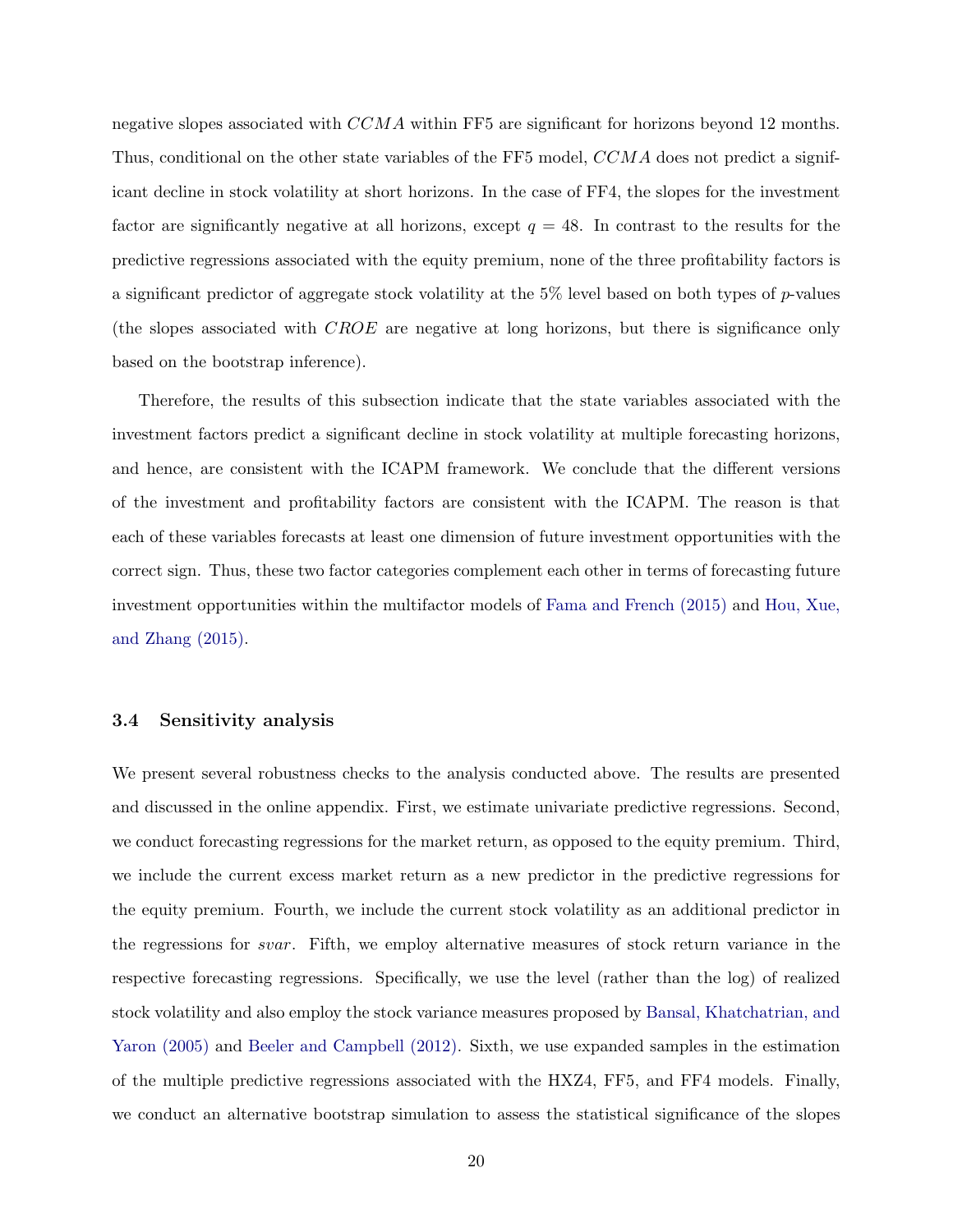negative slopes associated with CCMA within FF5 are significant for horizons beyond 12 months. Thus, conditional on the other state variables of the FF5 model, CCMA does not predict a significant decline in stock volatility at short horizons. In the case of FF4, the slopes for the investment factor are significantly negative at all horizons, except  $q = 48$ . In contrast to the results for the predictive regressions associated with the equity premium, none of the three profitability factors is a significant predictor of aggregate stock volatility at the  $5\%$  level based on both types of p-values (the slopes associated with CROE are negative at long horizons, but there is significance only based on the bootstrap inference).

Therefore, the results of this subsection indicate that the state variables associated with the investment factors predict a significant decline in stock volatility at multiple forecasting horizons, and hence, are consistent with the ICAPM framework. We conclude that the different versions of the investment and profitability factors are consistent with the ICAPM. The reason is that each of these variables forecasts at least one dimension of future investment opportunities with the correct sign. Thus, these two factor categories complement each other in terms of forecasting future investment opportunities within the multifactor models of [Fama and French \(2015\)](#page-38-4) and [Hou, Xue,](#page-38-0) [and Zhang \(2015\).](#page-38-0)

#### 3.4 Sensitivity analysis

We present several robustness checks to the analysis conducted above. The results are presented and discussed in the online appendix. First, we estimate univariate predictive regressions. Second, we conduct forecasting regressions for the market return, as opposed to the equity premium. Third, we include the current excess market return as a new predictor in the predictive regressions for the equity premium. Fourth, we include the current stock volatility as an additional predictor in the regressions for svar. Fifth, we employ alternative measures of stock return variance in the respective forecasting regressions. Specifically, we use the level (rather than the log) of realized stock volatility and also employ the stock variance measures proposed by [Bansal, Khatchatrian, and](#page-36-8) [Yaron \(2005\)](#page-36-8) and [Beeler and Campbell \(2012\).](#page-36-9) Sixth, we use expanded samples in the estimation of the multiple predictive regressions associated with the HXZ4, FF5, and FF4 models. Finally, we conduct an alternative bootstrap simulation to assess the statistical significance of the slopes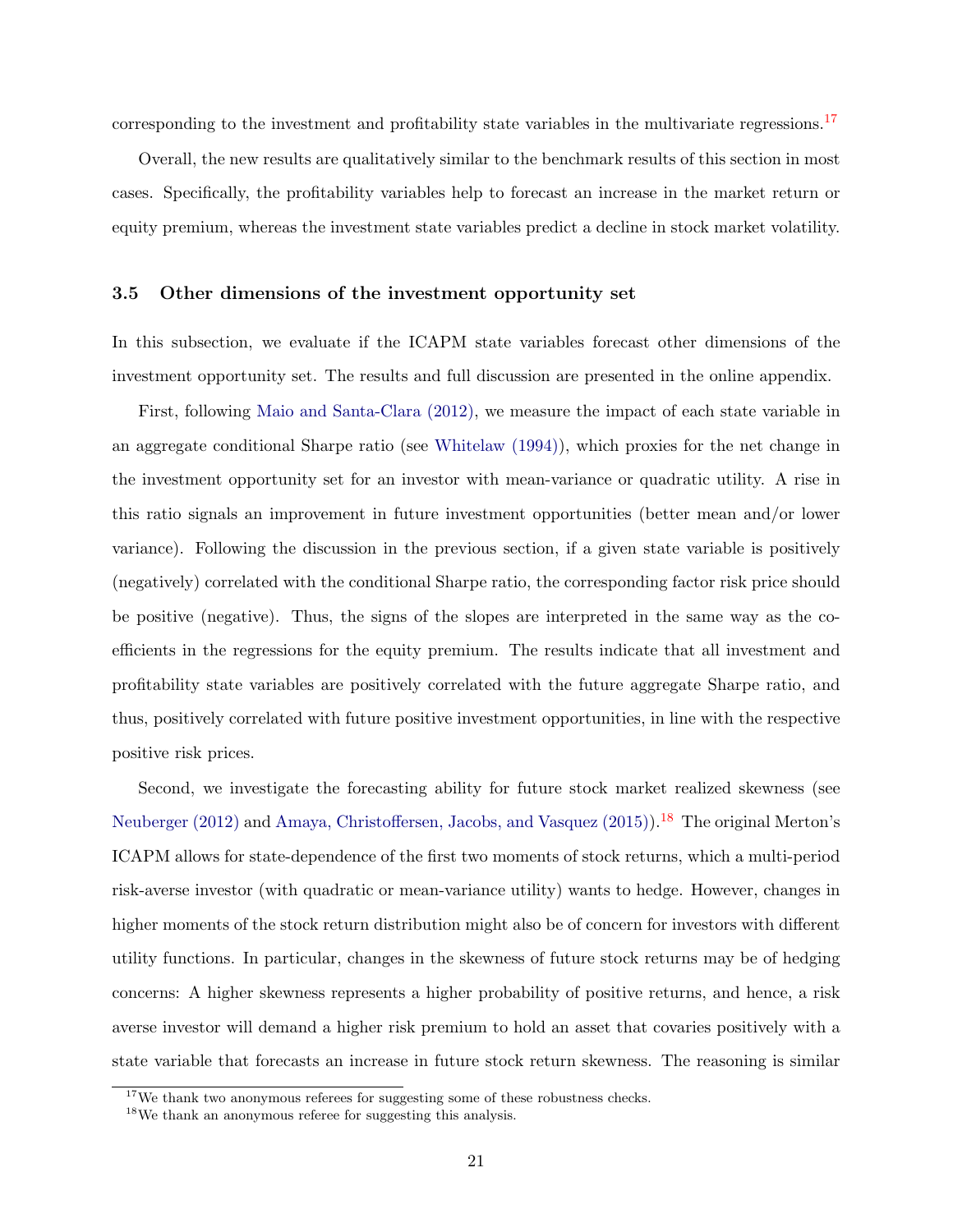corresponding to the investment and profitability state variables in the multivariate regressions.<sup>[17](#page-23-0)</sup>

Overall, the new results are qualitatively similar to the benchmark results of this section in most cases. Specifically, the profitability variables help to forecast an increase in the market return or equity premium, whereas the investment state variables predict a decline in stock market volatility.

### 3.5 Other dimensions of the investment opportunity set

In this subsection, we evaluate if the ICAPM state variables forecast other dimensions of the investment opportunity set. The results and full discussion are presented in the online appendix.

First, following [Maio and Santa-Clara \(2012\),](#page-40-3) we measure the impact of each state variable in an aggregate conditional Sharpe ratio (see [Whitelaw \(1994\)\)](#page-41-12), which proxies for the net change in the investment opportunity set for an investor with mean-variance or quadratic utility. A rise in this ratio signals an improvement in future investment opportunities (better mean and/or lower variance). Following the discussion in the previous section, if a given state variable is positively (negatively) correlated with the conditional Sharpe ratio, the corresponding factor risk price should be positive (negative). Thus, the signs of the slopes are interpreted in the same way as the coefficients in the regressions for the equity premium. The results indicate that all investment and profitability state variables are positively correlated with the future aggregate Sharpe ratio, and thus, positively correlated with future positive investment opportunities, in line with the respective positive risk prices.

Second, we investigate the forecasting ability for future stock market realized skewness (see [Neuberger \(2012\)](#page-40-12) and [Amaya, Christoffersen, Jacobs, and Vasquez \(2015\)\)](#page-36-10).<sup>[18](#page-23-1)</sup> The original Merton's ICAPM allows for state-dependence of the first two moments of stock returns, which a multi-period risk-averse investor (with quadratic or mean-variance utility) wants to hedge. However, changes in higher moments of the stock return distribution might also be of concern for investors with different utility functions. In particular, changes in the skewness of future stock returns may be of hedging concerns: A higher skewness represents a higher probability of positive returns, and hence, a risk averse investor will demand a higher risk premium to hold an asset that covaries positively with a state variable that forecasts an increase in future stock return skewness. The reasoning is similar

<span id="page-23-0"></span> $17$ We thank two anonymous referees for suggesting some of these robustness checks.

<span id="page-23-1"></span><sup>18</sup>We thank an anonymous referee for suggesting this analysis.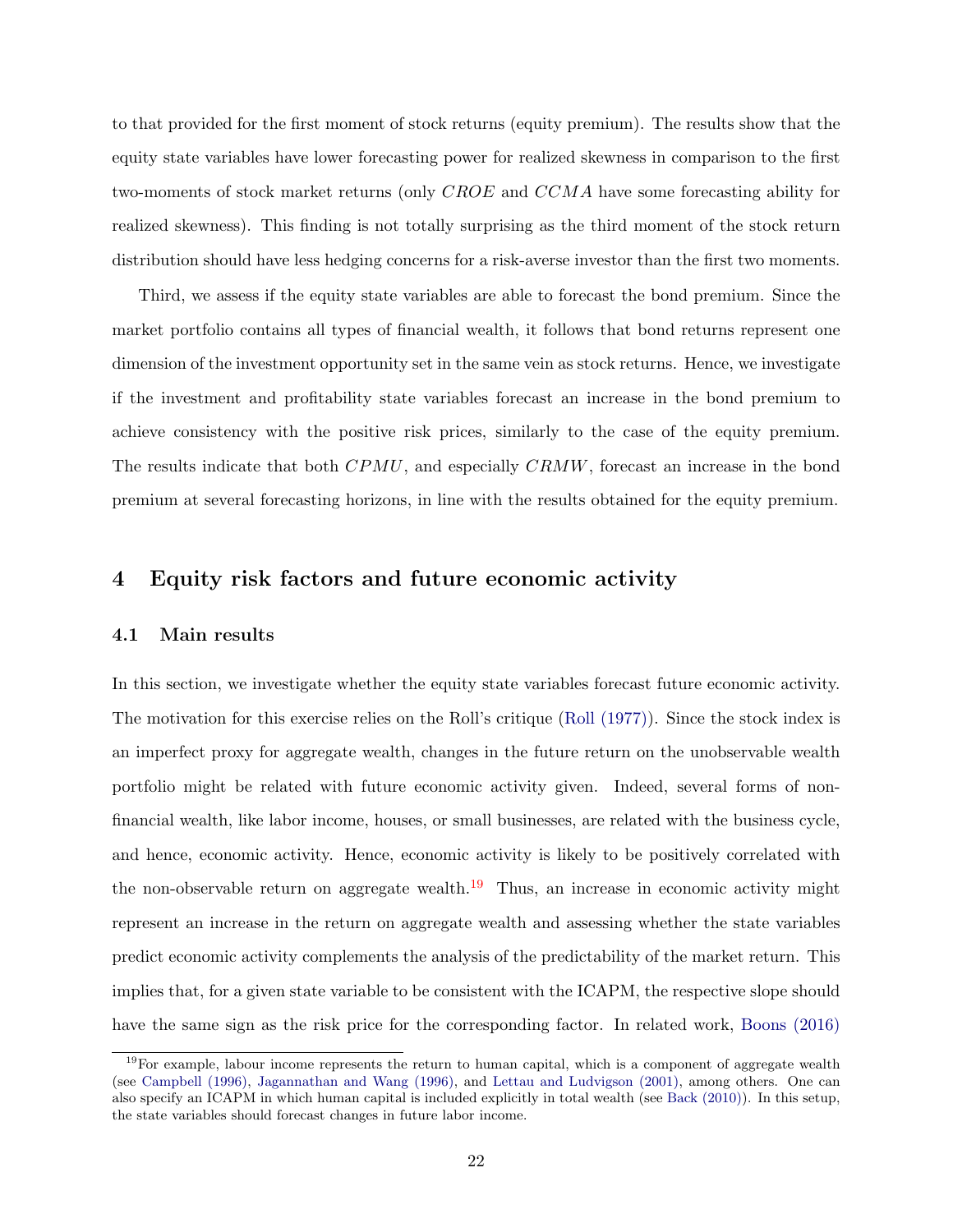to that provided for the first moment of stock returns (equity premium). The results show that the equity state variables have lower forecasting power for realized skewness in comparison to the first two-moments of stock market returns (only CROE and CCMA have some forecasting ability for realized skewness). This finding is not totally surprising as the third moment of the stock return distribution should have less hedging concerns for a risk-averse investor than the first two moments.

Third, we assess if the equity state variables are able to forecast the bond premium. Since the market portfolio contains all types of financial wealth, it follows that bond returns represent one dimension of the investment opportunity set in the same vein as stock returns. Hence, we investigate if the investment and profitability state variables forecast an increase in the bond premium to achieve consistency with the positive risk prices, similarly to the case of the equity premium. The results indicate that both CPMU, and especially CRMW, forecast an increase in the bond premium at several forecasting horizons, in line with the results obtained for the equity premium.

### <span id="page-24-0"></span>4 Equity risk factors and future economic activity

#### 4.1 Main results

In this section, we investigate whether the equity state variables forecast future economic activity. The motivation for this exercise relies on the Roll's critique [\(Roll \(1977\)\)](#page-41-3). Since the stock index is an imperfect proxy for aggregate wealth, changes in the future return on the unobservable wealth portfolio might be related with future economic activity given. Indeed, several forms of nonfinancial wealth, like labor income, houses, or small businesses, are related with the business cycle, and hence, economic activity. Hence, economic activity is likely to be positively correlated with the non-observable return on aggregate wealth. $^{19}$  $^{19}$  $^{19}$  Thus, an increase in economic activity might represent an increase in the return on aggregate wealth and assessing whether the state variables predict economic activity complements the analysis of the predictability of the market return. This implies that, for a given state variable to be consistent with the ICAPM, the respective slope should have the same sign as the risk price for the corresponding factor. In related work, [Boons \(2016\)](#page-36-4)

<span id="page-24-1"></span><sup>&</sup>lt;sup>19</sup>For example, labour income represents the return to human capital, which is a component of aggregate wealth (see [Campbell \(1996\),](#page-37-9) [Jagannathan and Wang \(1996\),](#page-39-11) and [Lettau and Ludvigson \(2001\),](#page-39-12) among others. One can also specify an ICAPM in which human capital is included explicitly in total wealth (see [Back \(2010\)\)](#page-36-7). In this setup, the state variables should forecast changes in future labor income.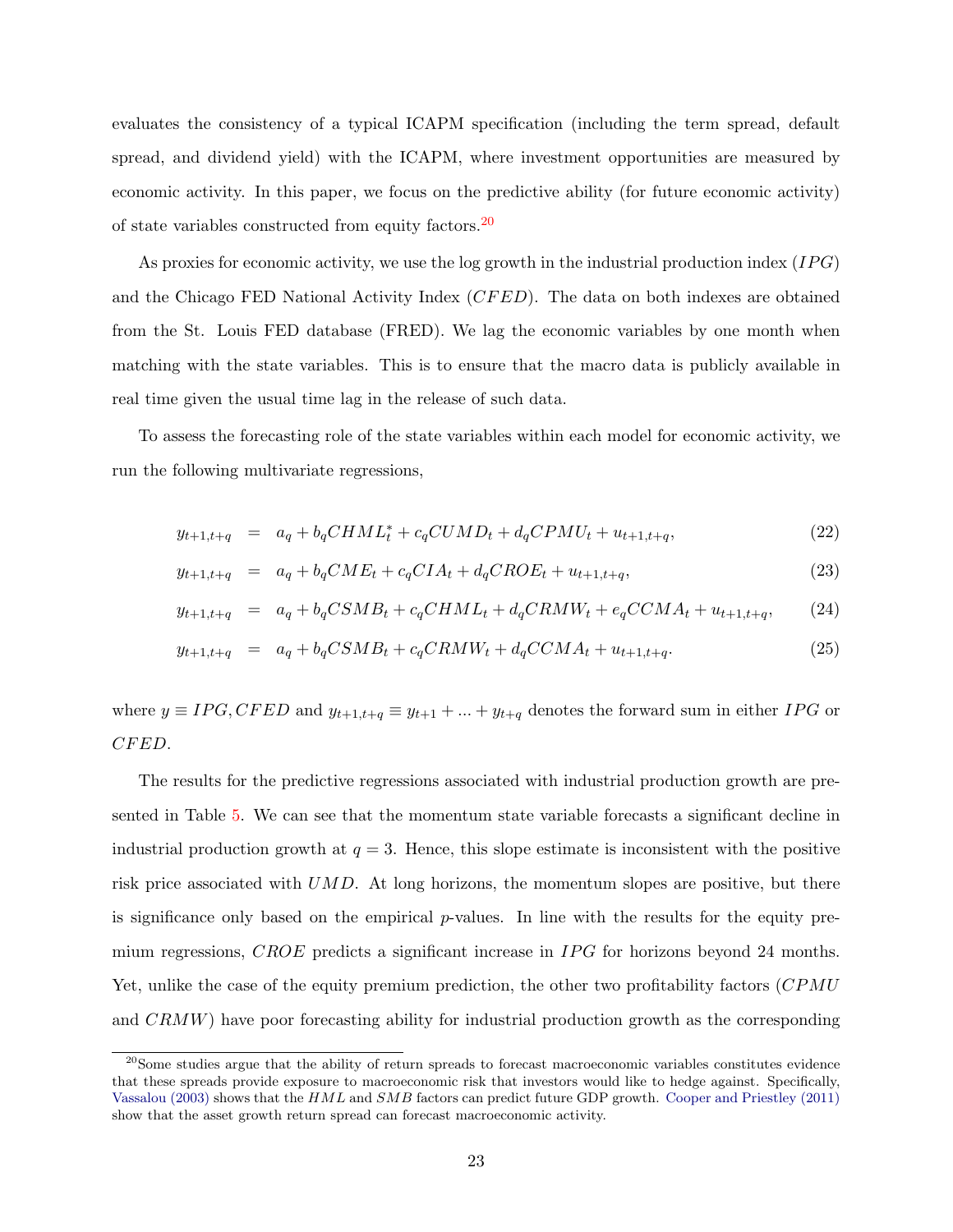evaluates the consistency of a typical ICAPM specification (including the term spread, default spread, and dividend yield) with the ICAPM, where investment opportunities are measured by economic activity. In this paper, we focus on the predictive ability (for future economic activity) of state variables constructed from equity factors.[20](#page-25-0)

As proxies for economic activity, we use the log growth in the industrial production index  $(IPG)$ and the Chicago FED National Activity Index (CFED). The data on both indexes are obtained from the St. Louis FED database (FRED). We lag the economic variables by one month when matching with the state variables. This is to ensure that the macro data is publicly available in real time given the usual time lag in the release of such data.

To assess the forecasting role of the state variables within each model for economic activity, we run the following multivariate regressions,

$$
y_{t+1,t+q} = a_q + b_q CHML_t^* + c_q CUMD_t + d_q CPMU_t + u_{t+1,t+q},
$$
\n(22)

$$
y_{t+1,t+q} = a_q + b_q C M E_t + c_q C I A_t + d_q C R O E_t + u_{t+1,t+q}, \qquad (23)
$$

$$
y_{t+1,t+q} = a_q + b_q C S M B_t + c_q C H M L_t + d_q C R M W_t + e_q C C M A_t + u_{t+1,t+q}, \qquad (24)
$$

$$
y_{t+1,t+q} = a_q + b_q C S M B_t + c_q C R M W_t + d_q C C M A_t + u_{t+1,t+q}.
$$
\n(25)

where  $y \equiv IPG, CFED$  and  $y_{t+1,t+q} \equiv y_{t+1} + ... + y_{t+q}$  denotes the forward sum in either IPG or CF ED.

The results for the predictive regressions associated with industrial production growth are presented in Table [5.](#page-47-0) We can see that the momentum state variable forecasts a significant decline in industrial production growth at  $q = 3$ . Hence, this slope estimate is inconsistent with the positive risk price associated with UMD. At long horizons, the momentum slopes are positive, but there is significance only based on the empirical  $p$ -values. In line with the results for the equity premium regressions, CROE predicts a significant increase in  $IPG$  for horizons beyond 24 months. Yet, unlike the case of the equity premium prediction, the other two profitability factors (CPMU) and CRMW) have poor forecasting ability for industrial production growth as the corresponding

<span id="page-25-0"></span><sup>&</sup>lt;sup>20</sup>Some studies argue that the ability of return spreads to forecast macroeconomic variables constitutes evidence that these spreads provide exposure to macroeconomic risk that investors would like to hedge against. Specifically, [Vassalou \(2003\)](#page-41-13) shows that the HML and SMB factors can predict future GDP growth. [Cooper and Priestley \(2011\)](#page-37-10) show that the asset growth return spread can forecast macroeconomic activity.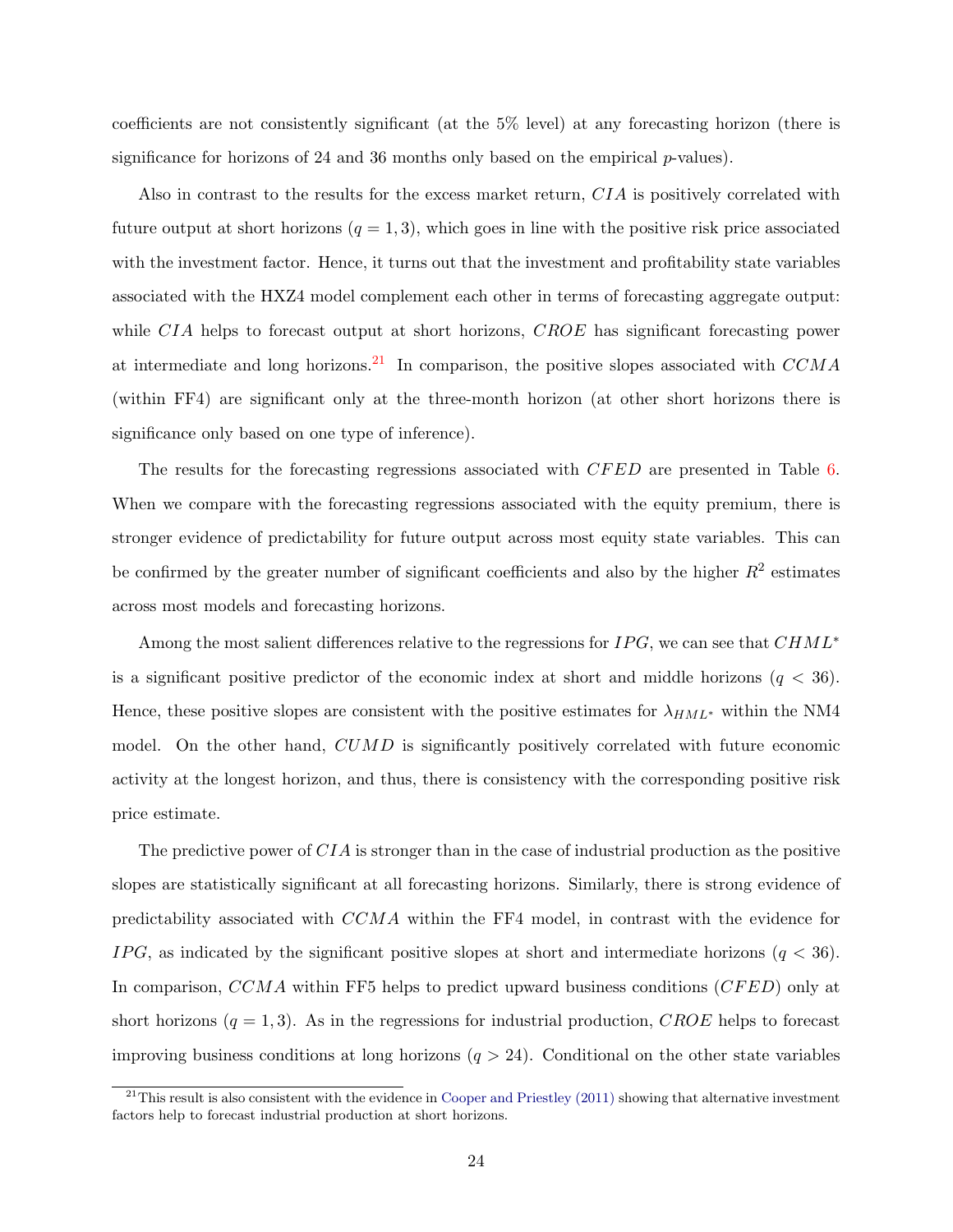coefficients are not consistently significant (at the 5% level) at any forecasting horizon (there is significance for horizons of 24 and 36 months only based on the empirical  $p$ -values).

Also in contrast to the results for the excess market return, CIA is positively correlated with future output at short horizons  $(q = 1, 3)$ , which goes in line with the positive risk price associated with the investment factor. Hence, it turns out that the investment and profitability state variables associated with the HXZ4 model complement each other in terms of forecasting aggregate output: while CIA helps to forecast output at short horizons, CROE has significant forecasting power at intermediate and long horizons.<sup>[21](#page-26-0)</sup> In comparison, the positive slopes associated with  $CCMA$ (within FF4) are significant only at the three-month horizon (at other short horizons there is significance only based on one type of inference).

The results for the forecasting regressions associated with *CFED* are presented in Table [6.](#page-48-0) When we compare with the forecasting regressions associated with the equity premium, there is stronger evidence of predictability for future output across most equity state variables. This can be confirmed by the greater number of significant coefficients and also by the higher  $R^2$  estimates across most models and forecasting horizons.

Among the most salient differences relative to the regressions for  $IPG$ , we can see that  $CHML^*$ is a significant positive predictor of the economic index at short and middle horizons  $(q < 36)$ . Hence, these positive slopes are consistent with the positive estimates for  $\lambda_{HML^*}$  within the NM4 model. On the other hand, CUMD is significantly positively correlated with future economic activity at the longest horizon, and thus, there is consistency with the corresponding positive risk price estimate.

The predictive power of CIA is stronger than in the case of industrial production as the positive slopes are statistically significant at all forecasting horizons. Similarly, there is strong evidence of predictability associated with CCMA within the FF4 model, in contrast with the evidence for IPG, as indicated by the significant positive slopes at short and intermediate horizons  $(q < 36)$ . In comparison, CCMA within FF5 helps to predict upward business conditions (CFED) only at short horizons  $(q = 1, 3)$ . As in the regressions for industrial production, CROE helps to forecast improving business conditions at long horizons  $(q > 24)$ . Conditional on the other state variables

<span id="page-26-0"></span><sup>&</sup>lt;sup>21</sup>This result is also consistent with the evidence in [Cooper and Priestley \(2011\)](#page-37-10) showing that alternative investment factors help to forecast industrial production at short horizons.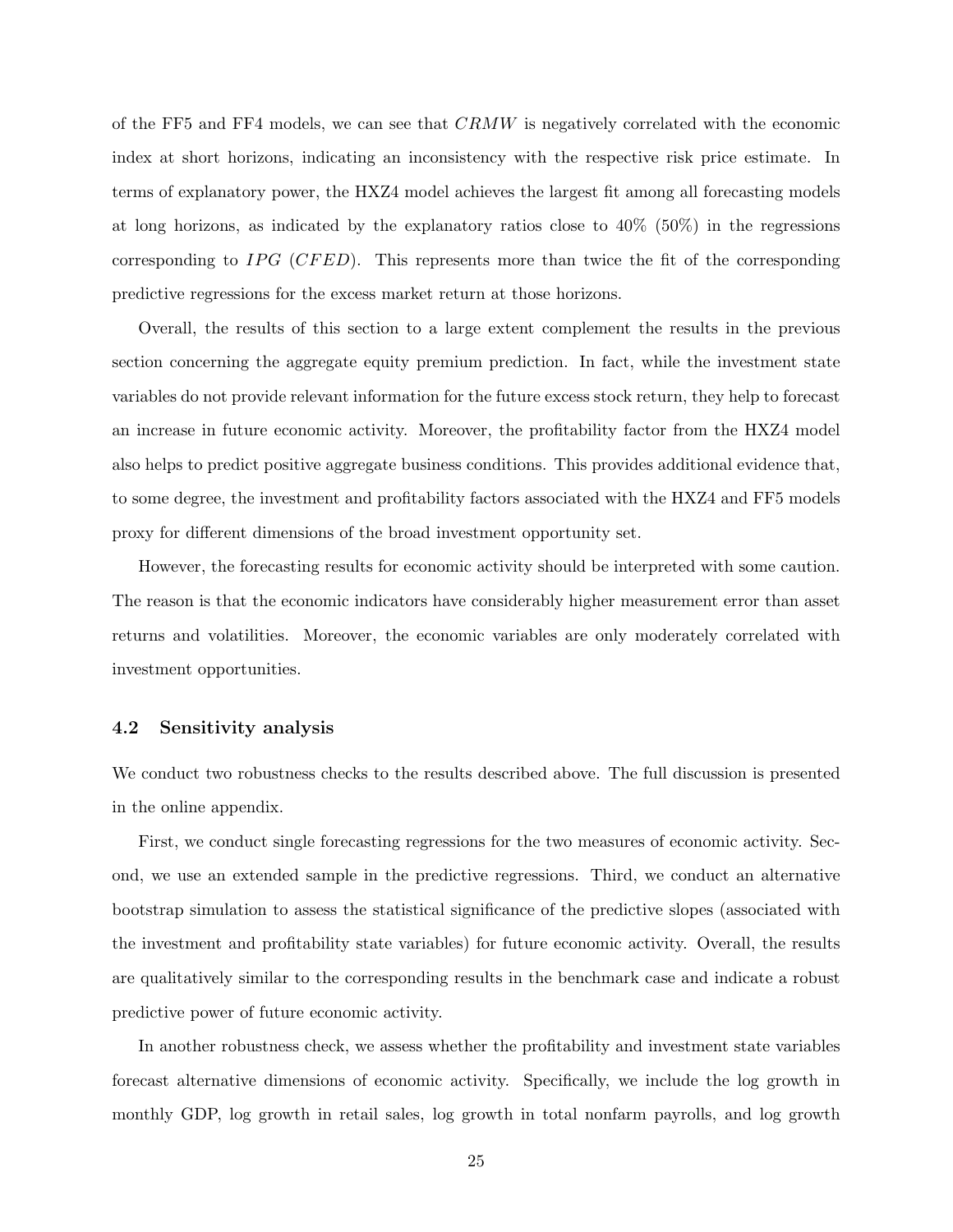of the FF5 and FF4 models, we can see that CRMW is negatively correlated with the economic index at short horizons, indicating an inconsistency with the respective risk price estimate. In terms of explanatory power, the HXZ4 model achieves the largest fit among all forecasting models at long horizons, as indicated by the explanatory ratios close to  $40\%$  ( $50\%$ ) in the regressions corresponding to  $IPG$  (CFED). This represents more than twice the fit of the corresponding predictive regressions for the excess market return at those horizons.

Overall, the results of this section to a large extent complement the results in the previous section concerning the aggregate equity premium prediction. In fact, while the investment state variables do not provide relevant information for the future excess stock return, they help to forecast an increase in future economic activity. Moreover, the profitability factor from the HXZ4 model also helps to predict positive aggregate business conditions. This provides additional evidence that, to some degree, the investment and profitability factors associated with the HXZ4 and FF5 models proxy for different dimensions of the broad investment opportunity set.

However, the forecasting results for economic activity should be interpreted with some caution. The reason is that the economic indicators have considerably higher measurement error than asset returns and volatilities. Moreover, the economic variables are only moderately correlated with investment opportunities.

#### 4.2 Sensitivity analysis

We conduct two robustness checks to the results described above. The full discussion is presented in the online appendix.

First, we conduct single forecasting regressions for the two measures of economic activity. Second, we use an extended sample in the predictive regressions. Third, we conduct an alternative bootstrap simulation to assess the statistical significance of the predictive slopes (associated with the investment and profitability state variables) for future economic activity. Overall, the results are qualitatively similar to the corresponding results in the benchmark case and indicate a robust predictive power of future economic activity.

In another robustness check, we assess whether the profitability and investment state variables forecast alternative dimensions of economic activity. Specifically, we include the log growth in monthly GDP, log growth in retail sales, log growth in total nonfarm payrolls, and log growth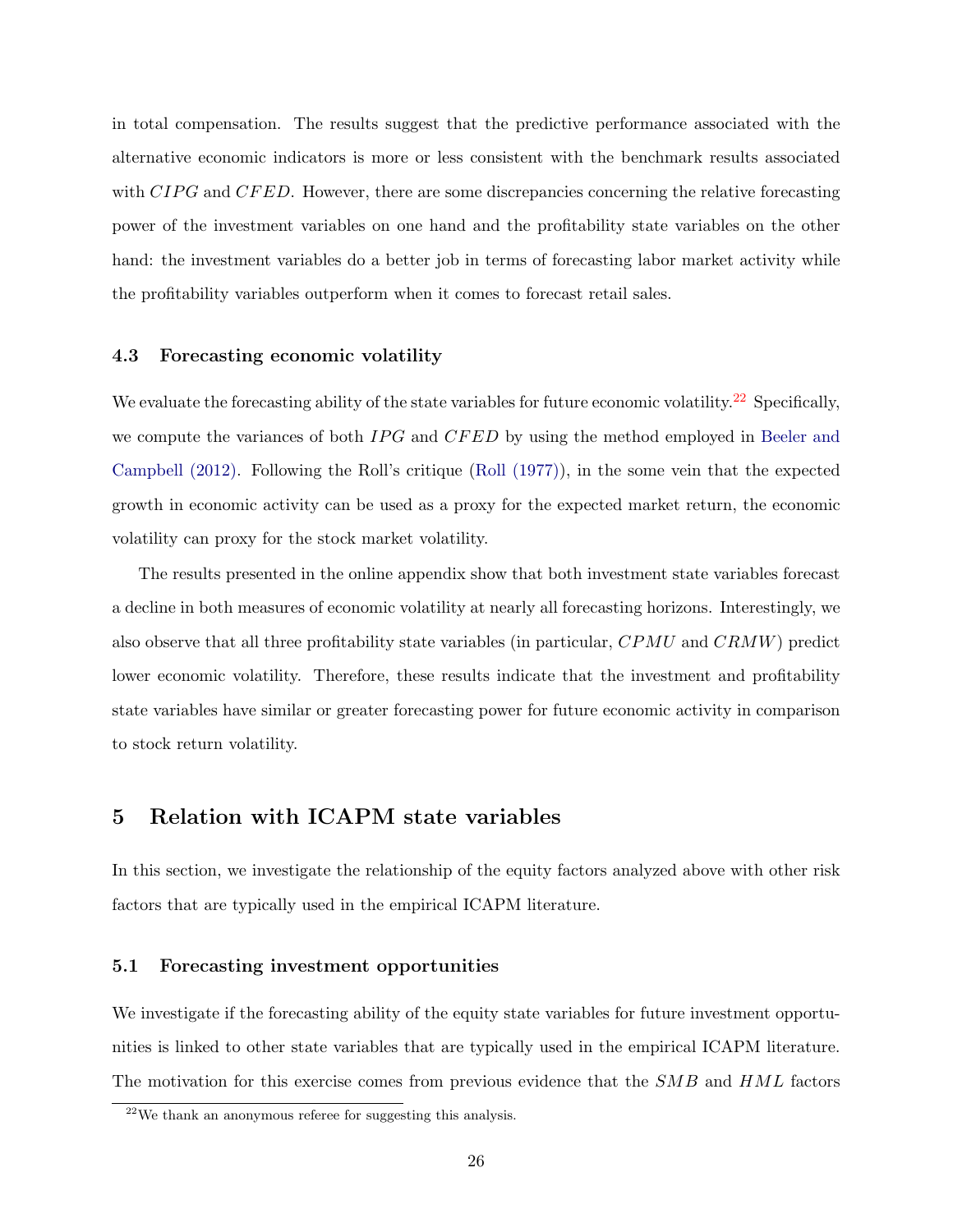in total compensation. The results suggest that the predictive performance associated with the alternative economic indicators is more or less consistent with the benchmark results associated with  $CIPG$  and  $CFED$ . However, there are some discrepancies concerning the relative forecasting power of the investment variables on one hand and the profitability state variables on the other hand: the investment variables do a better job in terms of forecasting labor market activity while the profitability variables outperform when it comes to forecast retail sales.

#### 4.3 Forecasting economic volatility

We evaluate the forecasting ability of the state variables for future economic volatility.<sup>[22](#page-28-1)</sup> Specifically, we compute the variances of both  $IPG$  and  $CFED$  by using the method employed in [Beeler and](#page-36-9) [Campbell \(2012\).](#page-36-9) Following the Roll's critique [\(Roll \(1977\)\)](#page-41-3), in the some vein that the expected growth in economic activity can be used as a proxy for the expected market return, the economic volatility can proxy for the stock market volatility.

The results presented in the online appendix show that both investment state variables forecast a decline in both measures of economic volatility at nearly all forecasting horizons. Interestingly, we also observe that all three profitability state variables (in particular, CPMU and CRMW) predict lower economic volatility. Therefore, these results indicate that the investment and profitability state variables have similar or greater forecasting power for future economic activity in comparison to stock return volatility.

### <span id="page-28-0"></span>5 Relation with ICAPM state variables

In this section, we investigate the relationship of the equity factors analyzed above with other risk factors that are typically used in the empirical ICAPM literature.

### 5.1 Forecasting investment opportunities

We investigate if the forecasting ability of the equity state variables for future investment opportunities is linked to other state variables that are typically used in the empirical ICAPM literature. The motivation for this exercise comes from previous evidence that the SMB and HML factors

<span id="page-28-1"></span> $22$ We thank an anonymous referee for suggesting this analysis.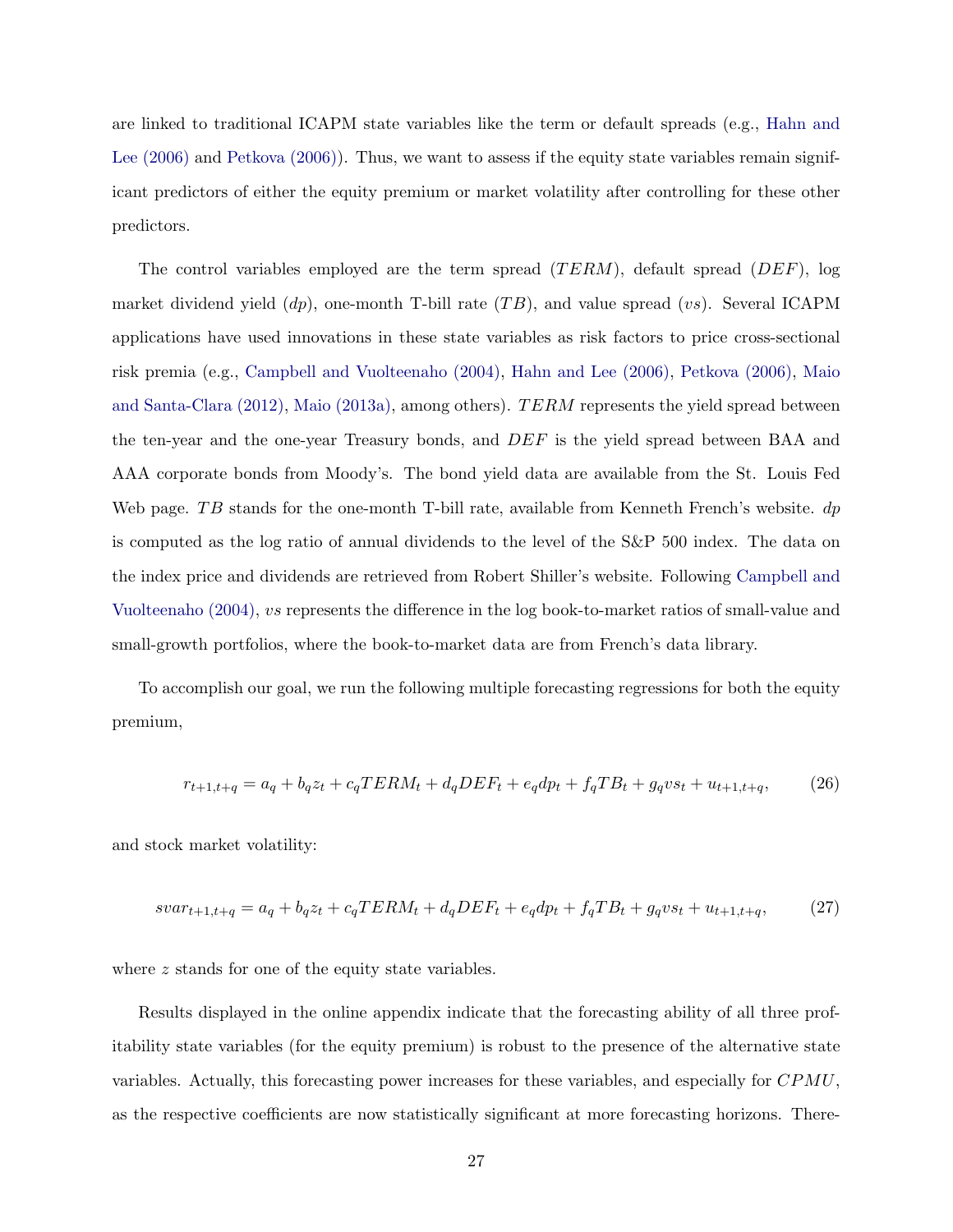are linked to traditional ICAPM state variables like the term or default spreads (e.g., [Hahn and](#page-38-8) [Lee \(2006\)](#page-38-8) and [Petkova \(2006\)\)](#page-40-8). Thus, we want to assess if the equity state variables remain significant predictors of either the equity premium or market volatility after controlling for these other predictors.

The control variables employed are the term spread  $(TERM)$ , default spread  $(DEF)$ , log market dividend yield  $(dp)$ , one-month T-bill rate  $(TB)$ , and value spread  $(vs)$ . Several ICAPM applications have used innovations in these state variables as risk factors to price cross-sectional risk premia (e.g., [Campbell and Vuolteenaho \(2004\),](#page-37-1) [Hahn and Lee \(2006\),](#page-38-8) [Petkova \(2006\),](#page-40-8) [Maio](#page-40-3) [and Santa-Clara \(2012\),](#page-40-3) [Maio \(2013a\),](#page-40-9) among others). TERM represents the yield spread between the ten-year and the one-year Treasury bonds, and DEF is the yield spread between BAA and AAA corporate bonds from Moody's. The bond yield data are available from the St. Louis Fed Web page. TB stands for the one-month T-bill rate, available from Kenneth French's website.  $dp$ is computed as the log ratio of annual dividends to the level of the S&P 500 index. The data on the index price and dividends are retrieved from Robert Shiller's website. Following [Campbell and](#page-37-1) [Vuolteenaho \(2004\),](#page-37-1) vs represents the difference in the log book-to-market ratios of small-value and small-growth portfolios, where the book-to-market data are from French's data library.

To accomplish our goal, we run the following multiple forecasting regressions for both the equity premium,

$$
r_{t+1,t+q} = a_q + b_q z_t + c_q T E RM_t + d_q D E F_t + e_q dp_t + f_q T B_t + g_q v s_t + u_{t+1,t+q},\tag{26}
$$

and stock market volatility:

$$
svar_{t+1,t+q} = a_q + b_q z_t + c_q T E R M_t + d_q D E F_t + e_q dp_t + f_q T B_t + g_q v s_t + u_{t+1,t+q},\tag{27}
$$

where z stands for one of the equity state variables.

Results displayed in the online appendix indicate that the forecasting ability of all three profitability state variables (for the equity premium) is robust to the presence of the alternative state variables. Actually, this forecasting power increases for these variables, and especially for CPMU, as the respective coefficients are now statistically significant at more forecasting horizons. There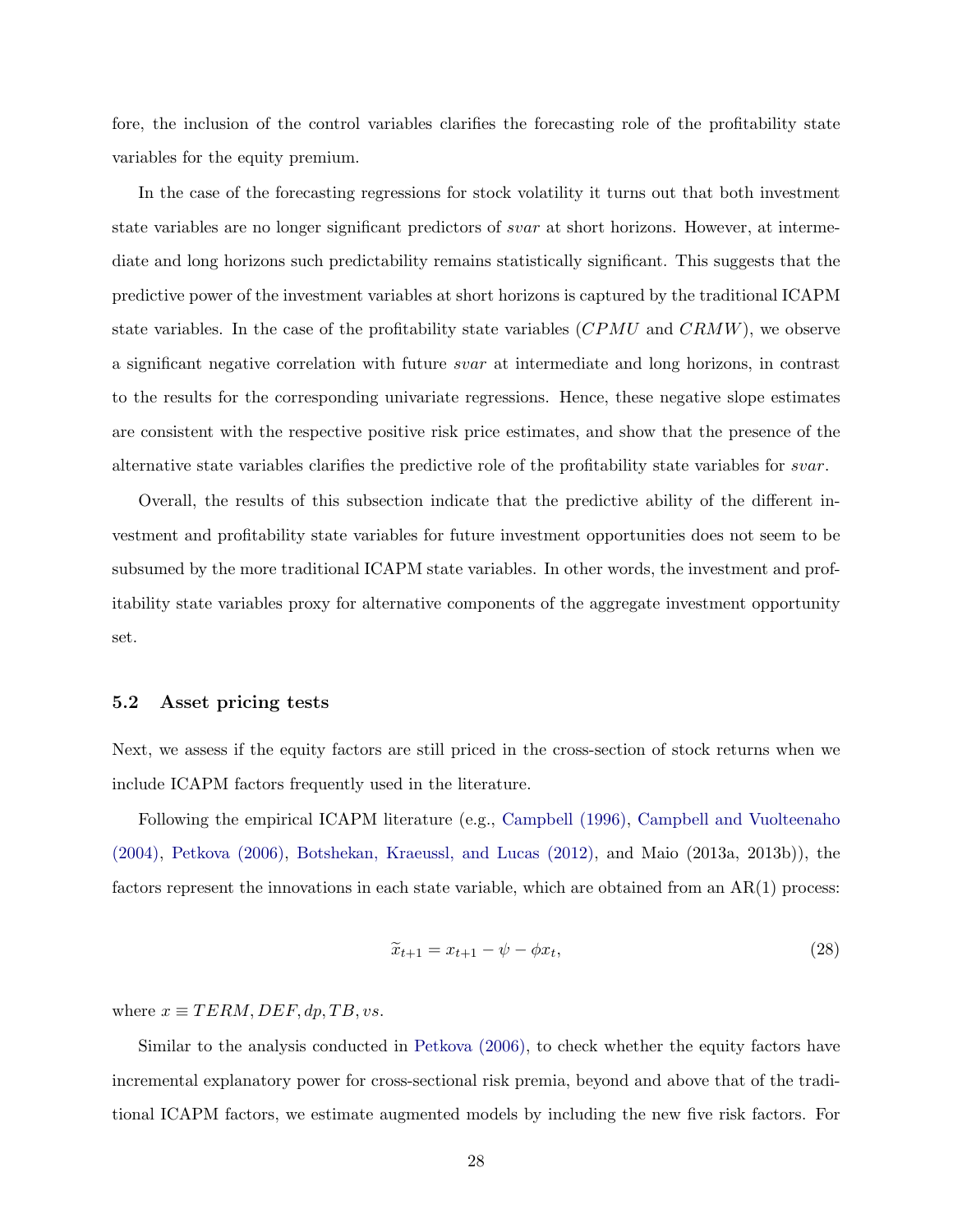fore, the inclusion of the control variables clarifies the forecasting role of the profitability state variables for the equity premium.

In the case of the forecasting regressions for stock volatility it turns out that both investment state variables are no longer significant predictors of *svar* at short horizons. However, at intermediate and long horizons such predictability remains statistically significant. This suggests that the predictive power of the investment variables at short horizons is captured by the traditional ICAPM state variables. In the case of the profitability state variables  $(CPMU)$  and  $CRMW)$ , we observe a significant negative correlation with future svar at intermediate and long horizons, in contrast to the results for the corresponding univariate regressions. Hence, these negative slope estimates are consistent with the respective positive risk price estimates, and show that the presence of the alternative state variables clarifies the predictive role of the profitability state variables for svar.

Overall, the results of this subsection indicate that the predictive ability of the different investment and profitability state variables for future investment opportunities does not seem to be subsumed by the more traditional ICAPM state variables. In other words, the investment and profitability state variables proxy for alternative components of the aggregate investment opportunity set.

#### 5.2 Asset pricing tests

Next, we assess if the equity factors are still priced in the cross-section of stock returns when we include ICAPM factors frequently used in the literature.

Following the empirical ICAPM literature (e.g., [Campbell \(1996\),](#page-37-9) [Campbell and Vuolteenaho](#page-37-1) [\(2004\),](#page-37-1) [Petkova \(2006\),](#page-40-8) [Botshekan, Kraeussl, and Lucas \(2012\),](#page-36-11) and Maio (2013a, 2013b)), the factors represent the innovations in each state variable, which are obtained from an  $AR(1)$  process:

$$
\widetilde{x}_{t+1} = x_{t+1} - \psi - \phi x_t,\tag{28}
$$

where  $x \equiv TERM$ ,  $DEF$ ,  $dp$ ,  $TB$ ,  $vs$ .

Similar to the analysis conducted in [Petkova \(2006\),](#page-40-8) to check whether the equity factors have incremental explanatory power for cross-sectional risk premia, beyond and above that of the traditional ICAPM factors, we estimate augmented models by including the new five risk factors. For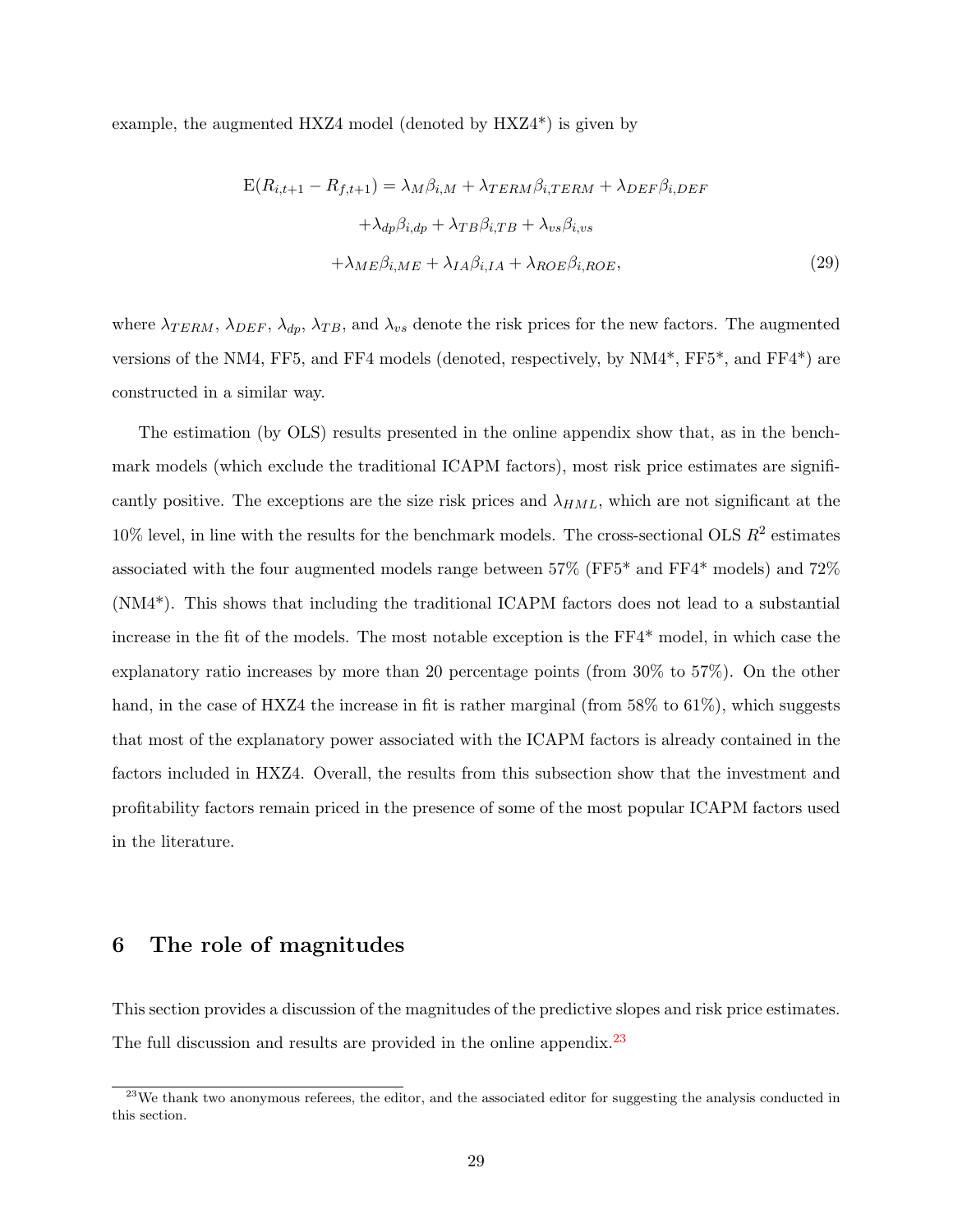example, the augmented HXZ4 model (denoted by HXZ4\*) is given by

$$
E(R_{i,t+1} - R_{f,t+1}) = \lambda_M \beta_{i,M} + \lambda_{TERM} \beta_{i,TERM} + \lambda_{DEF} \beta_{i,DEF}
$$
  
+  $\lambda_{dp} \beta_{i,dp} + \lambda_{TB} \beta_{i,TB} + \lambda_{vs} \beta_{i,vs}$   
+  $\lambda_{ME} \beta_{i,ME} + \lambda_{IA} \beta_{i,IA} + \lambda_{ROE} \beta_{i,ROE},$  (29)

where  $\lambda_{TERM}$ ,  $\lambda_{DEF}$ ,  $\lambda_{dp}$ ,  $\lambda_{TB}$ , and  $\lambda_{vs}$  denote the risk prices for the new factors. The augmented versions of the NM4, FF5, and FF4 models (denoted, respectively, by NM4\*, FF5\*, and FF4\*) are constructed in a similar way.

The estimation (by OLS) results presented in the online appendix show that, as in the benchmark models (which exclude the traditional ICAPM factors), most risk price estimates are significantly positive. The exceptions are the size risk prices and  $\lambda_{HML}$ , which are not significant at the  $10\%$  level, in line with the results for the benchmark models. The cross-sectional OLS  $R^2$  estimates associated with the four augmented models range between 57% (FF5\* and FF4\* models) and 72% (NM4\*). This shows that including the traditional ICAPM factors does not lead to a substantial increase in the fit of the models. The most notable exception is the FF4\* model, in which case the explanatory ratio increases by more than 20 percentage points (from 30% to 57%). On the other hand, in the case of HXZ4 the increase in fit is rather marginal (from  $58\%$  to  $61\%$ ), which suggests that most of the explanatory power associated with the ICAPM factors is already contained in the factors included in HXZ4. Overall, the results from this subsection show that the investment and profitability factors remain priced in the presence of some of the most popular ICAPM factors used in the literature.

### <span id="page-31-0"></span>6 The role of magnitudes

This section provides a discussion of the magnitudes of the predictive slopes and risk price estimates. The full discussion and results are provided in the online appendix.<sup>[23](#page-31-1)</sup>

<span id="page-31-1"></span> $^{23}$ We thank two anonymous referees, the editor, and the associated editor for suggesting the analysis conducted in this section.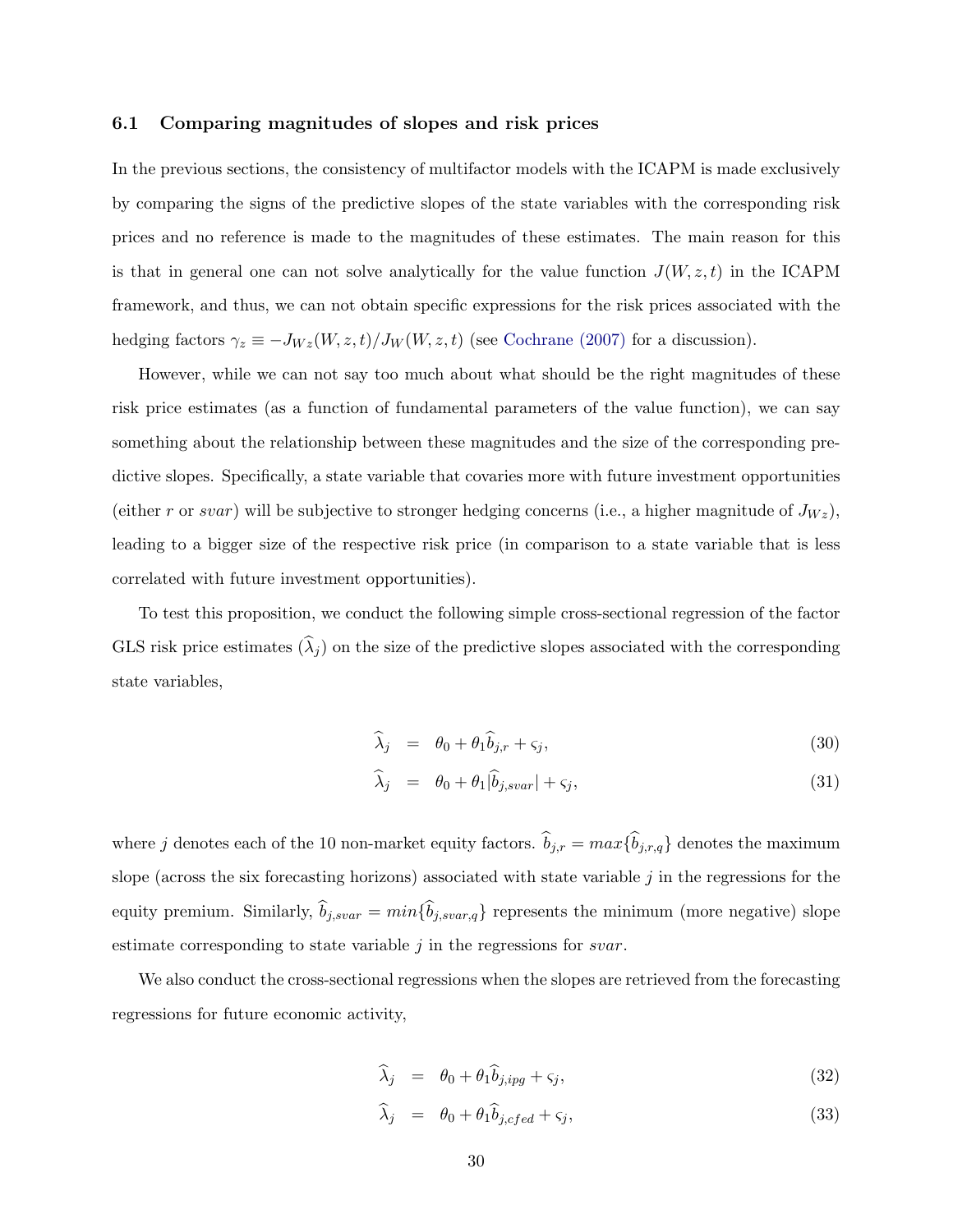#### 6.1 Comparing magnitudes of slopes and risk prices

In the previous sections, the consistency of multifactor models with the ICAPM is made exclusively by comparing the signs of the predictive slopes of the state variables with the corresponding risk prices and no reference is made to the magnitudes of these estimates. The main reason for this is that in general one can not solve analytically for the value function  $J(W, z, t)$  in the ICAPM framework, and thus, we can not obtain specific expressions for the risk prices associated with the hedging factors  $\gamma_z \equiv -J_{Wz}(W, z, t)/J_W(W, z, t)$  (see [Cochrane \(2007\)](#page-37-11) for a discussion).

However, while we can not say too much about what should be the right magnitudes of these risk price estimates (as a function of fundamental parameters of the value function), we can say something about the relationship between these magnitudes and the size of the corresponding predictive slopes. Specifically, a state variable that covaries more with future investment opportunities (either r or svar) will be subjective to stronger hedging concerns (i.e., a higher magnitude of  $J_{Wz}$ ), leading to a bigger size of the respective risk price (in comparison to a state variable that is less correlated with future investment opportunities).

To test this proposition, we conduct the following simple cross-sectional regression of the factor GLS risk price estimates  $(\widehat{\lambda}_j)$  on the size of the predictive slopes associated with the corresponding state variables,

$$
\widehat{\lambda}_j = \theta_0 + \theta_1 \widehat{b}_{j,r} + \varsigma_j,\tag{30}
$$

$$
\widehat{\lambda}_j = \theta_0 + \theta_1 |\widehat{b}_{j, svar}| + \varsigma_j,\tag{31}
$$

where j denotes each of the 10 non-market equity factors.  $\hat{b}_{j,r} = max\{\hat{b}_{j,r,q}\}\$ denotes the maximum slope (across the six forecasting horizons) associated with state variable  $j$  in the regressions for the equity premium. Similarly,  $\hat{b}_{j, svar} = min{\hat{b}_{j, svar,q}}$  represents the minimum (more negative) slope estimate corresponding to state variable  $j$  in the regressions for svar.

We also conduct the cross-sectional regressions when the slopes are retrieved from the forecasting regressions for future economic activity,

$$
\widehat{\lambda}_j = \theta_0 + \theta_1 \widehat{b}_{j, ipg} + \varsigma_j,\tag{32}
$$

$$
\widehat{\lambda}_j = \theta_0 + \theta_1 \widehat{b}_{j,cfed} + \varsigma_j,\tag{33}
$$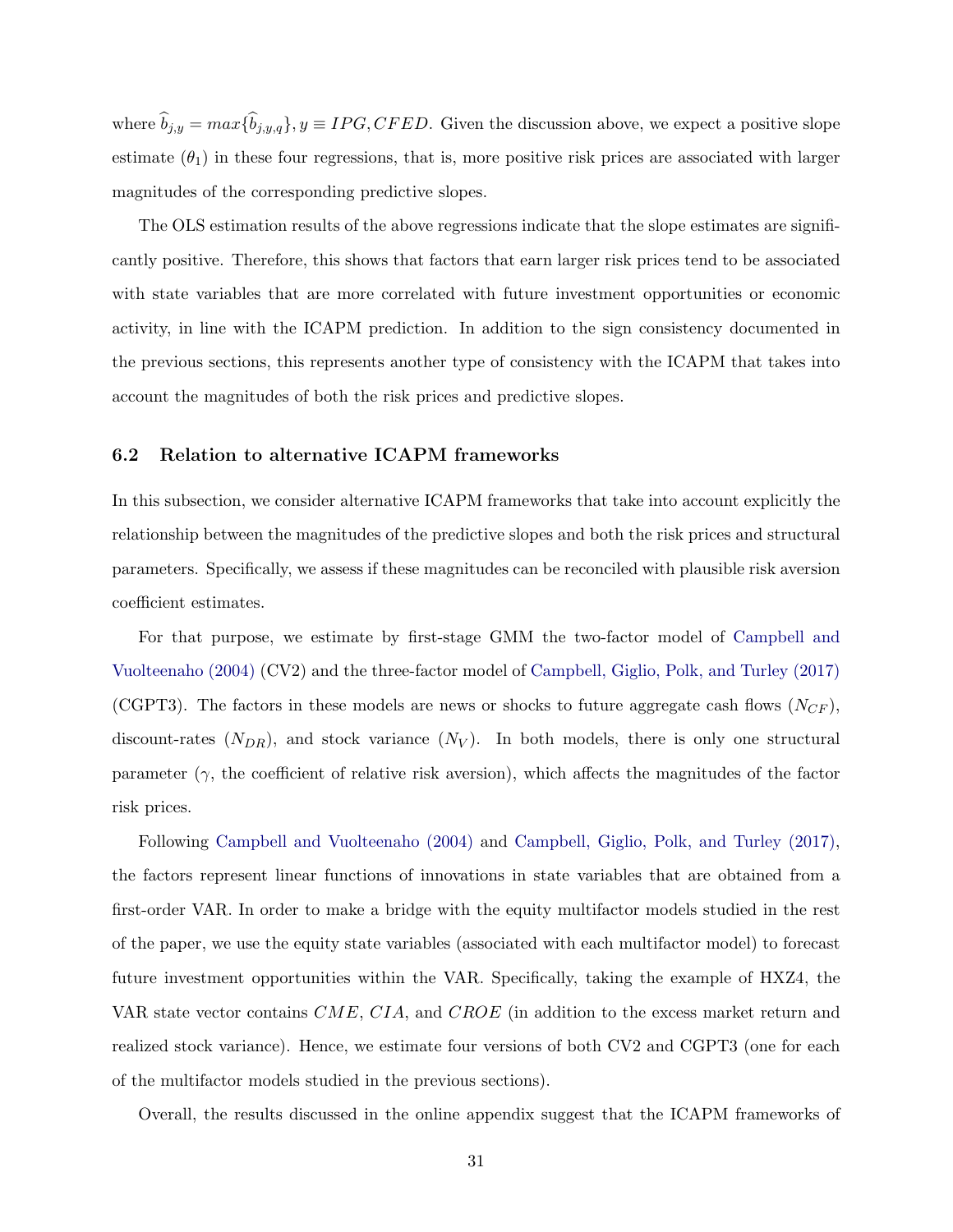where  $\hat{b}_{j,y} = max{\hat{b}_{j,y,q}}, y \equiv IPG, CFED$ . Given the discussion above, we expect a positive slope estimate  $(\theta_1)$  in these four regressions, that is, more positive risk prices are associated with larger magnitudes of the corresponding predictive slopes.

The OLS estimation results of the above regressions indicate that the slope estimates are significantly positive. Therefore, this shows that factors that earn larger risk prices tend to be associated with state variables that are more correlated with future investment opportunities or economic activity, in line with the ICAPM prediction. In addition to the sign consistency documented in the previous sections, this represents another type of consistency with the ICAPM that takes into account the magnitudes of both the risk prices and predictive slopes.

#### 6.2 Relation to alternative ICAPM frameworks

In this subsection, we consider alternative ICAPM frameworks that take into account explicitly the relationship between the magnitudes of the predictive slopes and both the risk prices and structural parameters. Specifically, we assess if these magnitudes can be reconciled with plausible risk aversion coefficient estimates.

For that purpose, we estimate by first-stage GMM the two-factor model of [Campbell and](#page-37-1) [Vuolteenaho \(2004\)](#page-37-1) (CV2) and the three-factor model of [Campbell, Giglio, Polk, and Turley \(2017\)](#page-37-2) (CGPT3). The factors in these models are news or shocks to future aggregate cash flows  $(N_{CF})$ , discount-rates  $(N_{DR})$ , and stock variance  $(N_V)$ . In both models, there is only one structural parameter  $(\gamma, \text{ the coefficient of relative risk aversion})$ , which affects the magnitudes of the factor risk prices.

Following [Campbell and Vuolteenaho \(2004\)](#page-37-1) and [Campbell, Giglio, Polk, and Turley \(2017\),](#page-37-2) the factors represent linear functions of innovations in state variables that are obtained from a first-order VAR. In order to make a bridge with the equity multifactor models studied in the rest of the paper, we use the equity state variables (associated with each multifactor model) to forecast future investment opportunities within the VAR. Specifically, taking the example of HXZ4, the VAR state vector contains CME, CIA, and CROE (in addition to the excess market return and realized stock variance). Hence, we estimate four versions of both CV2 and CGPT3 (one for each of the multifactor models studied in the previous sections).

Overall, the results discussed in the online appendix suggest that the ICAPM frameworks of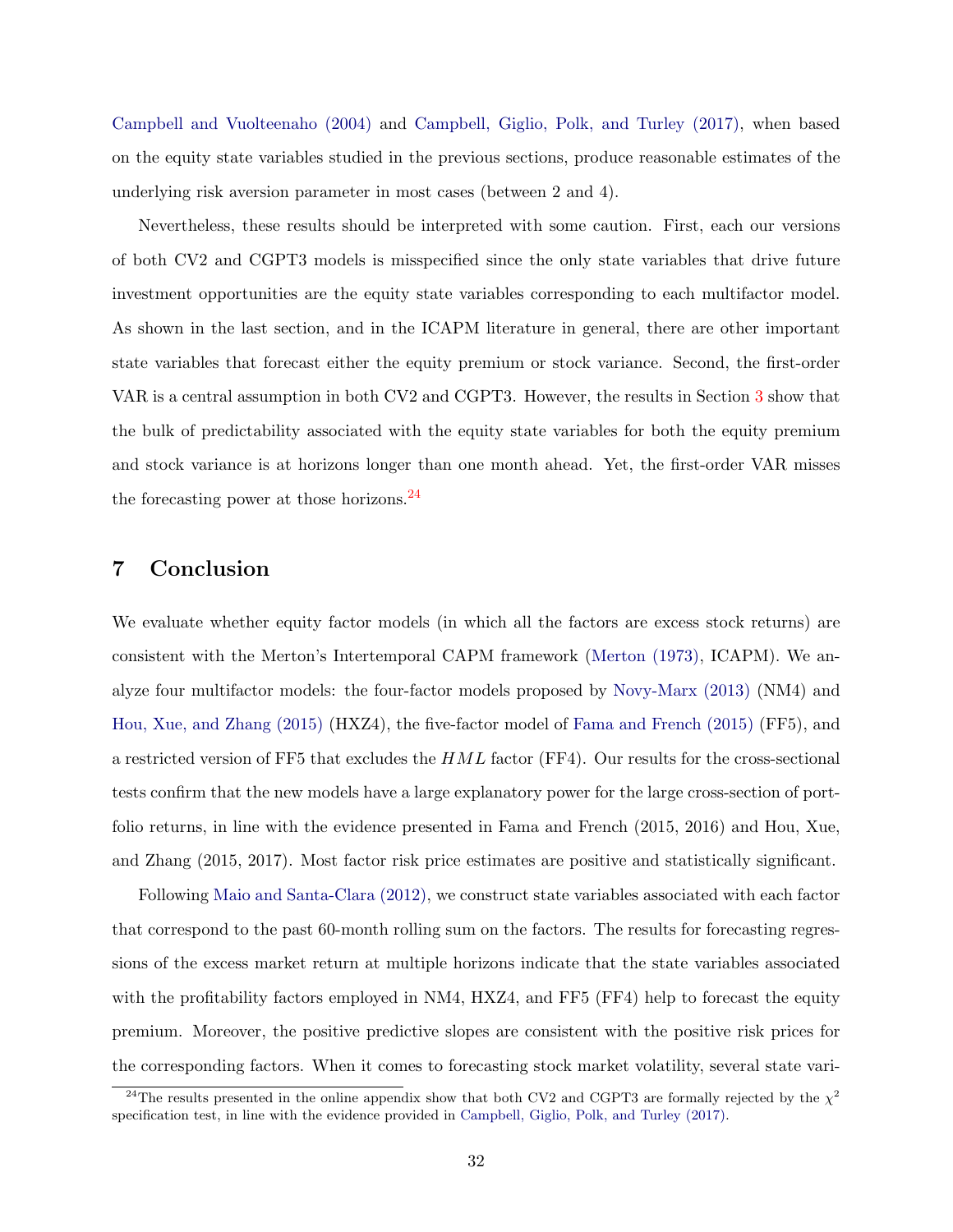[Campbell and Vuolteenaho \(2004\)](#page-37-1) and [Campbell, Giglio, Polk, and Turley \(2017\),](#page-37-2) when based on the equity state variables studied in the previous sections, produce reasonable estimates of the underlying risk aversion parameter in most cases (between 2 and 4).

Nevertheless, these results should be interpreted with some caution. First, each our versions of both CV2 and CGPT3 models is misspecified since the only state variables that drive future investment opportunities are the equity state variables corresponding to each multifactor model. As shown in the last section, and in the ICAPM literature in general, there are other important state variables that forecast either the equity premium or stock variance. Second, the first-order VAR is a central assumption in both CV2 and CGPT3. However, the results in Section [3](#page-17-0) show that the bulk of predictability associated with the equity state variables for both the equity premium and stock variance is at horizons longer than one month ahead. Yet, the first-order VAR misses the forecasting power at those horizons.<sup>[24](#page-34-1)</sup>

## <span id="page-34-0"></span>7 Conclusion

We evaluate whether equity factor models (in which all the factors are excess stock returns) are consistent with the Merton's Intertemporal CAPM framework [\(Merton \(1973\),](#page-40-2) ICAPM). We analyze four multifactor models: the four-factor models proposed by [Novy-Marx \(2013\)](#page-40-0) (NM4) and [Hou, Xue, and Zhang \(2015\)](#page-38-0) (HXZ4), the five-factor model of [Fama and French \(2015\)](#page-38-4) (FF5), and a restricted version of FF5 that excludes the HML factor (FF4). Our results for the cross-sectional tests confirm that the new models have a large explanatory power for the large cross-section of portfolio returns, in line with the evidence presented in Fama and French (2015, 2016) and Hou, Xue, and Zhang (2015, 2017). Most factor risk price estimates are positive and statistically significant.

Following [Maio and Santa-Clara \(2012\),](#page-40-3) we construct state variables associated with each factor that correspond to the past 60-month rolling sum on the factors. The results for forecasting regressions of the excess market return at multiple horizons indicate that the state variables associated with the profitability factors employed in NM4, HXZ4, and FF5 (FF4) help to forecast the equity premium. Moreover, the positive predictive slopes are consistent with the positive risk prices for the corresponding factors. When it comes to forecasting stock market volatility, several state vari-

<span id="page-34-1"></span><sup>&</sup>lt;sup>24</sup>The results presented in the online appendix show that both CV2 and CGPT3 are formally rejected by the  $\chi^2$ specification test, in line with the evidence provided in [Campbell, Giglio, Polk, and Turley \(2017\).](#page-37-2)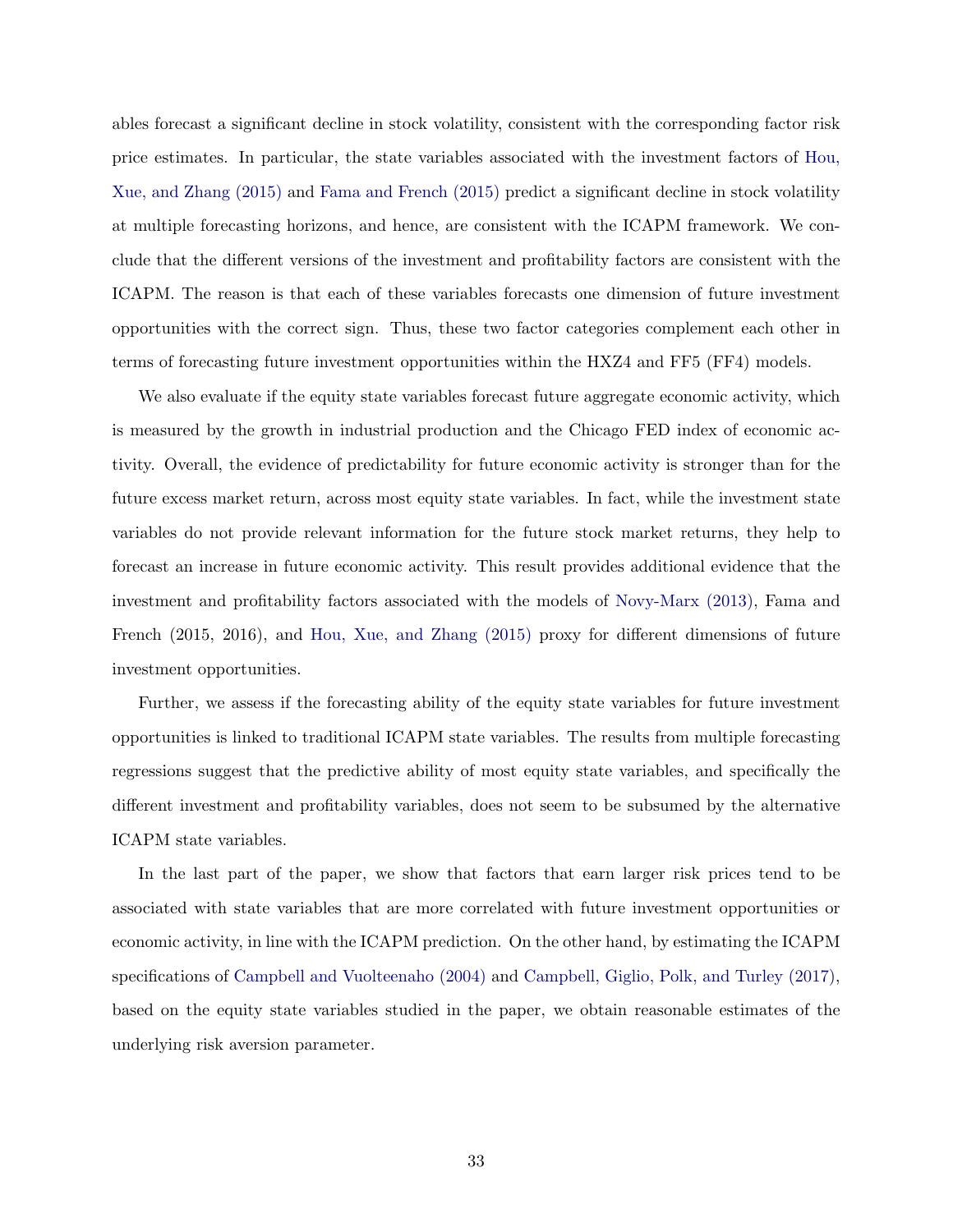ables forecast a significant decline in stock volatility, consistent with the corresponding factor risk price estimates. In particular, the state variables associated with the investment factors of [Hou,](#page-38-0) [Xue, and Zhang \(2015\)](#page-38-0) and [Fama and French \(2015\)](#page-38-4) predict a significant decline in stock volatility at multiple forecasting horizons, and hence, are consistent with the ICAPM framework. We conclude that the different versions of the investment and profitability factors are consistent with the ICAPM. The reason is that each of these variables forecasts one dimension of future investment opportunities with the correct sign. Thus, these two factor categories complement each other in terms of forecasting future investment opportunities within the HXZ4 and FF5 (FF4) models.

We also evaluate if the equity state variables forecast future aggregate economic activity, which is measured by the growth in industrial production and the Chicago FED index of economic activity. Overall, the evidence of predictability for future economic activity is stronger than for the future excess market return, across most equity state variables. In fact, while the investment state variables do not provide relevant information for the future stock market returns, they help to forecast an increase in future economic activity. This result provides additional evidence that the investment and profitability factors associated with the models of [Novy-Marx \(2013\),](#page-40-0) Fama and French (2015, 2016), and [Hou, Xue, and Zhang \(2015\)](#page-38-0) proxy for different dimensions of future investment opportunities.

Further, we assess if the forecasting ability of the equity state variables for future investment opportunities is linked to traditional ICAPM state variables. The results from multiple forecasting regressions suggest that the predictive ability of most equity state variables, and specifically the different investment and profitability variables, does not seem to be subsumed by the alternative ICAPM state variables.

In the last part of the paper, we show that factors that earn larger risk prices tend to be associated with state variables that are more correlated with future investment opportunities or economic activity, in line with the ICAPM prediction. On the other hand, by estimating the ICAPM specifications of [Campbell and Vuolteenaho \(2004\)](#page-37-1) and [Campbell, Giglio, Polk, and Turley \(2017\),](#page-37-2) based on the equity state variables studied in the paper, we obtain reasonable estimates of the underlying risk aversion parameter.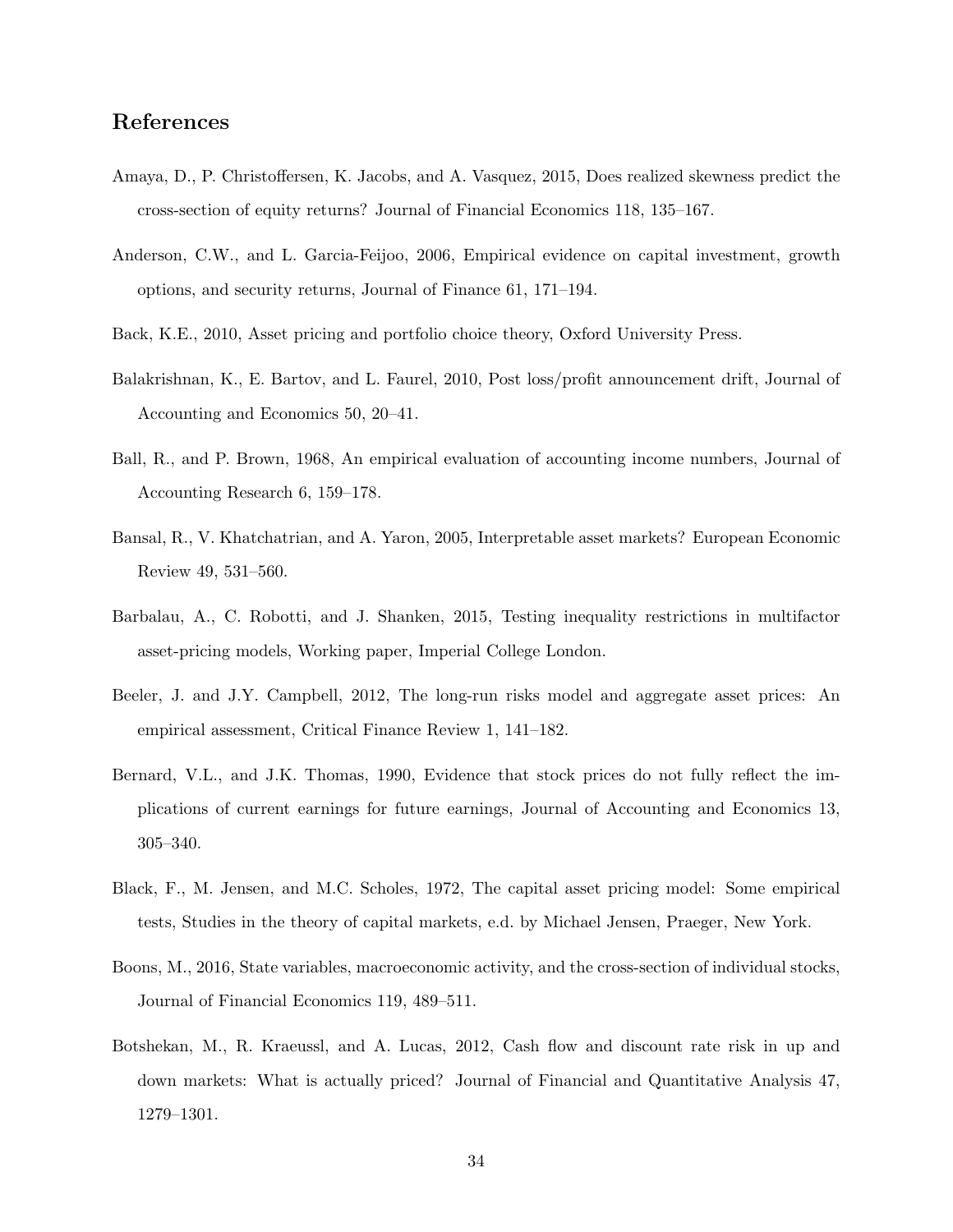# References

- <span id="page-36-10"></span>Amaya, D., P. Christoffersen, K. Jacobs, and A. Vasquez, 2015, Does realized skewness predict the cross-section of equity returns? Journal of Financial Economics 118, 135–167.
- <span id="page-36-0"></span>Anderson, C.W., and L. Garcia-Feijoo, 2006, Empirical evidence on capital investment, growth options, and security returns, Journal of Finance 61, 171–194.
- <span id="page-36-7"></span>Back, K.E., 2010, Asset pricing and portfolio choice theory, Oxford University Press.
- <span id="page-36-3"></span>Balakrishnan, K., E. Bartov, and L. Faurel, 2010, Post loss/profit announcement drift, Journal of Accounting and Economics 50, 20–41.
- <span id="page-36-1"></span>Ball, R., and P. Brown, 1968, An empirical evaluation of accounting income numbers, Journal of Accounting Research 6, 159–178.
- <span id="page-36-8"></span>Bansal, R., V. Khatchatrian, and A. Yaron, 2005, Interpretable asset markets? European Economic Review 49, 531–560.
- <span id="page-36-5"></span>Barbalau, A., C. Robotti, and J. Shanken, 2015, Testing inequality restrictions in multifactor asset-pricing models, Working paper, Imperial College London.
- <span id="page-36-9"></span>Beeler, J. and J.Y. Campbell, 2012, The long-run risks model and aggregate asset prices: An empirical assessment, Critical Finance Review 1, 141–182.
- <span id="page-36-2"></span>Bernard, V.L., and J.K. Thomas, 1990, Evidence that stock prices do not fully reflect the implications of current earnings for future earnings, Journal of Accounting and Economics 13, 305–340.
- <span id="page-36-6"></span>Black, F., M. Jensen, and M.C. Scholes, 1972, The capital asset pricing model: Some empirical tests, Studies in the theory of capital markets, e.d. by Michael Jensen, Praeger, New York.
- <span id="page-36-4"></span>Boons, M., 2016, State variables, macroeconomic activity, and the cross-section of individual stocks, Journal of Financial Economics 119, 489–511.
- <span id="page-36-11"></span>Botshekan, M., R. Kraeussl, and A. Lucas, 2012, Cash flow and discount rate risk in up and down markets: What is actually priced? Journal of Financial and Quantitative Analysis 47, 1279–1301.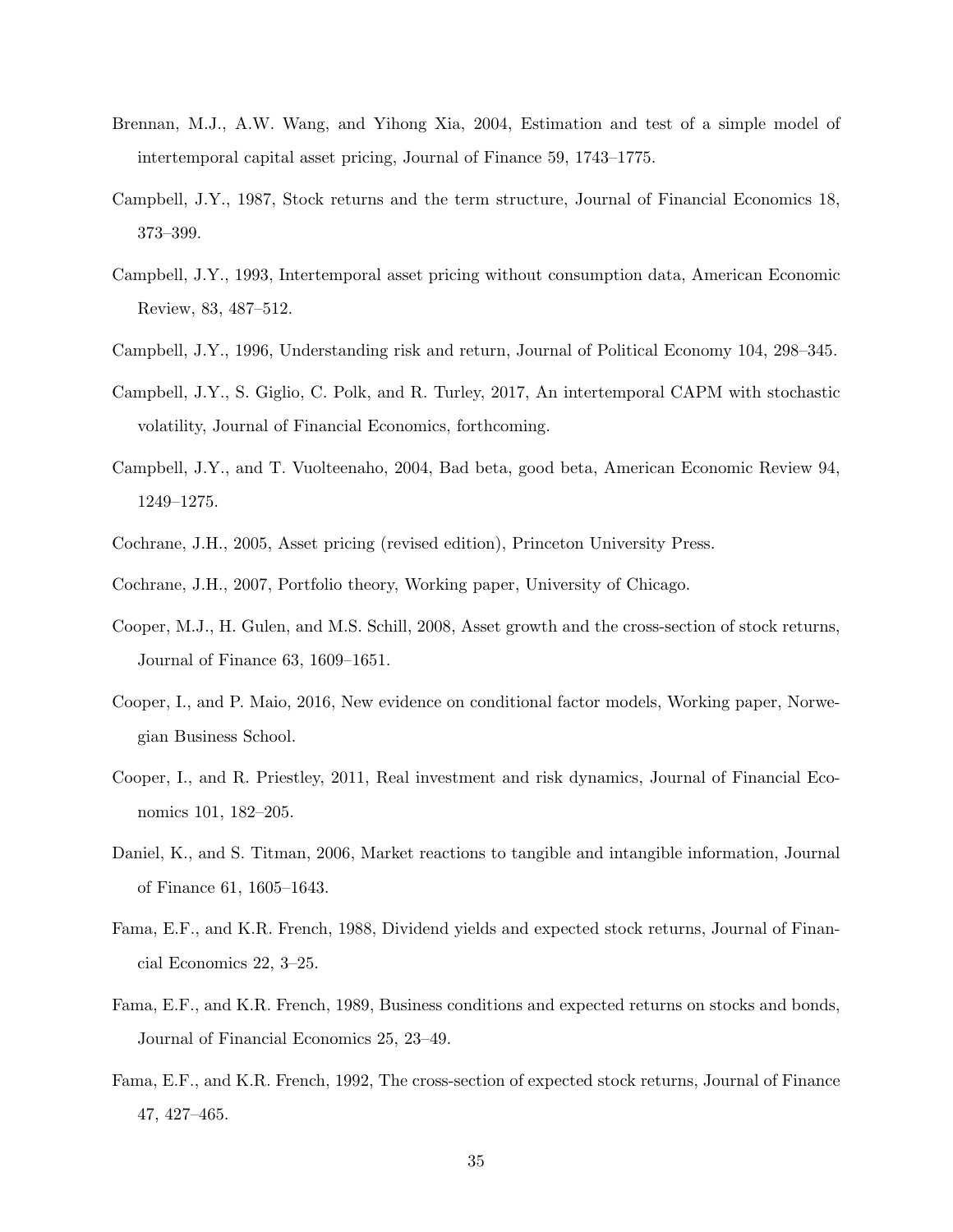- <span id="page-37-7"></span>Brennan, M.J., A.W. Wang, and Yihong Xia, 2004, Estimation and test of a simple model of intertemporal capital asset pricing, Journal of Finance 59, 1743–1775.
- <span id="page-37-8"></span>Campbell, J.Y., 1987, Stock returns and the term structure, Journal of Financial Economics 18, 373–399.
- Campbell, J.Y., 1993, Intertemporal asset pricing without consumption data, American Economic Review, 83, 487–512.
- <span id="page-37-9"></span><span id="page-37-2"></span>Campbell, J.Y., 1996, Understanding risk and return, Journal of Political Economy 104, 298–345.
- Campbell, J.Y., S. Giglio, C. Polk, and R. Turley, 2017, An intertemporal CAPM with stochastic volatility, Journal of Financial Economics, forthcoming.
- <span id="page-37-1"></span>Campbell, J.Y., and T. Vuolteenaho, 2004, Bad beta, good beta, American Economic Review 94, 1249–1275.
- <span id="page-37-11"></span><span id="page-37-6"></span>Cochrane, J.H., 2005, Asset pricing (revised edition), Princeton University Press.
- <span id="page-37-0"></span>Cochrane, J.H., 2007, Portfolio theory, Working paper, University of Chicago.
- Cooper, M.J., H. Gulen, and M.S. Schill, 2008, Asset growth and the cross-section of stock returns, Journal of Finance 63, 1609–1651.
- <span id="page-37-3"></span>Cooper, I., and P. Maio, 2016, New evidence on conditional factor models, Working paper, Norwegian Business School.
- <span id="page-37-10"></span>Cooper, I., and R. Priestley, 2011, Real investment and risk dynamics, Journal of Financial Economics 101, 182–205.
- <span id="page-37-5"></span>Daniel, K., and S. Titman, 2006, Market reactions to tangible and intangible information, Journal of Finance 61, 1605–1643.
- Fama, E.F., and K.R. French, 1988, Dividend yields and expected stock returns, Journal of Financial Economics 22, 3–25.
- Fama, E.F., and K.R. French, 1989, Business conditions and expected returns on stocks and bonds, Journal of Financial Economics 25, 23–49.
- <span id="page-37-4"></span>Fama, E.F., and K.R. French, 1992, The cross-section of expected stock returns, Journal of Finance 47, 427–465.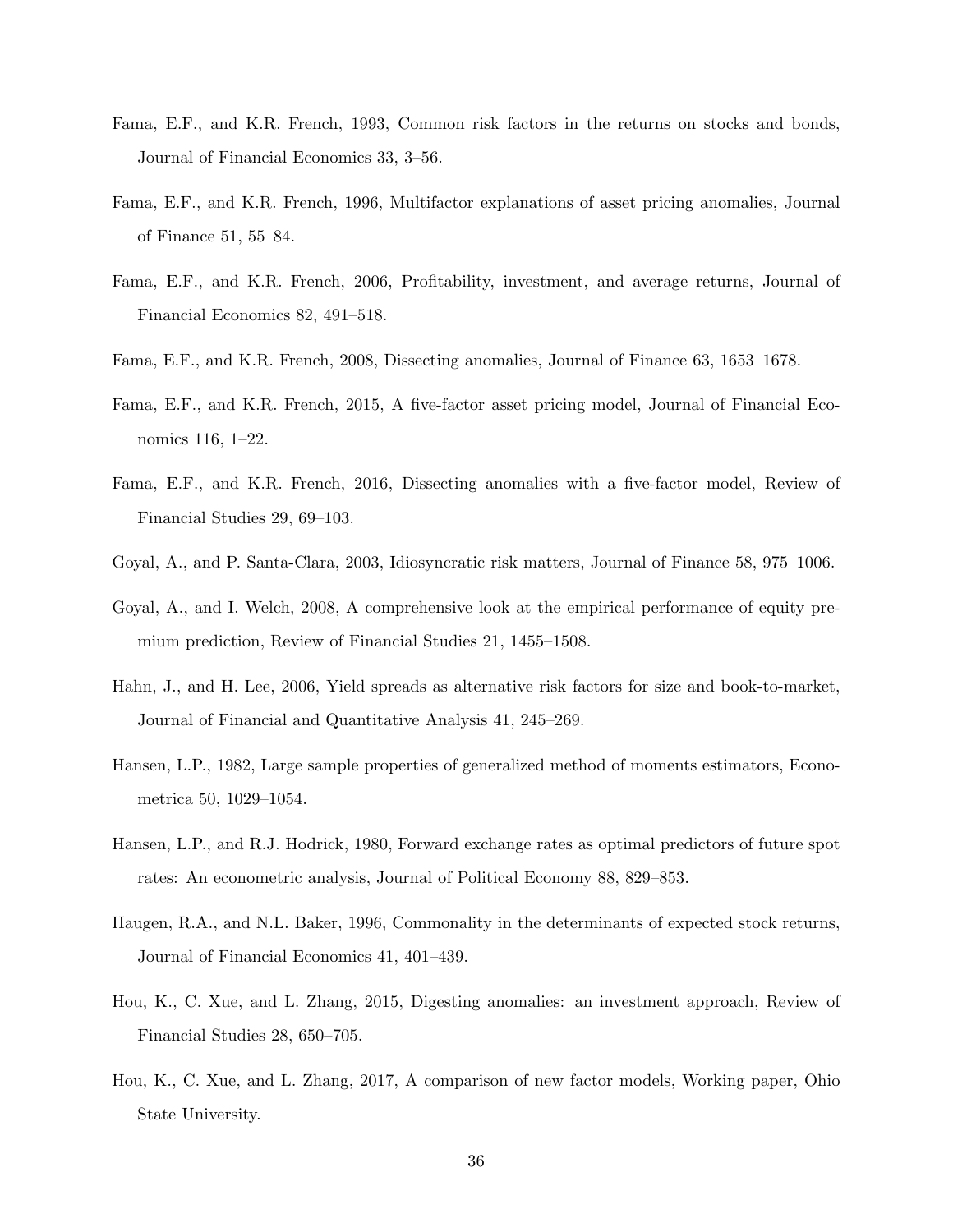- Fama, E.F., and K.R. French, 1993, Common risk factors in the returns on stocks and bonds, Journal of Financial Economics 33, 3–56.
- <span id="page-38-6"></span>Fama, E.F., and K.R. French, 1996, Multifactor explanations of asset pricing anomalies, Journal of Finance 51, 55–84.
- <span id="page-38-3"></span>Fama, E.F., and K.R. French, 2006, Profitability, investment, and average returns, Journal of Financial Economics 82, 491–518.
- <span id="page-38-4"></span><span id="page-38-1"></span>Fama, E.F., and K.R. French, 2008, Dissecting anomalies, Journal of Finance 63, 1653–1678.
- Fama, E.F., and K.R. French, 2015, A five-factor asset pricing model, Journal of Financial Economics 116, 1–22.
- <span id="page-38-5"></span>Fama, E.F., and K.R. French, 2016, Dissecting anomalies with a five-factor model, Review of Financial Studies 29, 69–103.
- <span id="page-38-10"></span>Goyal, A., and P. Santa-Clara, 2003, Idiosyncratic risk matters, Journal of Finance 58, 975–1006.
- <span id="page-38-11"></span>Goyal, A., and I. Welch, 2008, A comprehensive look at the empirical performance of equity premium prediction, Review of Financial Studies 21, 1455–1508.
- <span id="page-38-8"></span>Hahn, J., and H. Lee, 2006, Yield spreads as alternative risk factors for size and book-to-market, Journal of Financial and Quantitative Analysis 41, 245–269.
- <span id="page-38-7"></span>Hansen, L.P., 1982, Large sample properties of generalized method of moments estimators, Econometrica 50, 1029–1054.
- <span id="page-38-9"></span>Hansen, L.P., and R.J. Hodrick, 1980, Forward exchange rates as optimal predictors of future spot rates: An econometric analysis, Journal of Political Economy 88, 829–853.
- <span id="page-38-2"></span>Haugen, R.A., and N.L. Baker, 1996, Commonality in the determinants of expected stock returns, Journal of Financial Economics 41, 401–439.
- <span id="page-38-0"></span>Hou, K., C. Xue, and L. Zhang, 2015, Digesting anomalies: an investment approach, Review of Financial Studies 28, 650–705.
- Hou, K., C. Xue, and L. Zhang, 2017, A comparison of new factor models, Working paper, Ohio State University.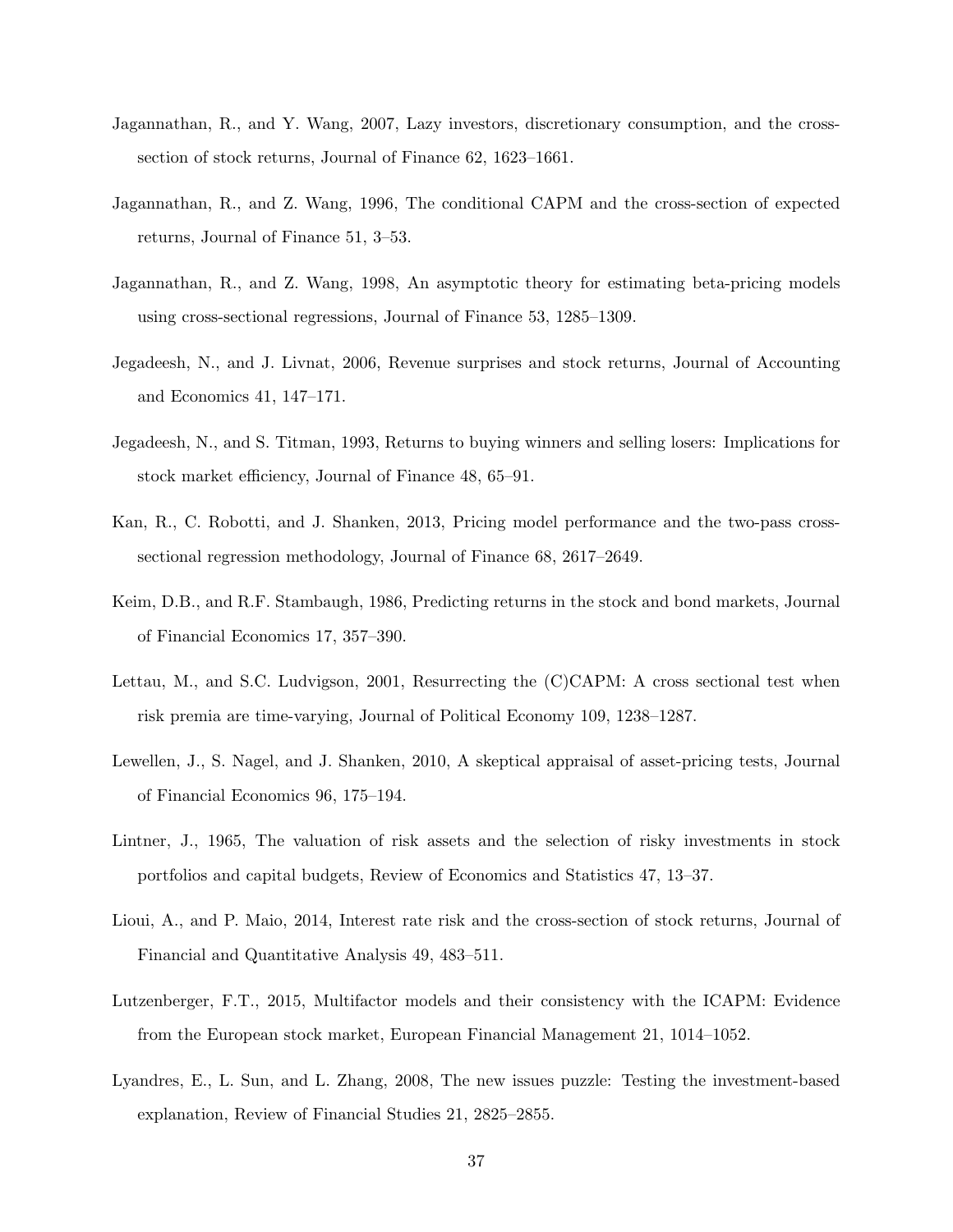- <span id="page-39-7"></span>Jagannathan, R., and Y. Wang, 2007, Lazy investors, discretionary consumption, and the crosssection of stock returns, Journal of Finance 62, 1623–1661.
- <span id="page-39-11"></span>Jagannathan, R., and Z. Wang, 1996, The conditional CAPM and the cross-section of expected returns, Journal of Finance 51, 3–53.
- <span id="page-39-5"></span>Jagannathan, R., and Z. Wang, 1998, An asymptotic theory for estimating beta-pricing models using cross-sectional regressions, Journal of Finance 53, 1285–1309.
- <span id="page-39-2"></span>Jegadeesh, N., and J. Livnat, 2006, Revenue surprises and stock returns, Journal of Accounting and Economics 41, 147–171.
- <span id="page-39-4"></span>Jegadeesh, N., and S. Titman, 1993, Returns to buying winners and selling losers: Implications for stock market efficiency, Journal of Finance 48, 65–91.
- <span id="page-39-8"></span>Kan, R., C. Robotti, and J. Shanken, 2013, Pricing model performance and the two-pass crosssectional regression methodology, Journal of Finance 68, 2617–2649.
- <span id="page-39-10"></span>Keim, D.B., and R.F. Stambaugh, 1986, Predicting returns in the stock and bond markets, Journal of Financial Economics 17, 357–390.
- <span id="page-39-12"></span>Lettau, M., and S.C. Ludvigson, 2001, Resurrecting the (C)CAPM: A cross sectional test when risk premia are time-varying, Journal of Political Economy 109, 1238–1287.
- <span id="page-39-6"></span>Lewellen, J., S. Nagel, and J. Shanken, 2010, A skeptical appraisal of asset-pricing tests, Journal of Financial Economics 96, 175–194.
- <span id="page-39-0"></span>Lintner, J., 1965, The valuation of risk assets and the selection of risky investments in stock portfolios and capital budgets, Review of Economics and Statistics 47, 13–37.
- <span id="page-39-9"></span>Lioui, A., and P. Maio, 2014, Interest rate risk and the cross-section of stock returns, Journal of Financial and Quantitative Analysis 49, 483–511.
- <span id="page-39-3"></span>Lutzenberger, F.T., 2015, Multifactor models and their consistency with the ICAPM: Evidence from the European stock market, European Financial Management 21, 1014–1052.
- <span id="page-39-1"></span>Lyandres, E., L. Sun, and L. Zhang, 2008, The new issues puzzle: Testing the investment-based explanation, Review of Financial Studies 21, 2825–2855.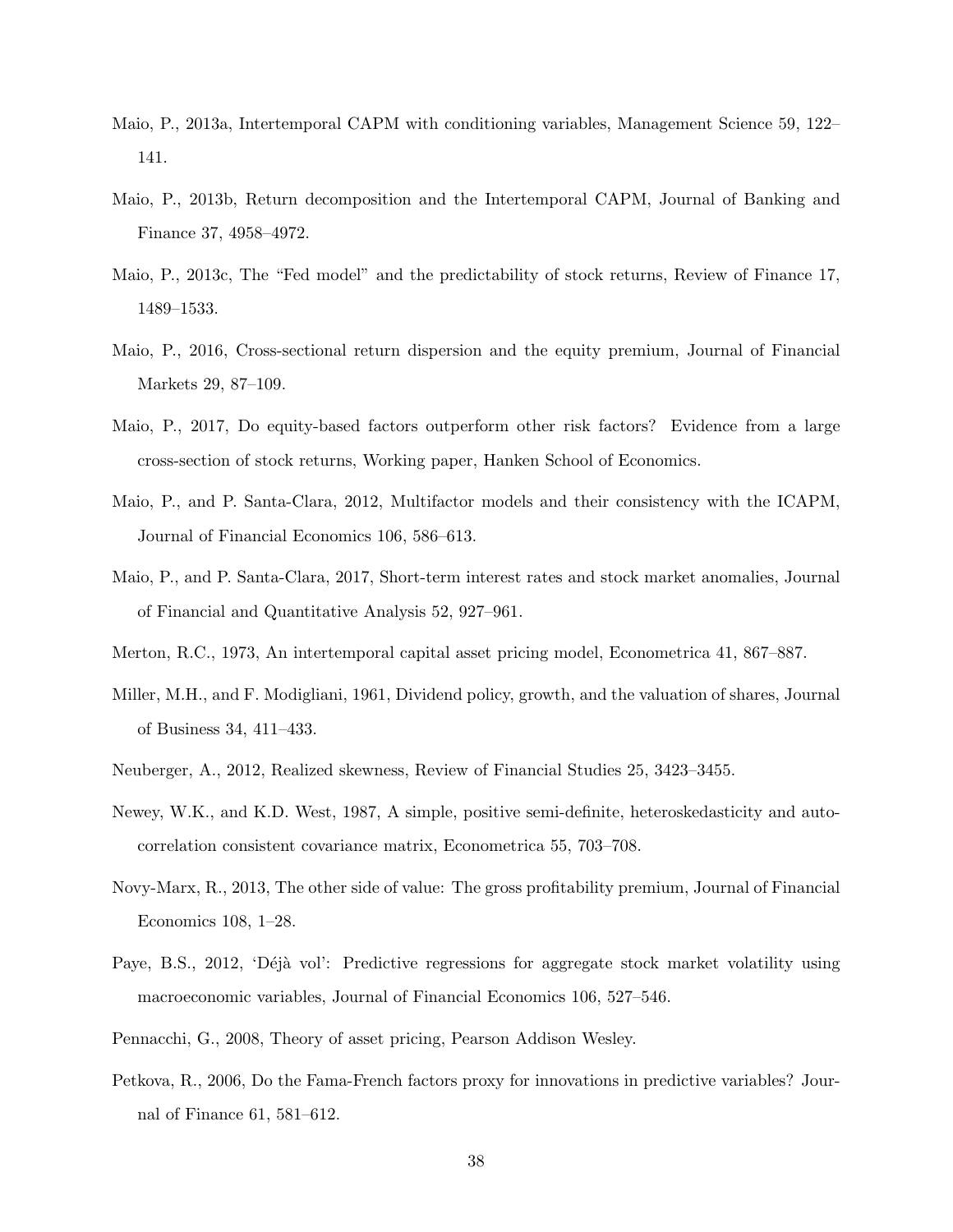- <span id="page-40-9"></span>Maio, P., 2013a, Intertemporal CAPM with conditioning variables, Management Science 59, 122– 141.
- <span id="page-40-7"></span>Maio, P., 2013b, Return decomposition and the Intertemporal CAPM, Journal of Banking and Finance 37, 4958–4972.
- Maio, P., 2013c, The "Fed model" and the predictability of stock returns, Review of Finance 17, 1489–1533.
- Maio, P., 2016, Cross-sectional return dispersion and the equity premium, Journal of Financial Markets 29, 87–109.
- <span id="page-40-4"></span>Maio, P., 2017, Do equity-based factors outperform other risk factors? Evidence from a large cross-section of stock returns, Working paper, Hanken School of Economics.
- <span id="page-40-3"></span>Maio, P., and P. Santa-Clara, 2012, Multifactor models and their consistency with the ICAPM, Journal of Financial Economics 106, 586–613.
- <span id="page-40-5"></span>Maio, P., and P. Santa-Clara, 2017, Short-term interest rates and stock market anomalies, Journal of Financial and Quantitative Analysis 52, 927–961.
- <span id="page-40-2"></span><span id="page-40-1"></span>Merton, R.C., 1973, An intertemporal capital asset pricing model, Econometrica 41, 867–887.
- Miller, M.H., and F. Modigliani, 1961, Dividend policy, growth, and the valuation of shares, Journal of Business 34, 411–433.
- <span id="page-40-12"></span><span id="page-40-10"></span>Neuberger, A., 2012, Realized skewness, Review of Financial Studies 25, 3423–3455.
- Newey, W.K., and K.D. West, 1987, A simple, positive semi-definite, heteroskedasticity and autocorrelation consistent covariance matrix, Econometrica 55, 703–708.
- <span id="page-40-0"></span>Novy-Marx, R., 2013, The other side of value: The gross profitability premium, Journal of Financial Economics 108, 1–28.
- <span id="page-40-11"></span>Paye, B.S., 2012, 'Déjà vol': Predictive regressions for aggregate stock market volatility using macroeconomic variables, Journal of Financial Economics 106, 527–546.
- <span id="page-40-8"></span><span id="page-40-6"></span>Pennacchi, G., 2008, Theory of asset pricing, Pearson Addison Wesley.
- Petkova, R., 2006, Do the Fama-French factors proxy for innovations in predictive variables? Journal of Finance 61, 581–612.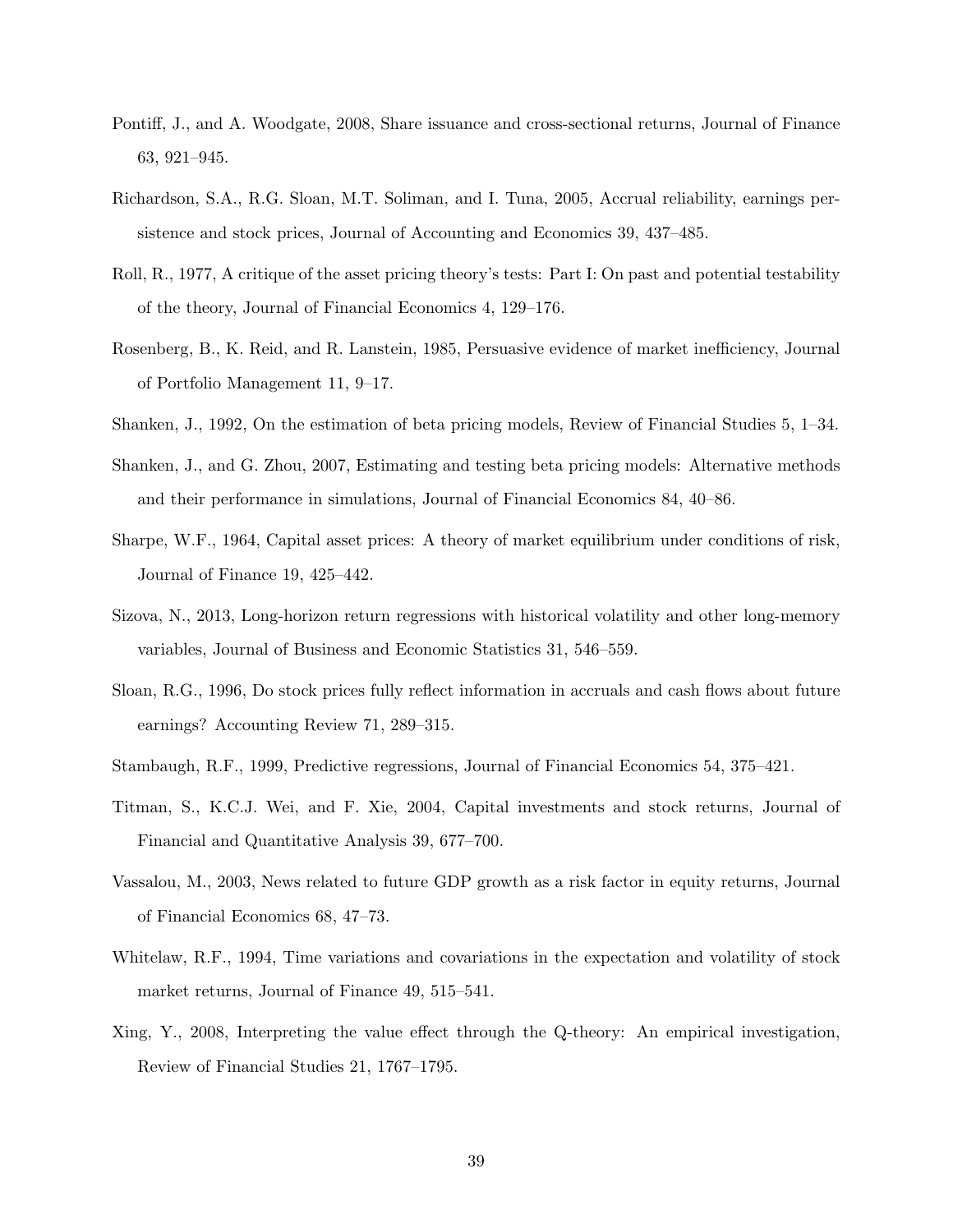- <span id="page-41-7"></span>Pontiff, J., and A. Woodgate, 2008, Share issuance and cross-sectional returns, Journal of Finance 63, 921–945.
- <span id="page-41-6"></span>Richardson, S.A., R.G. Sloan, M.T. Soliman, and I. Tuna, 2005, Accrual reliability, earnings persistence and stock prices, Journal of Accounting and Economics 39, 437–485.
- <span id="page-41-3"></span>Roll, R., 1977, A critique of the asset pricing theory's tests: Part I: On past and potential testability of the theory, Journal of Financial Economics 4, 129–176.
- <span id="page-41-4"></span>Rosenberg, B., K. Reid, and R. Lanstein, 1985, Persuasive evidence of market inefficiency, Journal of Portfolio Management 11, 9–17.
- <span id="page-41-9"></span><span id="page-41-8"></span>Shanken, J., 1992, On the estimation of beta pricing models, Review of Financial Studies 5, 1–34.
- Shanken, J., and G. Zhou, 2007, Estimating and testing beta pricing models: Alternative methods and their performance in simulations, Journal of Financial Economics 84, 40–86.
- <span id="page-41-0"></span>Sharpe, W.F., 1964, Capital asset prices: A theory of market equilibrium under conditions of risk, Journal of Finance 19, 425–442.
- <span id="page-41-11"></span>Sizova, N., 2013, Long-horizon return regressions with historical volatility and other long-memory variables, Journal of Business and Economic Statistics 31, 546–559.
- <span id="page-41-5"></span>Sloan, R.G., 1996, Do stock prices fully reflect information in accruals and cash flows about future earnings? Accounting Review 71, 289–315.
- <span id="page-41-10"></span><span id="page-41-1"></span>Stambaugh, R.F., 1999, Predictive regressions, Journal of Financial Economics 54, 375–421.
- Titman, S., K.C.J. Wei, and F. Xie, 2004, Capital investments and stock returns, Journal of Financial and Quantitative Analysis 39, 677–700.
- <span id="page-41-13"></span>Vassalou, M., 2003, News related to future GDP growth as a risk factor in equity returns, Journal of Financial Economics 68, 47–73.
- <span id="page-41-12"></span>Whitelaw, R.F., 1994, Time variations and covariations in the expectation and volatility of stock market returns, Journal of Finance 49, 515–541.
- <span id="page-41-2"></span>Xing, Y., 2008, Interpreting the value effect through the Q-theory: An empirical investigation, Review of Financial Studies 21, 1767–1795.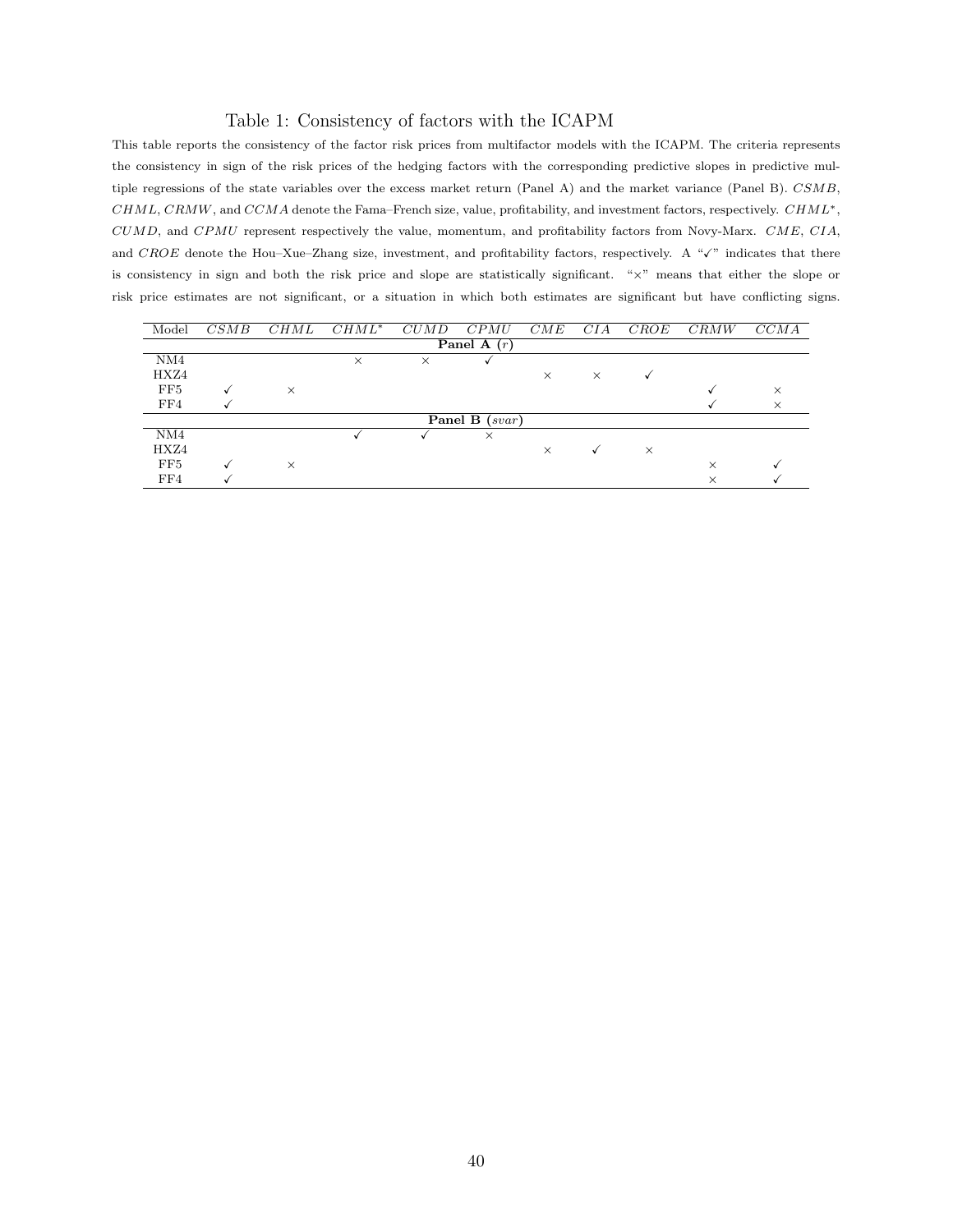### Table 1: Consistency of factors with the ICAPM

<span id="page-42-0"></span>This table reports the consistency of the factor risk prices from multifactor models with the ICAPM. The criteria represents the consistency in sign of the risk prices of the hedging factors with the corresponding predictive slopes in predictive multiple regressions of the state variables over the excess market return (Panel A) and the market variance (Panel B). CSMB,  $CHML, CRMW$ , and  $CCMA$  denote the Fama–French size, value, profitability, and investment factors, respectively.  $CHML^*$ , CUMD, and CPMU represent respectively the value, momentum, and profitability factors from Novy-Marx. CME, CIA, and CROE denote the Hou–Xue–Zhang size, investment, and profitability factors, respectively. A " $\checkmark$ " indicates that there is consistency in sign and both the risk price and slope are statistically significant. "×" means that either the slope or risk price estimates are not significant, or a situation in which both estimates are significant but have conflicting signs.

| Model | CSMB                 | CHML     | $CHML^*$ | CUMD | CPMU             | CME      | CIA      | CROE     | CRMW     | CCMA     |  |  |  |
|-------|----------------------|----------|----------|------|------------------|----------|----------|----------|----------|----------|--|--|--|
|       | Panel A $(r)$        |          |          |      |                  |          |          |          |          |          |  |  |  |
| NM4   | $\times$<br>$\times$ |          |          |      |                  |          |          |          |          |          |  |  |  |
| HXZ4  |                      |          |          |      |                  | $\times$ | $\times$ |          |          |          |  |  |  |
| FF5   |                      | $\times$ |          |      |                  |          |          |          |          | $\times$ |  |  |  |
| FF4   |                      |          |          |      |                  |          |          |          |          | $\times$ |  |  |  |
|       |                      |          |          |      | Panel B $(svar)$ |          |          |          |          |          |  |  |  |
| NM4   |                      |          |          |      | $\times$         |          |          |          |          |          |  |  |  |
| HXZ4  |                      |          |          |      |                  | $\times$ |          | $\times$ |          |          |  |  |  |
| FF5   |                      | $\times$ |          |      |                  |          |          |          | $\times$ |          |  |  |  |
| FF4   |                      |          |          |      |                  |          |          |          | $\times$ |          |  |  |  |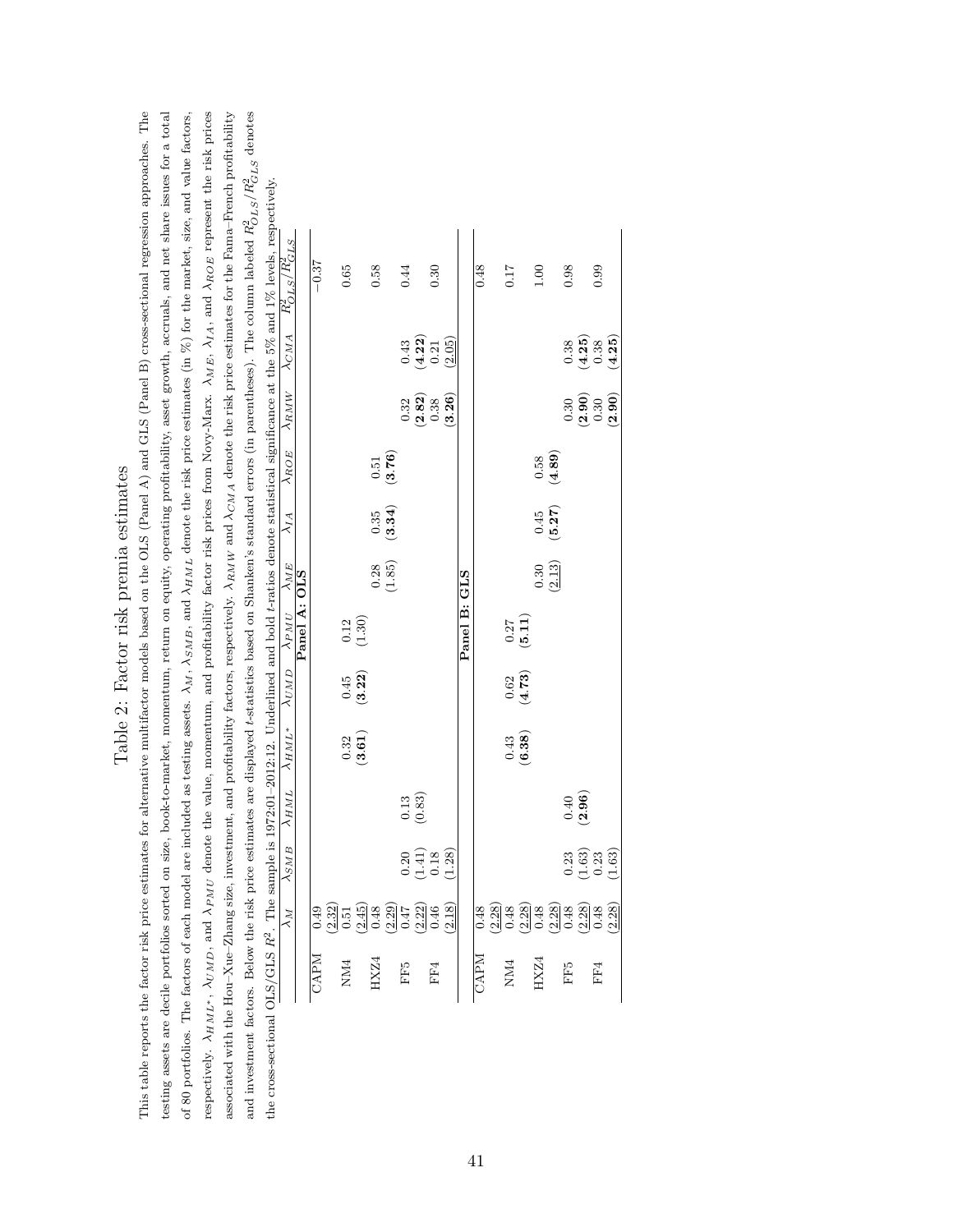| ؟<br>ڊ<br>ć<br>Ĭ |
|------------------|
| n mann i n<br>ı  |
| i<br>į           |
| ļ                |
|                  |
| Į                |

<span id="page-43-0"></span>This table reports the factor risk price estimates for alternative multifactor models based on the OLS (Panel A) and GLS (Panel B) cross-sectional regression approaches. The testing assets are decile portfolios sorted on size, book-to-market, momentum, return on equity, operating profitability, asset growth, accruals, and net share issues for a total of 80 portfolios. The factors of each model are included as testing assets.  $\lambda_{M}$ ,  $\lambda_{SMB}$ , and  $\lambda_{HML}$  denote the risk price estimates (in %) for the market, size, and value factors, respectively.  $\lambda_{HML^*}$ ,  $\lambda_{UMD}$ , and  $\lambda_{PMU}$  denote the value, momentum, and profitability factor risk prices from Novy-Marx.  $\lambda_{ME}$ ,  $\lambda_{IAB}$ , and  $\lambda_{ROE}$  represent the risk prices associated with the Hou-Xue-Zhang size, investment, and profitability factors, respectively.  $\lambda_{RMW}$  and  $\lambda_{CMA}$  denote the risk price estimates for the Fama–French profitability and investment factors. Below the risk price estimates are displayed *t*-statistics based on Shanken's standard errors (in parentheses). The column labeled  $R_{OLS}^2/R_{GLS}^2$  denotes This table reports the factor risk price estimates for alternative multifactor models based on the OLS (Panel A) and GLS (Panel B) cross-sectional regression approaches. The testing assets are decile portfolios sorted on size, book-to-market, momentum, return on equity, operating profitability, asset growth, accruals, and net share issues for a total of 80 portfolios. The factors of each model are included as testing assets.  $\lambda_{M}$ ,  $\lambda_{SMB}$ , and  $\lambda_{HML}$  denote the risk price estimates (in %) for the market, size, and value factors, respectively.  $\lambda_{HML^*}$ ,  $\lambda_{UMD}$ , and  $\lambda_{PMU}$  denote the value, momentum, and profitability factor risk prices from Novy-Marx.  $\lambda_{MEL}$ , and  $\lambda_{ROE}$  represent the risk prices associated with the Hou–Xue–Zhang size, investment, and profitability factors, respectively.  $\lambda_{RMW}$  and  $\lambda_{CMA}$  denote the risk price estimates for the Fama–French profitability and investment factors. Below the risk price estimates are displayed  $t$ -statistics based on Shanken's standard errors (in parentheses). The column labeled  $R_{OLS}^2/R_{CLS_S}^2$  denotes ectively. the cross-sectional OLS/GLS  $R^2$ . The sample is 1972:01–2012:12. Underlined and bold t-ratios denote statistical significance at the 5% and 1% levels, respectively. the cross-sectional

| OLS/GLS $R^2$ . The sample is 1972:01-2012:12. Underlined and bold t-ratios denote statistical significance at the 5% and 1% levels, respe | $/R^2_{GLS}$<br>$R_{OLS}^2/$ |              | $-0.37$     |                                                                                                                                                                                                                                                                                                                           | 0.65                  |                                               | 0.58 |        | 0.44 |                                                       | 0.30     |        |              | 0.48 | 0.17                  | $\frac{0}{1}$                                                                                                                                                                                                                                                                                                                                     |        | 0.98                  |                  | 0.99 |        |
|--------------------------------------------------------------------------------------------------------------------------------------------|------------------------------|--------------|-------------|---------------------------------------------------------------------------------------------------------------------------------------------------------------------------------------------------------------------------------------------------------------------------------------------------------------------------|-----------------------|-----------------------------------------------|------|--------|------|-------------------------------------------------------|----------|--------|--------------|------|-----------------------|---------------------------------------------------------------------------------------------------------------------------------------------------------------------------------------------------------------------------------------------------------------------------------------------------------------------------------------------------|--------|-----------------------|------------------|------|--------|
|                                                                                                                                            | $\lambda_{CMA}$              |              |             |                                                                                                                                                                                                                                                                                                                           |                       |                                               |      |        | 0.43 | (4.22)                                                | $0.21\,$ | (2.05) |              |      |                       |                                                                                                                                                                                                                                                                                                                                                   |        | 0.38                  | $(4.25)$<br>0.38 |      | (4.25) |
|                                                                                                                                            | $\lambda_{RMW}$              |              |             |                                                                                                                                                                                                                                                                                                                           |                       |                                               |      |        | 0.32 | $\begin{array}{c} (2.82) \\ 0.38 \end{array}$         |          | (3.26) |              |      |                       |                                                                                                                                                                                                                                                                                                                                                   |        | 0.30                  | (2.90)           |      | (2.90) |
|                                                                                                                                            | $\lambda_{ROE}$              |              |             |                                                                                                                                                                                                                                                                                                                           |                       |                                               | 0.51 | (3.76) |      |                                                       |          |        |              |      |                       | 0.58                                                                                                                                                                                                                                                                                                                                              | (4.89) |                       |                  |      |        |
|                                                                                                                                            | $\lambda_{IA}$               |              |             |                                                                                                                                                                                                                                                                                                                           |                       |                                               | 0.35 | (3.34) |      |                                                       |          |        |              |      |                       | 0.45                                                                                                                                                                                                                                                                                                                                              | (5.27) |                       |                  |      |        |
|                                                                                                                                            | $\lambda_{M E}$              |              |             |                                                                                                                                                                                                                                                                                                                           |                       |                                               | 0.28 | (1.85) |      |                                                       |          |        |              |      |                       | 0.30                                                                                                                                                                                                                                                                                                                                              | (2.13) |                       |                  |      |        |
|                                                                                                                                            | $\lambda_{PMU}$              | Panel A: OLS |             |                                                                                                                                                                                                                                                                                                                           |                       | $\begin{array}{c} 0.12 \\ (1.30) \end{array}$ |      |        |      |                                                       |          |        | Panel B: GLS |      | $\binom{0.27}{5.11}$  |                                                                                                                                                                                                                                                                                                                                                   |        |                       |                  |      |        |
|                                                                                                                                            | $\lambda_{UMD}$              |              |             |                                                                                                                                                                                                                                                                                                                           | $\frac{0.45}{(3.22)}$ |                                               |      |        |      |                                                       |          |        |              |      | $\frac{0.62}{(4.73)}$ |                                                                                                                                                                                                                                                                                                                                                   |        |                       |                  |      |        |
|                                                                                                                                            | $\lambda_{HML^*}$            |              |             |                                                                                                                                                                                                                                                                                                                           | $\binom{0.32}{3.61}$  |                                               |      |        |      |                                                       |          |        |              |      | $\frac{0.43}{(6.38)}$ |                                                                                                                                                                                                                                                                                                                                                   |        |                       |                  |      |        |
|                                                                                                                                            | $\lambda_{HML}$              |              |             |                                                                                                                                                                                                                                                                                                                           |                       |                                               |      |        | 0.13 | (0.83)                                                |          |        |              |      |                       |                                                                                                                                                                                                                                                                                                                                                   |        | $\frac{0.40}{(2.96)}$ |                  |      |        |
|                                                                                                                                            | $\lambda_{SMB}$              |              |             |                                                                                                                                                                                                                                                                                                                           |                       |                                               |      |        |      | $\begin{array}{c} 0.20 \\ (1.41) \\ 0.18 \end{array}$ |          | (1.28) |              |      |                       |                                                                                                                                                                                                                                                                                                                                                   |        |                       | $0.33$<br>$0.33$ |      | (1.63) |
|                                                                                                                                            | $\lambda_M$                  |              | 0.49        | $\begin{array}{l} (2,32) \\ (3,51) \\ (4,42) \\ (5,44) \\ (6,45) \\ (7,45) \\ (8,45) \\ (9,45) \\ (1,2,2) \\ (1,2,2) \\ (1,2,2) \\ (1,2,2) \\ (1,2,2) \\ (1,2,2) \\ (1,2,2) \\ (1,2,2) \\ (1,2,2) \\ (1,2,2) \\ (1,2,2) \\ (1,2,2) \\ (1,2,2) \\ (1,2,2) \\ (1,2,2) \\ (1,2,2) \\ (1,2,2) \\ (1,2,2) \\ (1,2,2) \\ (1,2,$ |                       |                                               |      |        |      |                                                       | $0.46\,$ | (2.18) |              | 0.48 |                       | $\begin{array}{l} (2,28) \\ (3,48) \\ (4,8) \\ (5,6) \\ (6,7) \\ (7,8) \\ (8,8) \\ (9,6) \\ (1,6) \\ (1,6) \\ (1,6) \\ (1,6) \\ (1,6) \\ (1,6) \\ (1,6) \\ (1,6) \\ (1,6) \\ (1,6) \\ (1,6) \\ (1,6) \\ (1,6) \\ (1,6) \\ (1,6) \\ (1,6) \\ (1,6) \\ (1,6) \\ (1,6) \\ (1,6) \\ (1,6) \\ (1,6) \\ (1,6) \\ (1,6) \\ (1,6) \\ (1,6) \\ (1,6) \\ ($ |        |                       |                  |      |        |
|                                                                                                                                            |                              |              | <b>CAPM</b> |                                                                                                                                                                                                                                                                                                                           | NM4                   |                                               | HXZ4 |        | FF5  |                                                       | FF4      |        |              | NEWO | NM4                   | HXZ4                                                                                                                                                                                                                                                                                                                                              |        | FF5                   |                  | FF4  |        |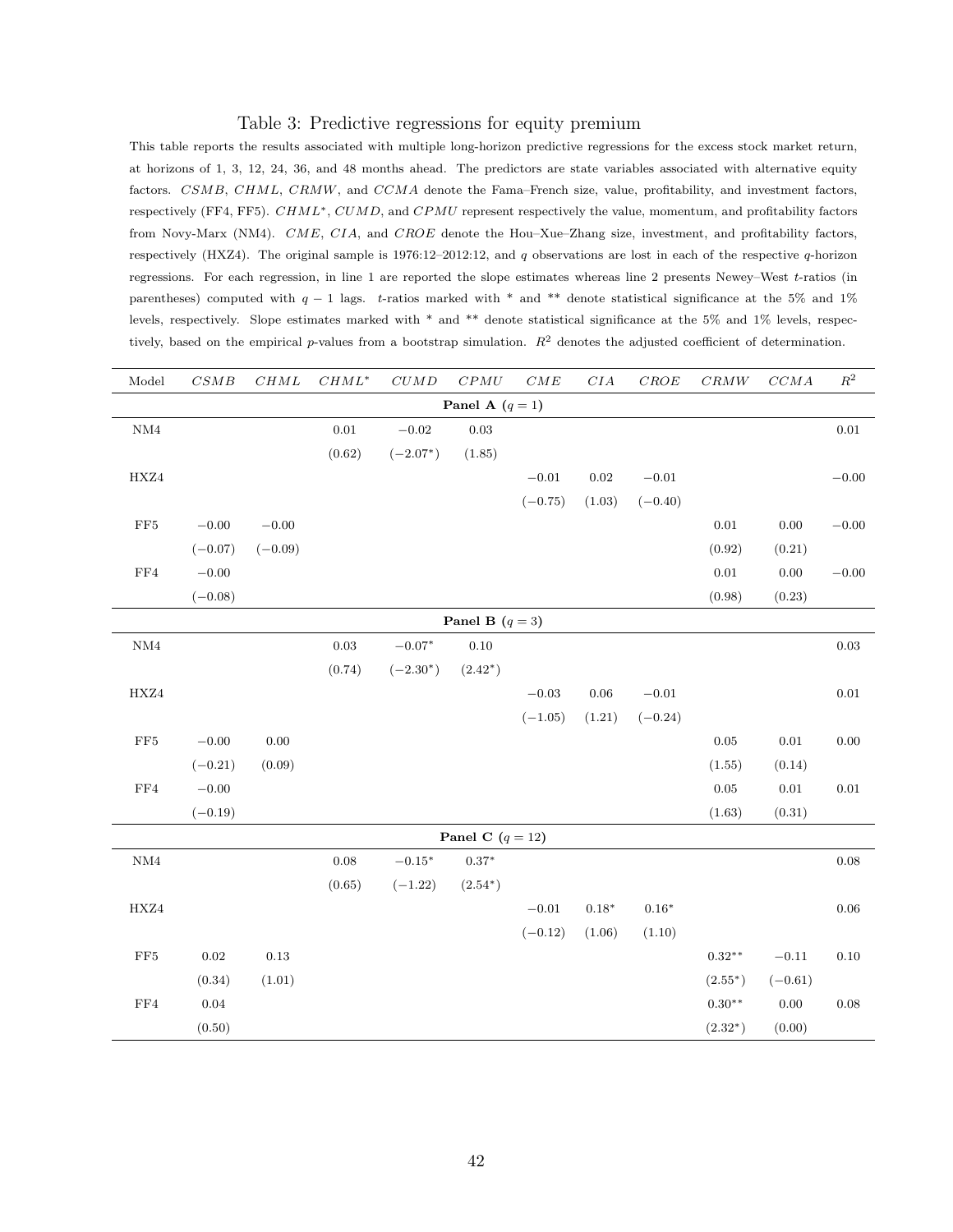#### Table 3: Predictive regressions for equity premium

<span id="page-44-0"></span>This table reports the results associated with multiple long-horizon predictive regressions for the excess stock market return, at horizons of 1, 3, 12, 24, 36, and 48 months ahead. The predictors are state variables associated with alternative equity factors. CSMB, CHML, CRMW, and CCMA denote the Fama–French size, value, profitability, and investment factors, respectively (FF4, FF5). CHML∗, CUMD, and CPMU represent respectively the value, momentum, and profitability factors from Novy-Marx (NM4). CME, CIA, and CROE denote the Hou–Xue–Zhang size, investment, and profitability factors, respectively (HXZ4). The original sample is 1976:12-2012:12, and  $q$  observations are lost in each of the respective  $q$ -horizon regressions. For each regression, in line 1 are reported the slope estimates whereas line 2 presents Newey–West t-ratios (in parentheses) computed with  $q - 1$  lags. t-ratios marked with \* and \*\* denote statistical significance at the 5% and 1% levels, respectively. Slope estimates marked with \* and \*\* denote statistical significance at the 5% and 1% levels, respectively, based on the empirical p-values from a bootstrap simulation.  $R^2$  denotes the adjusted coefficient of determination.

| $\rm Model$    | $CSMB$     | $\mathcal{CHML}$ | $\mathcal{CHML}^*$ | $CUMD$         | $CPMU$             | $CME$     | CIA           | CROE                     | $\mathcal{CRMW}$  | $CCMA$      | $\mathbb{R}^2$ |
|----------------|------------|------------------|--------------------|----------------|--------------------|-----------|---------------|--------------------------|-------------------|-------------|----------------|
|                |            |                  |                    |                | Panel A $(q = 1)$  |           |               |                          |                   |             |                |
| $\mathrm{NM}4$ |            |                  | $0.01\,$           | $\!-0.02\!$    | $\rm 0.03$         |           |               |                          |                   |             | $0.01\,$       |
|                |            |                  | (0.62)             | $(-2.07^*)$    | (1.85)             |           |               |                          |                   |             |                |
| HXZ4           |            |                  |                    |                |                    | $-0.01$   | $0.02\,$      | $-0.01$                  |                   |             | $-0.00$        |
|                |            |                  |                    |                |                    | $(-0.75)$ | (1.03)        | $(-0.40)$                |                   |             |                |
| $\rm FF5$      | $-0.00$    | $-0.00$          |                    |                |                    |           |               |                          | $0.01\,$          | $0.00\,$    | $-0.00$        |
|                | $(-0.07)$  | $(-0.09)$        |                    |                |                    |           |               |                          | (0.92)            | (0.21)      |                |
| ${\rm FF4}$    | $\!-0.00$  |                  |                    |                |                    |           |               |                          | $0.01\,$          | $0.00\,$    | $-0.00$        |
|                | $(-0.08)$  |                  |                    |                |                    |           |               |                          | (0.98)            | (0.23)      |                |
|                |            |                  |                    |                | Panel B $(q = 3)$  |           |               |                          |                   |             |                |
| $\mathrm{NM}4$ |            |                  | $0.03\,$           | $-0.07*$       | $0.10\,$           |           |               |                          |                   |             | $\rm 0.03$     |
|                |            |                  | (0.74)             | $(-2.30^*)$    | $(2.42^*)$         |           |               |                          |                   |             |                |
| ${\rm HXZ4}$   |            |                  |                    |                |                    | $-0.03$   | 0.06          | $-0.01$                  |                   |             | $0.01\,$       |
|                |            |                  |                    |                |                    | $(-1.05)$ | (1.21)        | $(-0.24)$                |                   |             |                |
| $\rm FF5$      | $\!-0.00$  | $0.00\,$         |                    |                |                    |           |               |                          | $0.05\,$          | $0.01\,$    | $0.00\,$       |
|                | $(-0.21)$  | (0.09)           |                    |                |                    |           |               |                          | (1.55)            | (0.14)      |                |
| ${\rm FF4}$    | $-0.00$    |                  |                    |                |                    |           |               |                          | $0.05\,$          | $0.01\,$    | $0.01\,$       |
|                | $(-0.19)$  |                  |                    |                |                    |           |               |                          | (1.63)            | (0.31)      |                |
|                |            |                  |                    |                | Panel C $(q = 12)$ |           |               |                          |                   |             |                |
| $\mathrm{NM}4$ |            |                  | $0.08\,$           | $-0.15^{\ast}$ | $0.37*$            |           |               |                          |                   |             | $\rm 0.08$     |
|                |            |                  | (0.65)             | $(-1.22)$      | $(2.54^{*})$       |           |               |                          |                   |             |                |
| ${\rm HXZ4}$   |            |                  |                    |                |                    | $-0.01$   | $0.18^{\ast}$ | $0.16\ensuremath{^\ast}$ |                   |             | $0.06\,$       |
|                |            |                  |                    |                |                    | $(-0.12)$ | (1.06)        | (1.10)                   |                   |             |                |
| $\rm FF5$      | $\rm 0.02$ | $0.13\,$         |                    |                |                    |           |               |                          | $0.32^{\ast\ast}$ | $\!-0.11\!$ | $0.10\,$       |
|                | (0.34)     | (1.01)           |                    |                |                    |           |               |                          | $(2.55^*)$        | $(-0.61)$   |                |
| ${\rm FF4}$    | $\,0.04\,$ |                  |                    |                |                    |           |               |                          | $0.30**$          | 0.00        | 0.08           |
|                | (0.50)     |                  |                    |                |                    |           |               |                          | $(2.32^*)$        | (0.00)      |                |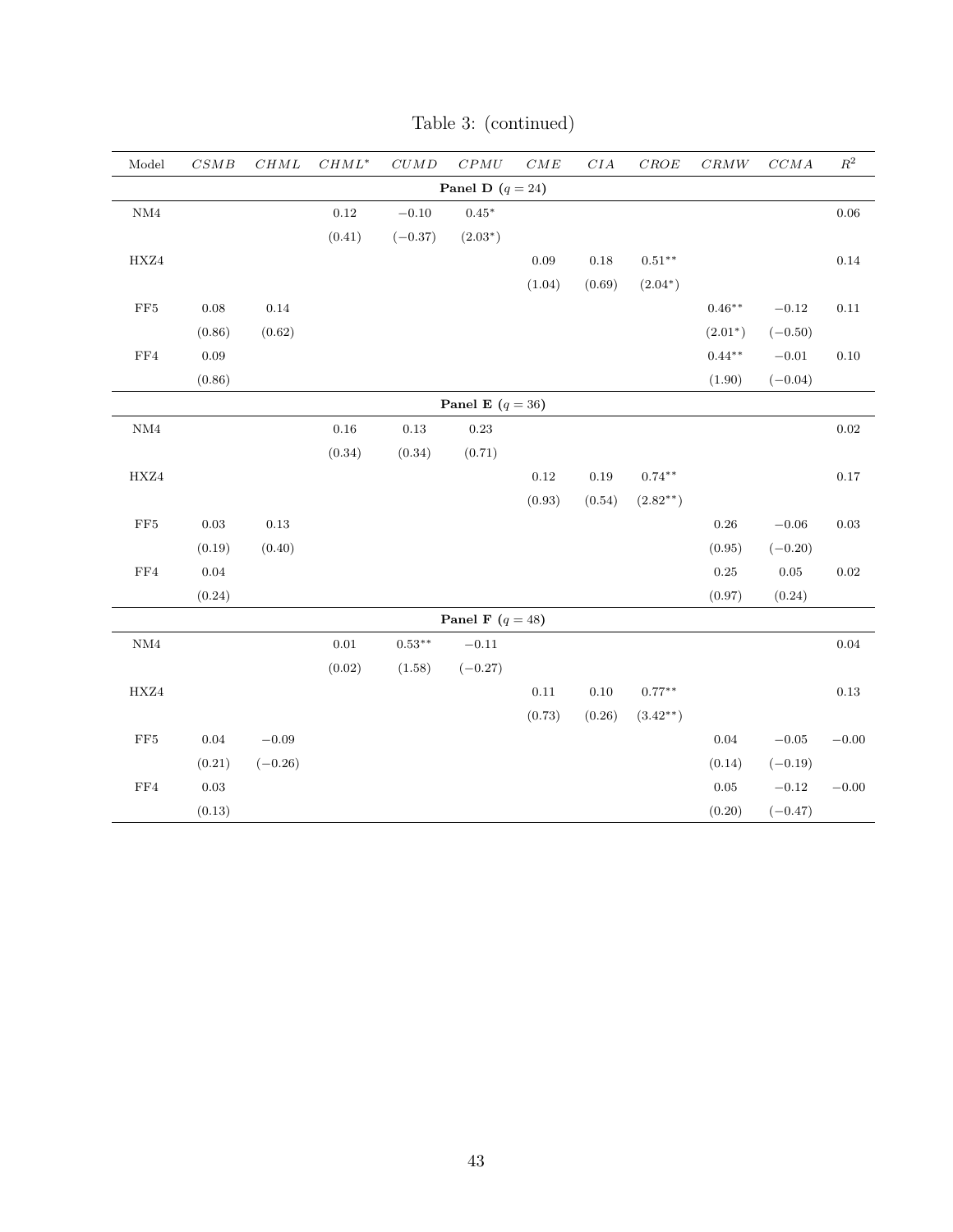| Model          | $CSMB$     | CHML      | $CHML^*$ | $CUMD$    | $CPMU$                    | $CME$    | $CIA$      | CROE              | $\mathcal{CRMW}$ | $CCMA$      | $\mathbb{R}^2$ |
|----------------|------------|-----------|----------|-----------|---------------------------|----------|------------|-------------------|------------------|-------------|----------------|
|                |            |           |          |           | Panel D $(q = 24)$        |          |            |                   |                  |             |                |
| $\mathrm{NM}4$ |            |           | $0.12\,$ | $\!-0.10$ | $0.45*$                   |          |            |                   |                  |             | 0.06           |
|                |            |           | (0.41)   | $(-0.37)$ | $(2.03*)$                 |          |            |                   |                  |             |                |
| ${\rm HXZ4}$   |            |           |          |           |                           | $0.09\,$ | $0.18\,$   | $0.51^{\ast\ast}$ |                  |             | $0.14\,$       |
|                |            |           |          |           |                           | (1.04)   | (0.69)     | $(2.04^*)$        |                  |             |                |
| $\rm FF5$      | $0.08\,$   | $0.14\,$  |          |           |                           |          |            |                   | $0.46***$        | $-0.12$     | $0.11\,$       |
|                | (0.86)     | (0.62)    |          |           |                           |          |            |                   | $(2.01^*)$       | $(-0.50)$   |                |
| ${\rm FF4}$    | $\rm 0.09$ |           |          |           |                           |          |            |                   | $0.44***$        | $-0.01$     | $0.10\,$       |
|                | (0.86)     |           |          |           |                           |          |            |                   | (1.90)           | $(-0.04)$   |                |
|                |            |           |          |           | <b>Panel E</b> $(q = 36)$ |          |            |                   |                  |             |                |
| $\mathrm{NM}4$ |            |           | 0.16     | $0.13\,$  | $\rm 0.23$                |          |            |                   |                  |             | 0.02           |
|                |            |           | (0.34)   | (0.34)    | (0.71)                    |          |            |                   |                  |             |                |
| ${\rm HXZ4}$   |            |           |          |           |                           | $0.12\,$ | $\rm 0.19$ | $0.74***$         |                  |             | $0.17\,$       |
|                |            |           |          |           |                           | (0.93)   | (0.54)     | $(2.82**)$        |                  |             |                |
| $\rm FF5$      | $\rm 0.03$ | $0.13\,$  |          |           |                           |          |            |                   | $0.26\,$         | $\!-0.06$   | $\rm 0.03$     |
|                | (0.19)     | (0.40)    |          |           |                           |          |            |                   | (0.95)           | $(-0.20)$   |                |
| ${\rm FF4}$    | $0.04\,$   |           |          |           |                           |          |            |                   | 0.25             | $\rm 0.05$  | $\rm 0.02$     |
|                | (0.24)     |           |          |           |                           |          |            |                   | (0.97)           | (0.24)      |                |
|                |            |           |          |           | Panel F $(q = 48)$        |          |            |                   |                  |             |                |
| $\mathrm{NM}4$ |            |           | $0.01\,$ | $0.53***$ | $\!-0.11\!$               |          |            |                   |                  |             | $0.04\,$       |
|                |            |           | (0.02)   | (1.58)    | $(-0.27)$                 |          |            |                   |                  |             |                |
| ${\rm HXZ4}$   |            |           |          |           |                           | $0.11\,$ | $0.10\,$   | $0.77**$          |                  |             | $\rm 0.13$     |
|                |            |           |          |           |                           | (0.73)   | (0.26)     | $(3.42**)$        |                  |             |                |
| $\rm FF5$      | $0.04\,$   | $\!-0.09$ |          |           |                           |          |            |                   | $0.04\,$         | $-0.05$     | $-0.00$        |
|                | (0.21)     | $(-0.26)$ |          |           |                           |          |            |                   | (0.14)           | $(-0.19)$   |                |
| ${\rm FF4}$    | $\rm 0.03$ |           |          |           |                           |          |            |                   | $\rm 0.05$       | $\!-0.12\!$ | $-0.00$        |
|                | (0.13)     |           |          |           |                           |          |            |                   | (0.20)           | $(-0.47)$   |                |

Table 3: (continued)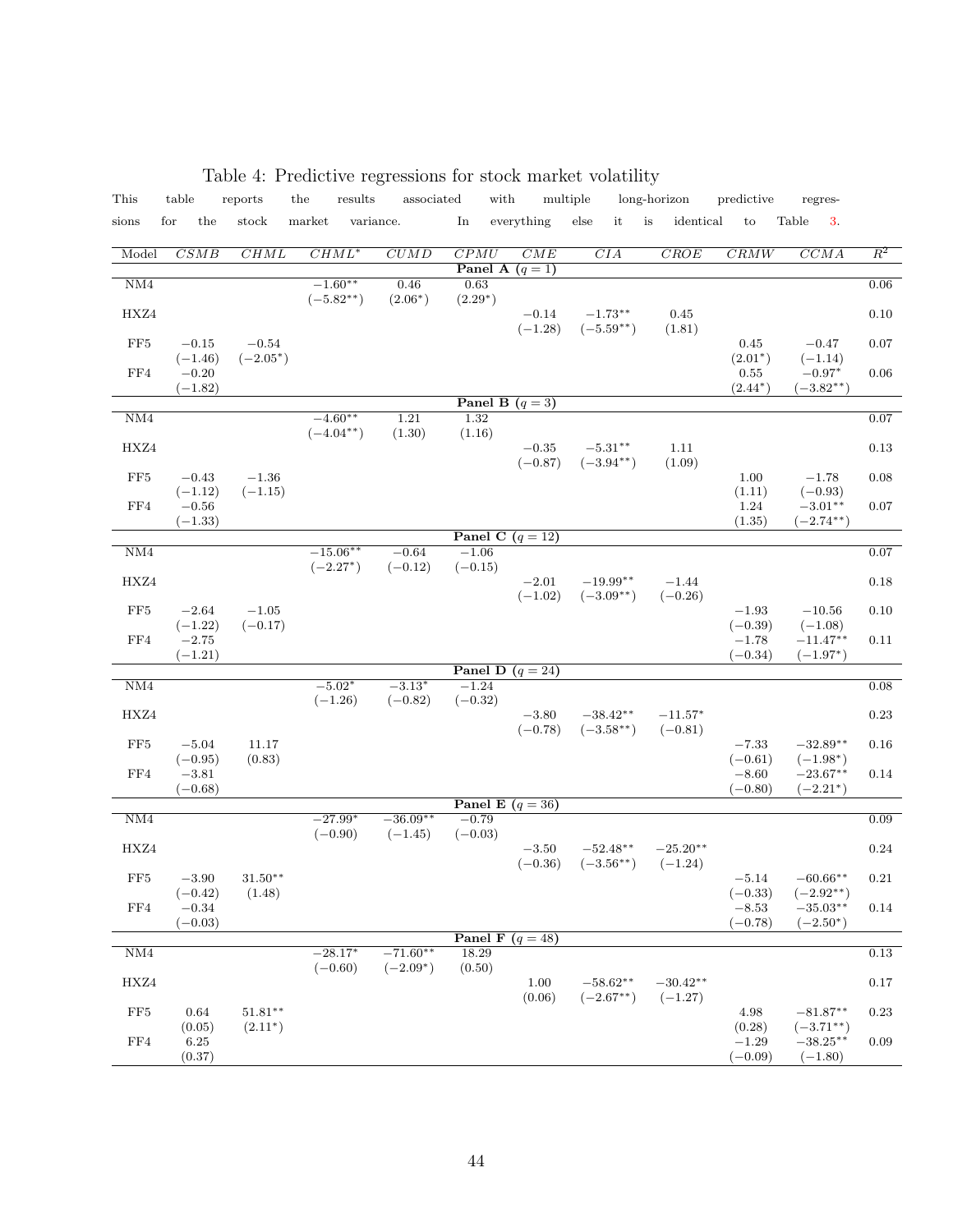|  | Table 4: Predictive regressions for stock market volatility |  |  |
|--|-------------------------------------------------------------|--|--|
|  |                                                             |  |  |

<span id="page-46-0"></span>

| This                    | table                    | reports                | Table 1. I redictive responsibility for stock matrice volatility<br>the<br>results | associated            | with                 |                      | multiple                     | long-horizon            | predictive           | regres-                       |            |
|-------------------------|--------------------------|------------------------|------------------------------------------------------------------------------------|-----------------------|----------------------|----------------------|------------------------------|-------------------------|----------------------|-------------------------------|------------|
| sions                   | the<br>for               | stock                  | market                                                                             | variance.             | In                   | everything           | $_{\text{else}}$<br>it       | identical<br>is         | to                   | Table<br>3 <sub>1</sub>       |            |
| Model                   | $\overline{CSMB}$        | CHML                   | $CHML^*$                                                                           | CUMD                  | CPMU                 | CME                  | $\overline{CIA}$             | CROE                    | CRMW                 | CCMA                          | $R^2$      |
| NM4                     |                          |                        | $-1.60**$                                                                          | 0.46                  | 0.63                 | Panel A $(q = 1)$    |                              |                         |                      |                               | 0.06       |
| ${\rm HXZ4}$            |                          |                        | $(-5.82**)$                                                                        | $(2.06^*)$            | $(2.29*)$            | $-0.14$              | $-1.73**$                    | 0.45                    |                      |                               |            |
|                         |                          |                        |                                                                                    |                       |                      | $(-1.28)$            | $(-5.59^{**})$               | (1.81)                  |                      |                               | $0.10\,$   |
| FF5                     | $-0.15$<br>$(-1.46)$     | $-0.54$<br>$(-2.05^*)$ |                                                                                    |                       |                      |                      |                              |                         | 0.45<br>$(2.01*)$    | $-0.47$<br>$(-1.14)$          | 0.07       |
| FF4                     | $-0.20$<br>$(-1.82)$     |                        |                                                                                    |                       |                      |                      |                              |                         | 0.55<br>$(2.44^*)$   | $-0.97*$<br>$(-3.82**)$       | 0.06       |
| NM4                     |                          |                        | $-4.60**$                                                                          | 1.21                  | 1.32                 | Panel B $(q = 3)$    |                              |                         |                      |                               | 0.07       |
|                         |                          |                        | $(-4.04**)$                                                                        | (1.30)                | (1.16)               |                      |                              |                         |                      |                               |            |
| HXZ4                    |                          |                        |                                                                                    |                       |                      | $-0.35$<br>$(-0.87)$ | $-5.31***$<br>$(-3.94**)$    | 1.11<br>(1.09)          |                      |                               | 0.13       |
| FF5                     | $-0.43$                  | $-1.36$                |                                                                                    |                       |                      |                      |                              |                         | 1.00                 | $-1.78$                       | 0.08       |
| FF4                     | $(-1.12)$<br>$\!-0.56\!$ | $(-1.15)$              |                                                                                    |                       |                      |                      |                              |                         | (1.11)<br>1.24       | $(-0.93)$<br>$-3.01**$        | 0.07       |
|                         | $(-1.33)$                |                        |                                                                                    |                       |                      |                      |                              |                         | (1.35)               | $(-2.74**)$                   |            |
| $\overline{\text{NM4}}$ |                          |                        | $-15.06**$                                                                         | $-0.64$               | $-1.06$              | Panel C $(q = 12)$   |                              |                         |                      |                               | 0.07       |
|                         |                          |                        | $(-2.27^*)$                                                                        | $(-0.12)$             | $(-0.15)$            | $-2.01$              | $-19.99**$                   | $-1.44$                 |                      |                               |            |
| HXZ4                    |                          |                        |                                                                                    |                       |                      | $(-1.02)$            | $(-3.09**)$                  | $(-0.26)$               |                      |                               | 0.18       |
| FF5                     | $-2.64$<br>$(-1.22)$     | $-1.05$<br>$(-0.17)$   |                                                                                    |                       |                      |                      |                              |                         | $-1.93$<br>$(-0.39)$ | $-10.56$<br>$(-1.08)$         | 0.10       |
| FF4                     | $-2.75\,$<br>$(-1.21)$   |                        |                                                                                    |                       |                      |                      |                              |                         | $-1.78$<br>$(-0.34)$ | $-11.47**$<br>$(-1.97^*)$     | $0.11\,$   |
|                         |                          |                        |                                                                                    |                       |                      | Panel D $(q = 24)$   |                              |                         |                      |                               |            |
| NM4                     |                          |                        | $-5.02*$<br>$(-1.26)$                                                              | $-3.13*$<br>$(-0.82)$ | $-1.24$<br>$(-0.32)$ |                      |                              |                         |                      |                               | 0.08       |
| HXZ4                    |                          |                        |                                                                                    |                       |                      | $-3.80$<br>$(-0.78)$ | $-38.42**$<br>$(-3.58**)$    | $-11.57*$<br>$(-0.81)$  |                      |                               | $\rm 0.23$ |
| FF5                     | $-5.04$                  | 11.17                  |                                                                                    |                       |                      |                      |                              |                         | $-7.33$              | $-32.89**$                    | 0.16       |
| FF4                     | $(-0.95)$<br>$-3.81$     | (0.83)                 |                                                                                    |                       |                      |                      |                              |                         | $(-0.61)$<br>$-8.60$ | $(-1.98^*)$<br>$-23.67**$     | 0.14       |
|                         | $(-0.68)$                |                        |                                                                                    |                       |                      |                      |                              |                         | $(-0.80)$            | $(-2.21^{*})$                 |            |
| NM4                     |                          |                        | $-27.99*$                                                                          | $-36.09**$            | $-0.79$              | Panel E $(q = 36)$   |                              |                         |                      |                               | 0.09       |
|                         |                          |                        | $(-0.90)$                                                                          | $(-1.45)$             | $(-0.03)$            |                      |                              |                         |                      |                               |            |
| HXZ4                    |                          |                        |                                                                                    |                       |                      | $-3.50$<br>$(-0.36)$ | $-52.48**$<br>$(-3.56^{**})$ | $-25.20**$<br>$(-1.24)$ |                      |                               | 0.24       |
| $\rm FF5$               | $-3.90$                  | $31.50**$              |                                                                                    |                       |                      |                      |                              |                         | $-5.14$              | $-60.66**$                    | 0.21       |
| FF4                     | $(-0.42)$<br>$-0.34$     | (1.48)                 |                                                                                    |                       |                      |                      |                              |                         | $(-0.33)$<br>$-8.53$ | $(-2.92**)$<br>$-35.03**$     | 0.14       |
|                         | $(-0.03)$                |                        |                                                                                    |                       |                      |                      |                              |                         | $(-0.78)$            | $(-2.50^*)$                   |            |
| NM4                     |                          |                        | $-28.17*$                                                                          | $-71.60**$            | Panel F<br>18.29     | $(q = 48)$           |                              |                         |                      |                               | 0.13       |
|                         |                          |                        | $(-0.60)$                                                                          | $(-2.09^*)$           | (0.50)               |                      |                              |                         |                      |                               |            |
| HXZ4                    |                          |                        |                                                                                    |                       |                      | 1.00<br>(0.06)       | $-58.62**$<br>$(-2.67**)$    | $-30.42**$<br>$(-1.27)$ |                      |                               | 0.17       |
| FF5                     | 0.64                     | $51.81**$              |                                                                                    |                       |                      |                      |                              |                         | 4.98                 | $-81.87**$                    | 0.23       |
| ${\rm FF4}$             | (0.05)<br>6.25           | $(2.11^{*})$           |                                                                                    |                       |                      |                      |                              |                         | (0.28)<br>$-1.29$    | $(-3.71^{**})$<br>$-38.25***$ | $0.09\,$   |

 $(-0.37)$   $(-1.80)$   $(-1.80)$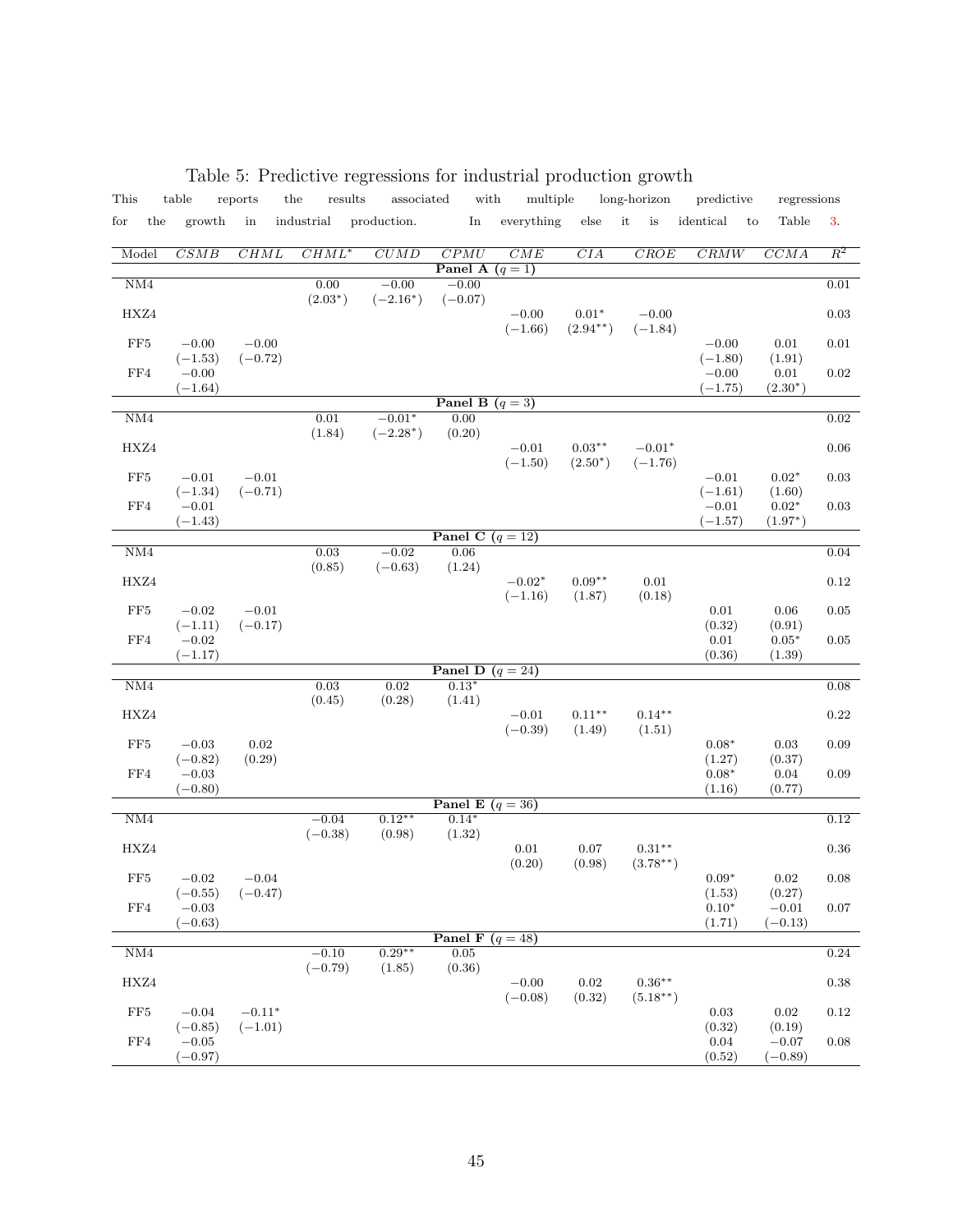<span id="page-47-0"></span>

| This                    | table                | reports   | results<br>the      | associated               | with                       | multiple   |            | long-horizon        | predictive           | regressions        |                |
|-------------------------|----------------------|-----------|---------------------|--------------------------|----------------------------|------------|------------|---------------------|----------------------|--------------------|----------------|
| f <sub>or</sub>         | the<br>growth        | in        | industrial          | production.              | In                         | everything | else       | it<br>$\mathrm{is}$ | identical<br>to      | Table              | 3 <sub>1</sub> |
| Model                   | CSMB                 | CHML      | $\overline{CHML^*}$ | $\overline{CUMD}$        | $\overline{CPMU}$          | CME        | CIA        | CROE                | CRMW                 | CCMA               | $R^2$          |
|                         |                      |           |                     |                          | Panel A $(q = 1)$          |            |            |                     |                      |                    |                |
| NM4                     |                      |           | 0.00<br>$(2.03^*)$  | $-0.00$<br>$(-2.16^{*})$ | $-0.00$<br>$(-0.07)$       |            |            |                     |                      |                    | 0.01           |
| HXZ4                    |                      |           |                     |                          |                            | $-0.00$    | $0.01*$    | $-0.00$             |                      |                    | 0.03           |
| $\rm FF5$               | $-0.00$              | $-0.00$   |                     |                          |                            | $(-1.66)$  | $(2.94**)$ | $(-1.84)$           | $-0.00$              | 0.01               | 0.01           |
| FF4                     | $(-1.53)$<br>$-0.00$ | $(-0.72)$ |                     |                          |                            |            |            |                     | $(-1.80)$<br>$-0.00$ | (1.91)<br>$0.01\,$ | $\rm 0.02$     |
|                         | $(-1.64)$            |           |                     |                          | Panel B $(q = 3)$          |            |            |                     | $(-1.75)$            | $(2.30^*)$         |                |
| NM4                     |                      |           | 0.01                | $-0.01*$                 | 0.00                       |            |            |                     |                      |                    | 0.02           |
|                         |                      |           | (1.84)              | $(-2.28^*)$              | (0.20)                     |            |            |                     |                      |                    |                |
| HXZ4                    |                      |           |                     |                          |                            | $-0.01$    | $0.03***$  | $-0.01*$            |                      |                    | 0.06           |
|                         |                      |           |                     |                          |                            | $(-1.50)$  | $(2.50^*)$ | $(-1.76)$           |                      |                    |                |
| FF5                     | $-0.01$              | $-0.01$   |                     |                          |                            |            |            |                     | $-0.01$              | $0.02*$            | 0.03           |
|                         | $(-1.34)$            | $(-0.71)$ |                     |                          |                            |            |            |                     | $(-1.61)$            | (1.60)             |                |
| ${\rm FF4}$             | $-0.01$              |           |                     |                          |                            |            |            |                     | $-0.01$              | $0.02*$            | 0.03           |
|                         | $(-1.43)$            |           |                     |                          | Panel C $(q = 12)$         |            |            |                     | $(-1.57)$            | $(1.97^*)$         |                |
| NM4                     |                      |           | 0.03                | $-0.02$                  | 0.06                       |            |            |                     |                      |                    | 0.04           |
|                         |                      |           | (0.85)              | $(-0.63)$                | (1.24)                     |            |            |                     |                      |                    |                |
| HXZ4                    |                      |           |                     |                          |                            | $-0.02*$   | $0.09**$   | 0.01                |                      |                    | 0.12           |
| FF5                     | $-0.02$              | $-0.01$   |                     |                          |                            | $(-1.16)$  | (1.87)     | (0.18)              | 0.01                 | 0.06               | 0.05           |
|                         | $(-1.11)$            | $(-0.17)$ |                     |                          |                            |            |            |                     | (0.32)               | (0.91)             |                |
| FF4                     | $-0.02$              |           |                     |                          |                            |            |            |                     | $0.01\,$             | $0.05*$            | 0.05           |
|                         | $(-1.17)$            |           |                     |                          | Panel D $(q = 24)$         |            |            |                     | (0.36)               | (1.39)             |                |
| NM4                     |                      |           | 0.03                | 0.02                     | $0.13*$                    |            |            |                     |                      |                    | 0.08           |
|                         |                      |           | (0.45)              | (0.28)                   | (1.41)                     |            |            |                     |                      |                    |                |
| HXZ4                    |                      |           |                     |                          |                            | $-0.01$    | $0.11**$   | $0.14**$            |                      |                    | 0.22           |
|                         |                      |           |                     |                          |                            | $(-0.39)$  | (1.49)     | (1.51)              |                      |                    |                |
| FF5                     | $-0.03$              | $0.02\,$  |                     |                          |                            |            |            |                     | $0.08*$              | 0.03               | 0.09           |
|                         | $(-0.82)$            | (0.29)    |                     |                          |                            |            |            |                     | (1.27)               | (0.37)             |                |
| FF4                     | $-0.03$              |           |                     |                          |                            |            |            |                     | $0.08*$              | 0.04               | 0.09           |
|                         | $(-0.80)$            |           |                     |                          | Panel E $(q = 36)$         |            |            |                     | (1.16)               | (0.77)             |                |
| NM4                     |                      |           | $-0.04$             | $0.12***$                | $0.14*$                    |            |            |                     |                      |                    | 0.12           |
|                         |                      |           | $(-0.38)$           | (0.98)                   | (1.32)                     |            |            |                     |                      |                    |                |
| HXZ4                    |                      |           |                     |                          |                            | $0.01\,$   | 0.07       | $0.31***$           |                      |                    | $0.36\,$       |
|                         |                      |           |                     |                          |                            | (0.20)     | (0.98)     | $(3.78^{**})$       |                      |                    |                |
| FF5                     | $-0.02$              | $-0.04$   |                     |                          |                            |            |            |                     | $0.09*$              | 0.02               | 0.08           |
|                         | $(-0.55)$            | $(-0.47)$ |                     |                          |                            |            |            |                     | (1.53)               | (0.27)             |                |
| FF4                     | $-0.03$              |           |                     |                          |                            |            |            |                     | $0.10*$              | $-0.01$            | 0.07           |
|                         | $(-0.63)$            |           |                     |                          |                            |            |            |                     | (1.71)               | $(-0.13)$          |                |
| $\overline{\text{NM4}}$ |                      |           | $-0.10$             | $0.29**$                 | Panel F $(q = 48)$<br>0.05 |            |            |                     |                      |                    | 0.24           |
|                         |                      |           | $(-0.79)$           | (1.85)                   | (0.36)                     |            |            |                     |                      |                    |                |
| HXZ4                    |                      |           |                     |                          |                            | $-0.00$    | 0.02       | $0.36**$            |                      |                    | 0.38           |
| FF5                     | $-0.04$              | $-0.11*$  |                     |                          |                            | $(-0.08)$  | (0.32)     | $(5.18^{**})$       | $\rm 0.03$           | $\rm 0.02$         | $0.12\,$       |
|                         | $(-0.85)$            | $(-1.01)$ |                     |                          |                            |            |            |                     | (0.32)               | (0.19)             |                |
| FF4                     | $-0.05$              |           |                     |                          |                            |            |            |                     | $0.04\,$             | $-0.07$            | $0.08\,$       |
|                         | $(-0.97)$            |           |                     |                          |                            |            |            |                     | (0.52)               | $(-0.89)$          |                |

# Table 5: Predictive regressions for industrial production growth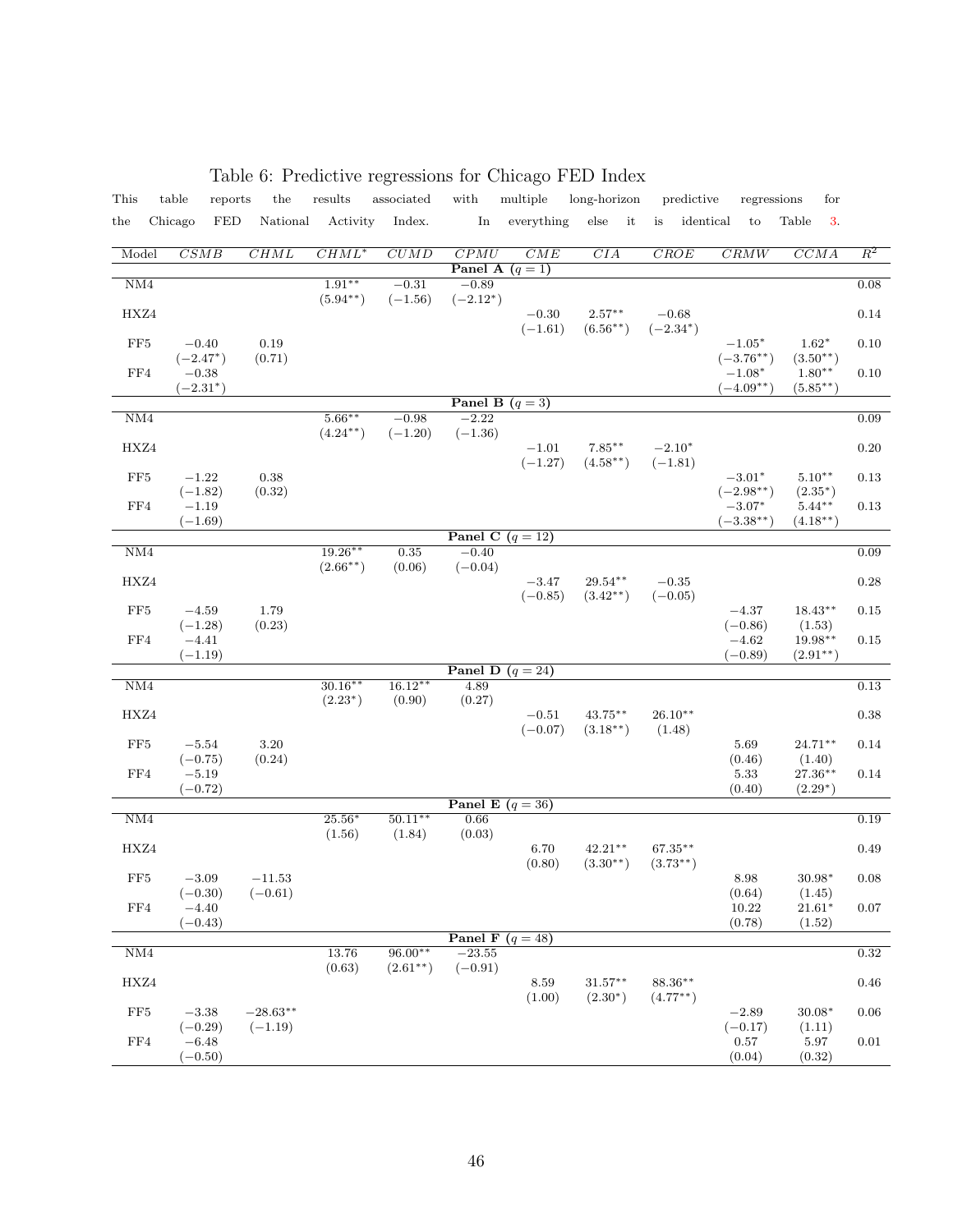|  | Table 6: Predictive regressions for Chicago FED Index |  |  |
|--|-------------------------------------------------------|--|--|
|  |                                                       |  |  |

<span id="page-48-0"></span>

|  |  | This table reports the results associated with multiple long-horizon predictive regressions for |  |  |  |  |  |
|--|--|-------------------------------------------------------------------------------------------------|--|--|--|--|--|
|  |  | the Chicago FED National Activity Index. In everything else it is identical to Table 3.         |  |  |  |  |  |

| Model        | $\overline{CSMB}$                    | $\overline{CHML}$     | $CHML^*$                 | $\overline{CUMD}$          | $\overline{CPMU}$          | CME                    | $\overline{CIA}$                | $\overline{CROE}$     | CRMW                                          | $\overline{CCMA}$                          | $\overline{R^2}$ |
|--------------|--------------------------------------|-----------------------|--------------------------|----------------------------|----------------------------|------------------------|---------------------------------|-----------------------|-----------------------------------------------|--------------------------------------------|------------------|
|              |                                      |                       |                          |                            | Panel A $(q = 1)$          |                        |                                 |                       |                                               |                                            |                  |
| NM4          |                                      |                       | $1.91**$<br>$(5.94**)$   | $-0.31$<br>$(-1.56)$       | $-0.89$<br>$(-2.12^{*})$   |                        |                                 |                       |                                               |                                            | 0.08             |
| ${\rm HXZ4}$ |                                      |                       |                          |                            |                            | $-0.30$<br>$(-1.61)$   | $2.57**$<br>$(6.56**)$          | $-0.68$               |                                               |                                            | 0.14             |
| FF5          | $-0.40$                              | 0.19                  |                          |                            |                            |                        |                                 | $(-2.34^*)$           | $-1.05*$                                      | $1.62*$                                    | 0.10             |
| FF4          | $(-2.47*)$<br>$-0.38$<br>$(-2.31^*)$ | (0.71)                |                          |                            |                            |                        |                                 |                       | $(-3.76**)$<br>$-1.08*$<br>$(-4.09**)$        | $(3.50^{**})$<br>$1.80**$<br>$(5.85**)$    | 0.10             |
|              |                                      |                       |                          |                            | Panel B $(q = 3)$          |                        |                                 |                       |                                               |                                            |                  |
| NM4          |                                      |                       | $5.66***$<br>$(4.24**)$  | $-0.98$<br>$(-1.20)$       | $-2.22$<br>$(-1.36)$       |                        |                                 |                       |                                               |                                            | 0.09             |
| ${\rm HXZ4}$ |                                      |                       |                          |                            |                            | $-1.01$                | $7.85***$                       | $-2.10*$              |                                               |                                            | 0.20             |
| FF5          | $-1.22$                              | 0.38                  |                          |                            |                            | $(-1.27)$              | $(4.58^{**})$                   | $(-1.81)$             | $-3.01*$                                      | $5.10**$                                   | 0.13             |
| FF4          | $(-1.82)$<br>$-1.19\,$<br>$(-1.69)$  | (0.32)                |                          |                            |                            |                        |                                 |                       | $(-2.98**)$<br>$-3.07^{\ast}$<br>$(-3.38***)$ | $(2.35^{*})$<br>$5.44***$<br>$(4.18^{**})$ | 0.13             |
|              |                                      |                       |                          |                            | Panel C $(q = 12)$         |                        |                                 |                       |                                               |                                            |                  |
| NM4          |                                      |                       | $19.26***$<br>$(2.66**)$ | 0.35<br>(0.06)             | $-0.40$<br>$(-0.04)$       |                        |                                 |                       |                                               |                                            | 0.09             |
| ${\rm HXZ4}$ |                                      |                       |                          |                            |                            | $-3.47\,$<br>$(-0.85)$ | $29.54***$<br>$(3.42**)$        | $-0.35$<br>$(-0.05)$  |                                               |                                            | 0.28             |
| $\rm FF5$    | $-4.59$                              | 1.79                  |                          |                            |                            |                        |                                 |                       | $-4.37$                                       | $18.43**$                                  | 0.15             |
| FF4          | $(-1.28)$<br>$-4.41$<br>$(-1.19)$    | (0.23)                |                          |                            |                            |                        |                                 |                       | $(-0.86)$<br>$-4.62$<br>$(-0.89)$             | (1.53)<br>$19.98**$<br>$(2.91**)$          | $0.15\,$         |
|              |                                      |                       |                          |                            | Panel D $(q = 24)$         |                        |                                 |                       |                                               |                                            |                  |
| NM4          |                                      |                       | $30.16***$<br>$(2.23^*)$ | $16.12***$<br>(0.90)       | 4.89<br>(0.27)             |                        |                                 |                       |                                               |                                            | 0.13             |
| ${\rm HXZ4}$ |                                      |                       |                          |                            |                            | $-0.51$                | 43.75**                         | $26.10**$             |                                               |                                            | 0.38             |
| FF5          | $-5.54$                              | 3.20                  |                          |                            |                            | $(-0.07)$              | $(3.18**)$                      | (1.48)                | 5.69                                          | $24.71***$                                 | 0.14             |
| FF4          | $(-0.75)$<br>$-5.19$                 | (0.24)                |                          |                            |                            |                        |                                 |                       | (0.46)<br>5.33                                | (1.40)<br>$27.36**$                        | 0.14             |
|              | $(-0.72)$                            |                       |                          |                            |                            |                        |                                 |                       | (0.40)                                        | $(2.29^{*})$                               |                  |
| NM4          |                                      |                       | $25.56*$                 | $50.11***$                 | Panel E $(q = 36)$<br>0.66 |                        |                                 |                       |                                               |                                            | 0.19             |
|              |                                      |                       | (1.56)                   | (1.84)                     | (0.03)                     |                        |                                 |                       |                                               |                                            |                  |
| ${\rm HXZ4}$ |                                      |                       |                          |                            |                            | 6.70<br>(0.80)         | $42.21***$<br>$(3.30^{**})$     | 67.35**<br>$(3.73**)$ |                                               |                                            | 0.49             |
| FF5          | $-3.09$<br>$(-0.30)$                 | $-11.53$<br>$(-0.61)$ |                          |                            |                            |                        |                                 |                       | 8.98<br>(0.64)                                | $30.98*$<br>(1.45)                         | 0.08             |
| FF4          | $-4.40$<br>$(-0.43)$                 |                       |                          |                            |                            |                        |                                 |                       | 10.22<br>(0.78)                               | $21.61*$<br>(1.52)                         | 0.07             |
|              |                                      |                       |                          |                            | Panel F $(q = 48)$         |                        |                                 |                       |                                               |                                            |                  |
| NM4          |                                      |                       | 13.76<br>(0.63)          | $96.00**$<br>$(2.61^{**})$ | $-23.55$<br>$(-0.91)$      |                        |                                 |                       |                                               |                                            | 0.32             |
| HXZ4         |                                      |                       |                          |                            |                            | $8.59\,$<br>(1.00)     | $31.57^{\ast\ast}$<br>$(2.30*)$ | 88.36**<br>$(4.77**)$ |                                               |                                            | $0.46\,$         |
| $\rm FF5$    | $-3.38\,$                            | $-28.63**$            |                          |                            |                            |                        |                                 |                       | $-2.89$                                       | $30.08*$                                   | 0.06             |
| FF4          | $(-0.29)$<br>$-6.48$<br>$(-0.50)$    | $(-1.19)$             |                          |                            |                            |                        |                                 |                       | $(-0.17)$<br>0.57<br>(0.04)                   | (1.11)<br>$5.97\,$<br>(0.32)               | 0.01             |